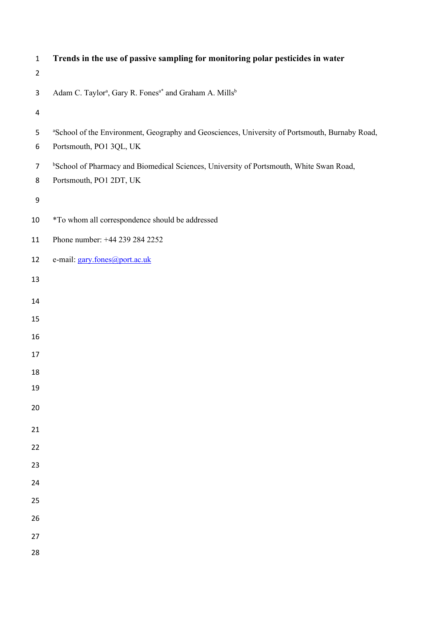| Trends in the use of passive sampling for monitoring polar pesticides in water                                                        |
|---------------------------------------------------------------------------------------------------------------------------------------|
| Adam C. Taylor <sup>a</sup> , Gary R. Fones <sup>a*</sup> and Graham A. Mills <sup>b</sup>                                            |
| <sup>a</sup> School of the Environment, Geography and Geosciences, University of Portsmouth, Burnaby Road,<br>Portsmouth, PO1 3QL, UK |
| <sup>b</sup> School of Pharmacy and Biomedical Sciences, University of Portsmouth, White Swan Road,<br>Portsmouth, PO1 2DT, UK        |
| *To whom all correspondence should be addressed                                                                                       |
| Phone number: +44 239 284 2252                                                                                                        |
|                                                                                                                                       |
| e-mail: gary.fones@port.ac.uk                                                                                                         |
|                                                                                                                                       |
|                                                                                                                                       |
|                                                                                                                                       |
|                                                                                                                                       |
|                                                                                                                                       |
|                                                                                                                                       |
|                                                                                                                                       |
|                                                                                                                                       |
|                                                                                                                                       |
|                                                                                                                                       |
|                                                                                                                                       |
|                                                                                                                                       |
|                                                                                                                                       |
|                                                                                                                                       |
|                                                                                                                                       |
|                                                                                                                                       |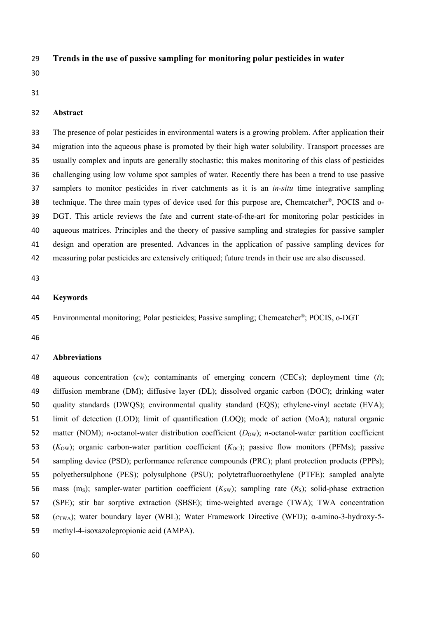#### **Trends in the use of passive sampling for monitoring polar pesticides in water**

#### **Abstract**

 The presence of polar pesticides in environmental waters is a growing problem. After application their migration into the aqueous phase is promoted by their high water solubility. Transport processes are usually complex and inputs are generally stochastic; this makes monitoring of this class of pesticides challenging using low volume spot samples of water. Recently there has been a trend to use passive samplers to monitor pesticides in river catchments as it is an *in-situ* time integrative sampling 38 technique. The three main types of device used for this purpose are, Chemcatcher<sup>®</sup>, POCIS and o- DGT. This article reviews the fate and current state-of-the-art for monitoring polar pesticides in aqueous matrices. Principles and the theory of passive sampling and strategies for passive sampler design and operation are presented. Advances in the application of passive sampling devices for measuring polar pesticides are extensively critiqued; future trends in their use are also discussed.

#### **Keywords**

45 Environmental monitoring; Polar pesticides; Passive sampling; Chemcatcher®; POCIS, o-DGT

#### **Abbreviations**

 aqueous concentration (*c*W); contaminants of emerging concern (CECs); deployment time (*t*); diffusion membrane (DM); diffusive layer (DL); dissolved organic carbon (DOC); drinking water quality standards (DWQS); environmental quality standard (EQS); ethylene-vinyl acetate (EVA); limit of detection (LOD); limit of quantification (LOQ); mode of action (MoA); natural organic 52 matter (NOM); *n*-octanol-water distribution coefficient (*D*<sub>OW</sub>); *n*-octanol-water partition coefficient 53 ( $K<sub>OW</sub>$ ); organic carbon-water partition coefficient ( $K<sub>OC</sub>$ ); passive flow monitors (PFMs); passive sampling device (PSD); performance reference compounds (PRC); plant protection products (PPPs); polyethersulphone (PES); polysulphone (PSU); polytetrafluoroethylene (PTFE); sampled analyte 56 mass (m<sub>S</sub>); sampler-water partition coefficient  $(K_{SW})$ ; sampling rate  $(R_S)$ ; solid-phase extraction (SPE); stir bar sorptive extraction (SBSE); time-weighted average (TWA); TWA concentration (*c*TWA); water boundary layer (WBL); Water Framework Directive (WFD); α-amino-3-hydroxy-5- methyl-4-isoxazolepropionic acid (AMPA).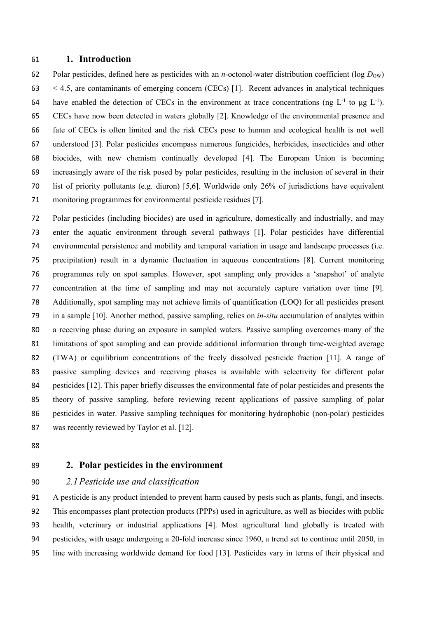#### **1. Introduction**

62 Polar pesticides, defined here as pesticides with an *n*-octonol-water distribution coefficient (log  $D_{\text{OW}}$ ) < 4.5, are contaminants of emerging concern (CECs) [1]. Recent advances in analytical techniques  $heta$  have enabled the detection of CECs in the environment at trace concentrations (ng L<sup>-1</sup> to μg L<sup>-1</sup>). CECs have now been detected in waters globally [2]. Knowledge of the environmental presence and fate of CECs is often limited and the risk CECs pose to human and ecological health is not well understood [3]. Polar pesticides encompass numerous fungicides, herbicides, insecticides and other biocides, with new chemism continually developed [4]. The European Union is becoming increasingly aware of the risk posed by polar pesticides, resulting in the inclusion of several in their list of priority pollutants (e.g. diuron) [5,6]. Worldwide only 26% of jurisdictions have equivalent monitoring programmes for environmental pesticide residues [7].

 Polar pesticides (including biocides) are used in agriculture, domestically and industrially, and may enter the aquatic environment through several pathways [1]. Polar pesticides have differential environmental persistence and mobility and temporal variation in usage and landscape processes (i.e. precipitation) result in a dynamic fluctuation in aqueous concentrations [8]. Current monitoring programmes rely on spot samples. However, spot sampling only provides a 'snapshot' of analyte concentration at the time of sampling and may not accurately capture variation over time [9]. Additionally, spot sampling may not achieve limits of quantification (LOQ) for all pesticides present in a sample [10]. Another method, passive sampling, relies on *in-situ* accumulation of analytes within a receiving phase during an exposure in sampled waters. Passive sampling overcomes many of the limitations of spot sampling and can provide additional information through time-weighted average (TWA) or equilibrium concentrations of the freely dissolved pesticide fraction [11]. A range of passive sampling devices and receiving phases is available with selectivity for different polar pesticides [12]. This paper briefly discusses the environmental fate of polar pesticides and presents the theory of passive sampling, before reviewing recent applications of passive sampling of polar pesticides in water. Passive sampling techniques for monitoring hydrophobic (non-polar) pesticides was recently reviewed by Taylor et al. [12].

#### **2. Polar pesticides in the environment**

## *2.1Pesticide use and classification*

 A pesticide is any product intended to prevent harm caused by pests such as plants, fungi, and insects. This encompasses plant protection products (PPPs) used in agriculture, as well as biocides with public health, veterinary or industrial applications [4]. Most agricultural land globally is treated with pesticides, with usage undergoing a 20-fold increase since 1960, a trend set to continue until 2050, in line with increasing worldwide demand for food [13]. Pesticides vary in terms of their physical and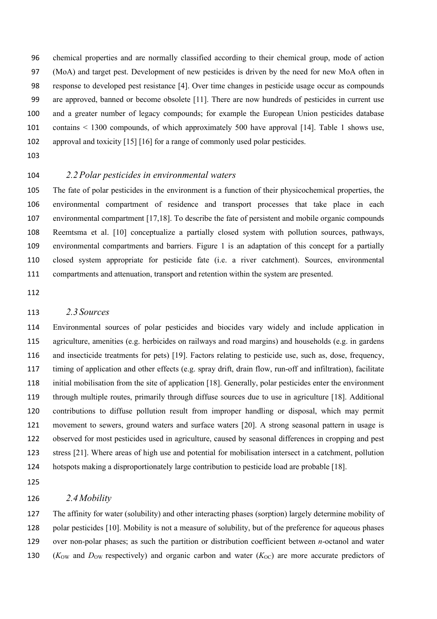chemical properties and are normally classified according to their chemical group, mode of action (MoA) and target pest. Development of new pesticides is driven by the need for new MoA often in response to developed pest resistance [4]. Over time changes in pesticide usage occur as compounds are approved, banned or become obsolete [11]. There are now hundreds of pesticides in current use and a greater number of legacy compounds; for example the European Union pesticides database contains < 1300 compounds, of which approximately 500 have approval [14]. Table 1 shows use, approval and toxicity [15] [16] for a range of commonly used polar pesticides.

## *2.2Polar pesticides in environmental waters*

 The fate of polar pesticides in the environment is a function of their physicochemical properties, the environmental compartment of residence and transport processes that take place in each environmental compartment [17,18]. To describe the fate of persistent and mobile organic compounds Reemtsma et al. [10] conceptualize a partially closed system with pollution sources, pathways, environmental compartments and barriers. Figure 1 is an adaptation of this concept for a partially closed system appropriate for pesticide fate (i.e. a river catchment). Sources, environmental compartments and attenuation, transport and retention within the system are presented.

#### *2.3 Sources*

 Environmental sources of polar pesticides and biocides vary widely and include application in agriculture, amenities (e.g. herbicides on railways and road margins) and households (e.g. in gardens and insecticide treatments for pets) [19]. Factors relating to pesticide use, such as, dose, frequency, timing of application and other effects (e.g. spray drift, drain flow, run-off and infiltration), facilitate initial mobilisation from the site of application [18]. Generally, polar pesticides enter the environment through multiple routes, primarily through diffuse sources due to use in agriculture [18]. Additional contributions to diffuse pollution result from improper handling or disposal, which may permit movement to sewers, ground waters and surface waters [20]. A strong seasonal pattern in usage is observed for most pesticides used in agriculture, caused by seasonal differences in cropping and pest stress [21]. Where areas of high use and potential for mobilisation intersect in a catchment, pollution hotspots making a disproportionately large contribution to pesticide load are probable [18].

## *2.4 Mobility*

 The affinity for water (solubility) and other interacting phases (sorption) largely determine mobility of polar pesticides [10]. Mobility is not a measure of solubility, but of the preference for aqueous phases over non-polar phases; as such the partition or distribution coefficient between *n*-octanol and water 130 ( $K_{\text{OW}}$  and  $D_{\text{OW}}$  respectively) and organic carbon and water  $(K_{\text{OC}})$  are more accurate predictors of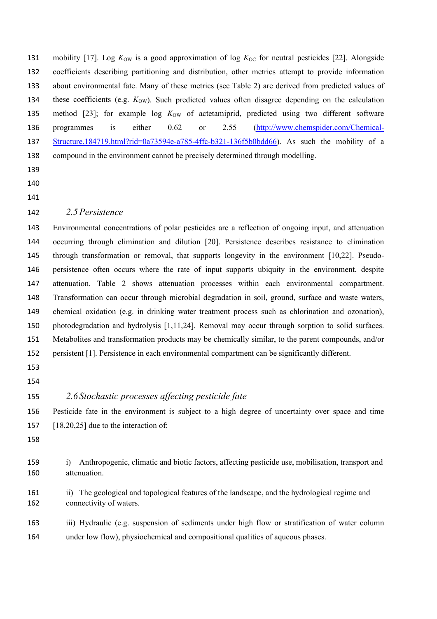131 mobility [17]. Log  $K_{\text{OW}}$  is a good approximation of log  $K_{\text{OC}}$  for neutral pesticides [22]. Alongside coefficients describing partitioning and distribution, other metrics attempt to provide information about environmental fate. Many of these metrics (see Table 2) are derived from predicted values of 134 these coefficients (e.g.  $K_{\text{OW}}$ ). Such predicted values often disagree depending on the calculation 135 method [23]; for example log  $K_{\text{OW}}$  of actetamiprid, predicted using two different software programmes is either 0.62 or 2.55 [\(http://www.chemspider.com/Chemical-](http://www.chemspider.com/Chemical-Structure.184719.html?rid=0a73594e-a785-4ffc-b321-136f5b0bdd66) [Structure.184719.html?rid=0a73594e-a785-4ffc-b321-136f5b0bdd66\)](http://www.chemspider.com/Chemical-Structure.184719.html?rid=0a73594e-a785-4ffc-b321-136f5b0bdd66). As such the mobility of a compound in the environment cannot be precisely determined through modelling.

- 
- 
- 

#### *2.5Persistence*

 Environmental concentrations of polar pesticides are a reflection of ongoing input, and attenuation occurring through elimination and dilution [20]. Persistence describes resistance to elimination through transformation or removal, that supports longevity in the environment [10,22]. Pseudo- persistence often occurs where the rate of input supports ubiquity in the environment, despite attenuation. Table 2 shows attenuation processes within each environmental compartment. Transformation can occur through microbial degradation in soil, ground, surface and waste waters, chemical oxidation (e.g. in drinking water treatment process such as chlorination and ozonation), photodegradation and hydrolysis [1,11,24]. Removal may occur through sorption to solid surfaces. Metabolites and transformation products may be chemically similar, to the parent compounds, and/or persistent [1]. Persistence in each environmental compartment can be significantly different.

 

## *2.6 Stochastic processes affecting pesticide fate*

 Pesticide fate in the environment is subject to a high degree of uncertainty over space and time [18,20,25] due to the interaction of:

- 
- i) Anthropogenic, climatic and biotic factors, affecting pesticide use, mobilisation, transport and attenuation.
- ii) The geological and topological features of the landscape, and the hydrological regime and connectivity of waters.
- iii) Hydraulic (e.g. suspension of sediments under high flow or stratification of water column under low flow), physiochemical and compositional qualities of aqueous phases.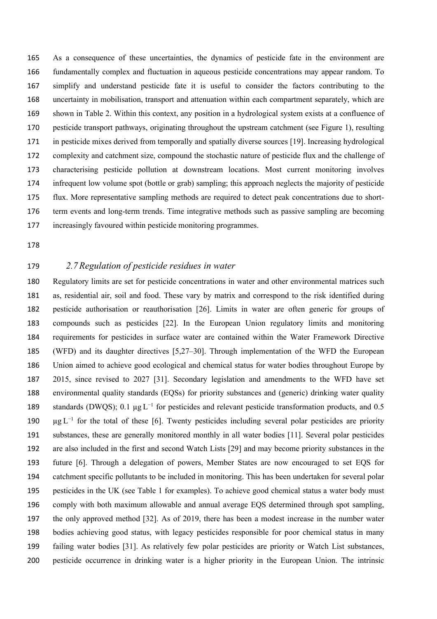As a consequence of these uncertainties, the dynamics of pesticide fate in the environment are fundamentally complex and fluctuation in aqueous pesticide concentrations may appear random. To simplify and understand pesticide fate it is useful to consider the factors contributing to the uncertainty in mobilisation, transport and attenuation within each compartment separately, which are shown in Table 2. Within this context, any position in a hydrological system exists at a confluence of pesticide transport pathways, originating throughout the upstream catchment (see Figure 1), resulting in pesticide mixes derived from temporally and spatially diverse sources [19]. Increasing hydrological complexity and catchment size, compound the stochastic nature of pesticide flux and the challenge of characterising pesticide pollution at downstream locations. Most current monitoring involves infrequent low volume spot (bottle or grab) sampling; this approach neglects the majority of pesticide flux. More representative sampling methods are required to detect peak concentrations due to short- term events and long-term trends. Time integrative methods such as passive sampling are becoming increasingly favoured within pesticide monitoring programmes.

## *2.7Regulation of pesticide residues in water*

 Regulatory limits are set for pesticide concentrations in water and other environmental matrices such as, residential air, soil and food. These vary by matrix and correspond to the risk identified during pesticide authorisation or reauthorisation [26]. Limits in water are often generic for groups of compounds such as pesticides [22]. In the European Union regulatory limits and monitoring requirements for pesticides in surface water are contained within the Water Framework Directive (WFD) and its daughter directives [5,27–30]. Through implementation of the WFD the European Union aimed to achieve good ecological and chemical status for water bodies throughout Europe by 2015, since revised to 2027 [31]. Secondary legislation and amendments to the WFD have set environmental quality standards (EQSs) for priority substances and (generic) drinking water quality standards (DWQS); 0.1  $\mu$ g $L^{-1}$  for pesticides and relevant pesticide transformation products, and 0.5  $\mu$ g $L^{-1}$  for the total of these [6]. Twenty pesticides including several polar pesticides are priority substances, these are generally monitored monthly in all water bodies [11]. Several polar pesticides are also included in the first and second Watch Lists [29] and may become priority substances in the future [6]. Through a delegation of powers, Member States are now encouraged to set EQS for catchment specific pollutants to be included in monitoring. This has been undertaken for several polar pesticides in the UK (see Table 1 for examples). To achieve good chemical status a water body must comply with both maximum allowable and annual average EQS determined through spot sampling, the only approved method [32]. As of 2019, there has been a modest increase in the number water bodies achieving good status, with legacy pesticides responsible for poor chemical status in many failing water bodies [31]. As relatively few polar pesticides are priority or Watch List substances, pesticide occurrence in drinking water is a higher priority in the European Union. The intrinsic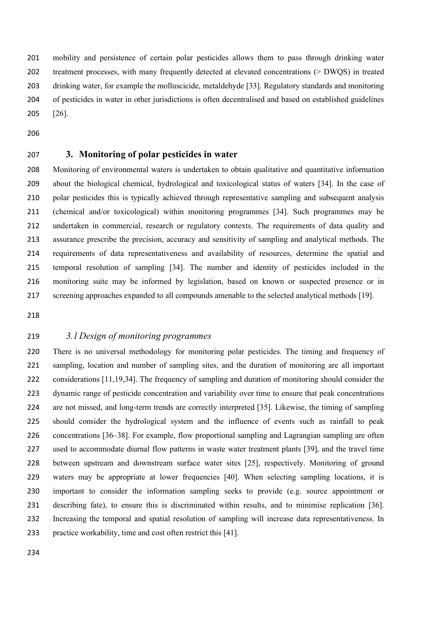mobility and persistence of certain polar pesticides allows them to pass through drinking water treatment processes, with many frequently detected at elevated concentrations (> DWQS) in treated drinking water, for example the molluscicide, metaldehyde [33]. Regulatory standards and monitoring of pesticides in water in other jurisdictions is often decentralised and based on established guidelines [26].

## **3. Monitoring of polar pesticides in water**

 Monitoring of environmental waters is undertaken to obtain qualitative and quantitative information about the biological chemical, hydrological and toxicological status of waters [34]. In the case of polar pesticides this is typically achieved through representative sampling and subsequent analysis (chemical and/or toxicological) within monitoring programmes [34]. Such programmes may be undertaken in commercial, research or regulatory contexts. The requirements of data quality and assurance prescribe the precision, accuracy and sensitivity of sampling and analytical methods. The requirements of data representativeness and availability of resources, determine the spatial and temporal resolution of sampling [34]. The number and identity of pesticides included in the monitoring suite may be informed by legislation, based on known or suspected presence or in screening approaches expanded to all compounds amenable to the selected analytical methods [19].

### *3.1Design of monitoring programmes*

 There is no universal methodology for monitoring polar pesticides. The timing and frequency of sampling, location and number of sampling sites, and the duration of monitoring are all important considerations [11,19,34]. The frequency of sampling and duration of monitoring should consider the dynamic range of pesticide concentration and variability over time to ensure that peak concentrations are not missed, and long-term trends are correctly interpreted [35]. Likewise, the timing of sampling should consider the hydrological system and the influence of events such as rainfall to peak concentrations [36–38]. For example, flow proportional sampling and Lagrangian sampling are often used to accommodate diurnal flow patterns in waste water treatment plants [39], and the travel time between upstream and downstream surface water sites [25], respectively. Monitoring of ground waters may be appropriate at lower frequencies [40]. When selecting sampling locations, it is important to consider the information sampling seeks to provide (e.g. source appointment or describing fate), to ensure this is discriminated within results, and to minimise replication [36]. Increasing the temporal and spatial resolution of sampling will increase data representativeness. In practice workability, time and cost often restrict this [41].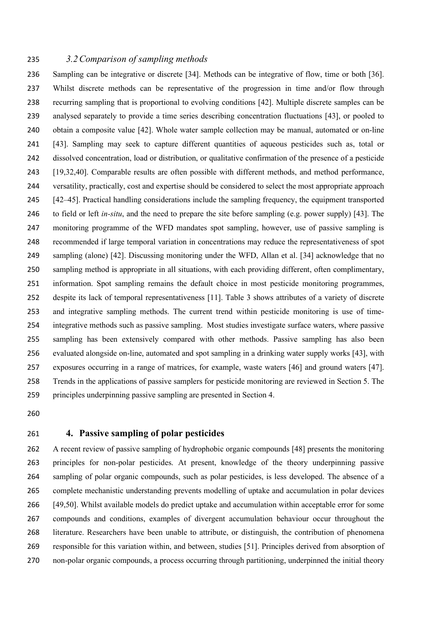### *3.2Comparison of sampling methods*

 Sampling can be integrative or discrete [34]. Methods can be integrative of flow, time or both [36]. Whilst discrete methods can be representative of the progression in time and/or flow through recurring sampling that is proportional to evolving conditions [42]. Multiple discrete samples can be analysed separately to provide a time series describing concentration fluctuations [43], or pooled to obtain a composite value [42]. Whole water sample collection may be manual, automated or on-line [43]. Sampling may seek to capture different quantities of aqueous pesticides such as, total or dissolved concentration, load or distribution, or qualitative confirmation of the presence of a pesticide [19,32,40]. Comparable results are often possible with different methods, and method performance, versatility, practically, cost and expertise should be considered to select the most appropriate approach [42–45]. Practical handling considerations include the sampling frequency, the equipment transported to field or left *in-situ*, and the need to prepare the site before sampling (e.g. power supply) [43]. The monitoring programme of the WFD mandates spot sampling, however, use of passive sampling is recommended if large temporal variation in concentrations may reduce the representativeness of spot sampling (alone) [42]. Discussing monitoring under the WFD, Allan et al. [34] acknowledge that no sampling method is appropriate in all situations, with each providing different, often complimentary, information. Spot sampling remains the default choice in most pesticide monitoring programmes, despite its lack of temporal representativeness [11]. Table 3 shows attributes of a variety of discrete and integrative sampling methods. The current trend within pesticide monitoring is use of time- integrative methods such as passive sampling. Most studies investigate surface waters, where passive sampling has been extensively compared with other methods. Passive sampling has also been evaluated alongside on-line, automated and spot sampling in a drinking water supply works [43], with exposures occurring in a range of matrices, for example, waste waters [46] and ground waters [47]. Trends in the applications of passive samplers for pesticide monitoring are reviewed in Section 5. The principles underpinning passive sampling are presented in Section 4.

## **4. Passive sampling of polar pesticides**

 A recent review of passive sampling of hydrophobic organic compounds [48] presents the monitoring principles for non-polar pesticides. At present, knowledge of the theory underpinning passive sampling of polar organic compounds, such as polar pesticides, is less developed. The absence of a complete mechanistic understanding prevents modelling of uptake and accumulation in polar devices [49,50]. Whilst available models do predict uptake and accumulation within acceptable error for some compounds and conditions, examples of divergent accumulation behaviour occur throughout the literature. Researchers have been unable to attribute, or distinguish, the contribution of phenomena responsible for this variation within, and between, studies [51]. Principles derived from absorption of non-polar organic compounds, a process occurring through partitioning, underpinned the initial theory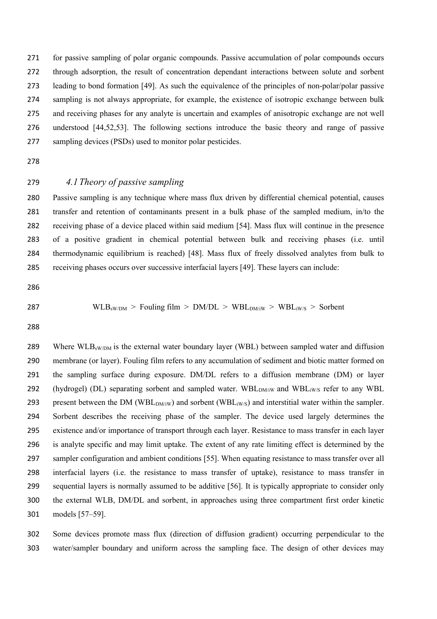for passive sampling of polar organic compounds. Passive accumulation of polar compounds occurs through adsorption, the result of concentration dependant interactions between solute and sorbent leading to bond formation [49]. As such the equivalence of the principles of non-polar/polar passive sampling is not always appropriate, for example, the existence of isotropic exchange between bulk and receiving phases for any analyte is uncertain and examples of anisotropic exchange are not well understood [44,52,53]. The following sections introduce the basic theory and range of passive sampling devices (PSDs) used to monitor polar pesticides.

## *4.1 Theory of passive sampling*

 Passive sampling is any technique where mass flux driven by differential chemical potential, causes transfer and retention of contaminants present in a bulk phase of the sampled medium, in/to the receiving phase of a device placed within said medium [54]. Mass flux will continue in the presence of a positive gradient in chemical potential between bulk and receiving phases (i.e. until thermodynamic equilibrium is reached) [48]. Mass flux of freely dissolved analytes from bulk to receiving phases occurs over successive interfacial layers [49]. These layers can include:

$$
287 \t WLBsW/DM > Fouling film > DM/DL > WBLDM/IW > WBLiW/S > Sorbent
$$

289 Where WLB<sub>sW/DM</sub> is the external water boundary layer (WBL) between sampled water and diffusion membrane (or layer). Fouling film refers to any accumulation of sediment and biotic matter formed on the sampling surface during exposure. DM/DL refers to a diffusion membrane (DM) or layer 292 (hydrogel) (DL) separating sorbent and sampled water. WBL $_{DMiW}$  and WBL $_{iW/S}$  refer to any WBL 293 present between the DM (WBL $_{\text{DMiW}}$ ) and sorbent (WBL $_{\text{iWS}}$ ) and interstitial water within the sampler. Sorbent describes the receiving phase of the sampler. The device used largely determines the existence and/or importance of transport through each layer. Resistance to mass transfer in each layer is analyte specific and may limit uptake. The extent of any rate limiting effect is determined by the sampler configuration and ambient conditions [55]. When equating resistance to mass transfer over all interfacial layers (i.e. the resistance to mass transfer of uptake), resistance to mass transfer in sequential layers is normally assumed to be additive [56]. It is typically appropriate to consider only the external WLB, DM/DL and sorbent, in approaches using three compartment first order kinetic models [57–59].

 Some devices promote mass flux (direction of diffusion gradient) occurring perpendicular to the water/sampler boundary and uniform across the sampling face. The design of other devices may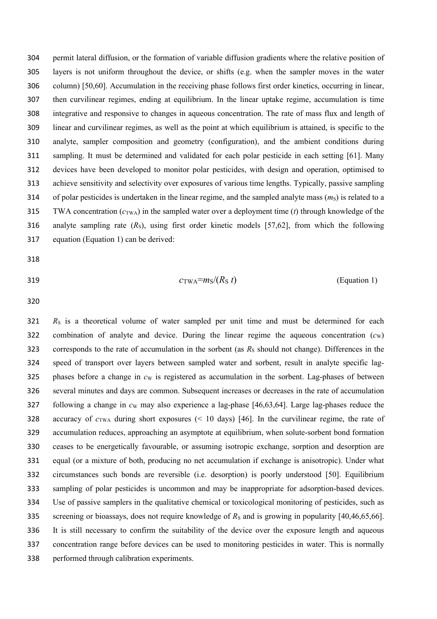permit lateral diffusion, or the formation of variable diffusion gradients where the relative position of layers is not uniform throughout the device, or shifts (e.g. when the sampler moves in the water column) [50,60]. Accumulation in the receiving phase follows first order kinetics, occurring in linear, then curvilinear regimes, ending at equilibrium. In the linear uptake regime, accumulation is time integrative and responsive to changes in aqueous concentration. The rate of mass flux and length of linear and curvilinear regimes, as well as the point at which equilibrium is attained, is specific to the analyte, sampler composition and geometry (configuration), and the ambient conditions during sampling. It must be determined and validated for each polar pesticide in each setting [61]. Many devices have been developed to monitor polar pesticides, with design and operation, optimised to achieve sensitivity and selectivity over exposures of various time lengths. Typically, passive sampling 314 of polar pesticides is undertaken in the linear regime, and the sampled analyte mass  $(m<sub>S</sub>)$  is related to a 315 TWA concentration  $(c_{\text{TWA}})$  in the sampled water over a deployment time (*t*) through knowledge of the 316 analyte sampling rate  $(R<sub>S</sub>)$ , using first order kinetic models [57,62], from which the following equation (Equation 1) can be derived:

$$
c_{\text{TWA}} = m_S/(R_S t) \tag{Equation 1}
$$

*R<sub>S</sub>* is a theoretical volume of water sampled per unit time and must be determined for each 322 combination of analyte and device. During the linear regime the aqueous concentration  $(c<sub>W</sub>)$ 323 corresponds to the rate of accumulation in the sorbent (as  $R<sub>S</sub>$  should not change). Differences in the speed of transport over layers between sampled water and sorbent, result in analyte specific lag-325 phases before a change in  $c<sub>W</sub>$  is registered as accumulation in the sorbent. Lag-phases of between several minutes and days are common. Subsequent increases or decreases in the rate of accumulation 327 following a change in  $c<sub>W</sub>$  may also experience a lag-phase [46,63,64]. Large lag-phases reduce the 328 accuracy of  $c_{\text{TWA}}$  during short exposures ( $\leq$  10 days) [46]. In the curvilinear regime, the rate of accumulation reduces, approaching an asymptote at equilibrium, when solute-sorbent bond formation ceases to be energetically favourable, or assuming isotropic exchange, sorption and desorption are equal (or a mixture of both, producing no net accumulation if exchange is anisotropic). Under what circumstances such bonds are reversible (i.e. desorption) is poorly understood [50]. Equilibrium sampling of polar pesticides is uncommon and may be inappropriate for adsorption-based devices. Use of passive samplers in the qualitative chemical or toxicological monitoring of pesticides, such as 335 screening or bioassays, does not require knowledge of  $R<sub>S</sub>$  and is growing in popularity [40,46,65,66]. It is still necessary to confirm the suitability of the device over the exposure length and aqueous concentration range before devices can be used to monitoring pesticides in water. This is normally performed through calibration experiments.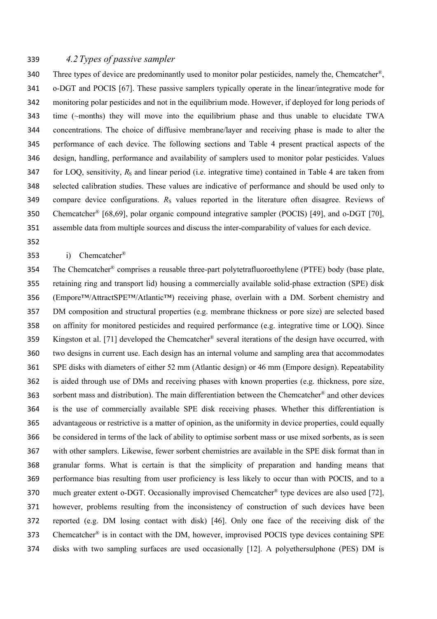## *4.2 Types of passive sampler*

340 Three types of device are predominantly used to monitor polar pesticides, namely the, Chemcatcher<sup>®</sup>, o-DGT and POCIS [67]. These passive samplers typically operate in the linear/integrative mode for monitoring polar pesticides and not in the equilibrium mode. However, if deployed for long periods of time (~months) they will move into the equilibrium phase and thus unable to elucidate TWA concentrations. The choice of diffusive membrane/layer and receiving phase is made to alter the performance of each device. The following sections and Table 4 present practical aspects of the design, handling, performance and availability of samplers used to monitor polar pesticides. Values 347 for LOQ, sensitivity, *R<sub>S</sub>* and linear period (i.e. integrative time) contained in Table 4 are taken from selected calibration studies. These values are indicative of performance and should be used only to 349 compare device configurations. R<sub>S</sub> values reported in the literature often disagree. Reviews of 350 Chemcatcher<sup>®</sup> [68,69], polar organic compound integrative sampler (POCIS) [49], and o-DGT [70], assemble data from multiple sources and discuss the inter-comparability of values for each device.

## i) Chemcatcher®

354 The Chemcatcher<sup>®</sup> comprises a reusable three-part polytetrafluoroethylene (PTFE) body (base plate, retaining ring and transport lid) housing a commercially available solid-phase extraction (SPE) disk (Empore™/AttractSPE™/Atlantic™) receiving phase, overlain with a DM. Sorbent chemistry and DM composition and structural properties (e.g. membrane thickness or pore size) are selected based on affinity for monitored pesticides and required performance (e.g. integrative time or LOQ). Since 359 Kingston et al. [71] developed the Chemcatcher® several iterations of the design have occurred, with two designs in current use. Each design has an internal volume and sampling area that accommodates SPE disks with diameters of either 52 mm (Atlantic design) or 46 mm (Empore design). Repeatability is aided through use of DMs and receiving phases with known properties (e.g. thickness, pore size, 363 sorbent mass and distribution). The main differentiation between the Chemcatcher® and other devices is the use of commercially available SPE disk receiving phases. Whether this differentiation is advantageous or restrictive is a matter of opinion, as the uniformity in device properties, could equally be considered in terms of the lack of ability to optimise sorbent mass or use mixed sorbents, as is seen with other samplers. Likewise, fewer sorbent chemistries are available in the SPE disk format than in granular forms. What is certain is that the simplicity of preparation and handing means that performance bias resulting from user proficiency is less likely to occur than with POCIS, and to a 370 much greater extent o-DGT. Occasionally improvised Chemcatcher<sup>®</sup> type devices are also used [72], however, problems resulting from the inconsistency of construction of such devices have been reported (e.g. DM losing contact with disk) [46]. Only one face of the receiving disk of the 373 Chemcatcher<sup>®</sup> is in contact with the DM, however, improvised POCIS type devices containing SPE disks with two sampling surfaces are used occasionally [12]. A polyethersulphone (PES) DM is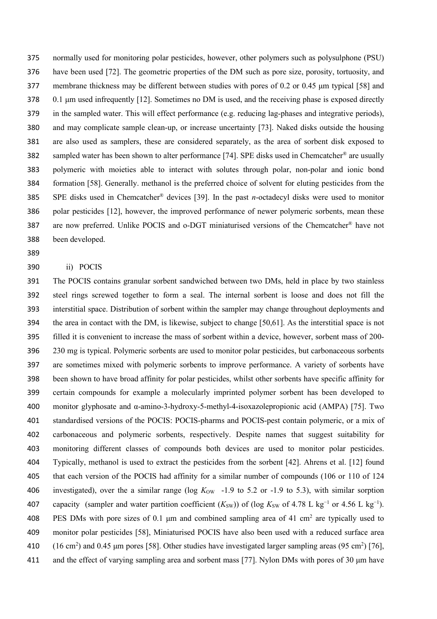normally used for monitoring polar pesticides, however, other polymers such as polysulphone (PSU) have been used [72]. The geometric properties of the DM such as pore size, porosity, tortuosity, and membrane thickness may be different between studies with pores of 0.2 or 0.45 μm typical [58] and 0.1 μm used infrequently [12]. Sometimes no DM is used, and the receiving phase is exposed directly in the sampled water. This will effect performance (e.g. reducing lag-phases and integrative periods), and may complicate sample clean-up, or increase uncertainty [73]. Naked disks outside the housing are also used as samplers, these are considered separately, as the area of sorbent disk exposed to 382 sampled water has been shown to alter performance [74]. SPE disks used in Chemcatcher® are usually polymeric with moieties able to interact with solutes through polar, non-polar and ionic bond formation [58]. Generally. methanol is the preferred choice of solvent for eluting pesticides from the 385 SPE disks used in Chemcatcher® devices [39]. In the past *n*-octadecyl disks were used to monitor polar pesticides [12], however, the improved performance of newer polymeric sorbents, mean these 387 are now preferred. Unlike POCIS and o-DGT miniaturised versions of the Chemcatcher® have not been developed.

#### ii) POCIS

 The POCIS contains granular sorbent sandwiched between two DMs, held in place by two stainless steel rings screwed together to form a seal. The internal sorbent is loose and does not fill the interstitial space. Distribution of sorbent within the sampler may change throughout deployments and the area in contact with the DM, is likewise, subject to change [50,61]. As the interstitial space is not filled it is convenient to increase the mass of sorbent within a device, however, sorbent mass of 200- 230 mg is typical. Polymeric sorbents are used to monitor polar pesticides, but carbonaceous sorbents are sometimes mixed with polymeric sorbents to improve performance. A variety of sorbents have been shown to have broad affinity for polar pesticides, whilst other sorbents have specific affinity for certain compounds for example a molecularly imprinted polymer sorbent has been developed to 400 monitor glyphosate and  $\alpha$ -amino-3-hydroxy-5-methyl-4-isoxazolepropionic acid (AMPA) [75]. Two standardised versions of the POCIS: POCIS-pharms and POCIS-pest contain polymeric, or a mix of carbonaceous and polymeric sorbents, respectively. Despite names that suggest suitability for monitoring different classes of compounds both devices are used to monitor polar pesticides. Typically, methanol is used to extract the pesticides from the sorbent [42]. Ahrens et al. [12] found that each version of the POCIS had affinity for a similar number of compounds (106 or 110 of 124 406 investigated), over the a similar range ( $log K_{OW}$  -1.9 to 5.2 or -1.9 to 5.3), with similar sorption capacity (sampler and water partition coefficient  $(K_{SW})$ ) of (log  $K_{SW}$  of 4.78 L kg<sup>-1</sup> or 4.56 L kg<sup>-1</sup>). 408 PES DMs with pore sizes of 0.1  $\mu$ m and combined sampling area of 41 cm<sup>2</sup> are typically used to monitor polar pesticides [58], Miniaturised POCIS have also been used with a reduced surface area 410 (16 cm<sup>2</sup>) and 0.45 µm pores [58]. Other studies have investigated larger sampling areas (95 cm<sup>2</sup>) [76], and the effect of varying sampling area and sorbent mass [77]. Nylon DMs with pores of 30 μm have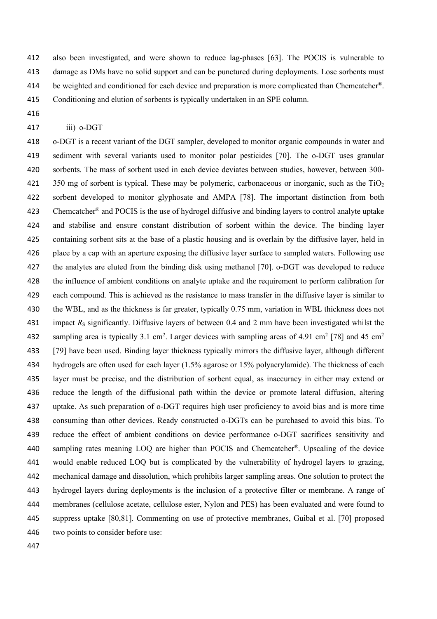also been investigated, and were shown to reduce lag-phases [63]. The POCIS is vulnerable to damage as DMs have no solid support and can be punctured during deployments. Lose sorbents must 414 be weighted and conditioned for each device and preparation is more complicated than Chemcatcher<sup>®</sup>. Conditioning and elution of sorbents is typically undertaken in an SPE column.

iii) o-DGT

 o-DGT is a recent variant of the DGT sampler, developed to monitor organic compounds in water and sediment with several variants used to monitor polar pesticides [70]. The o-DGT uses granular sorbents. The mass of sorbent used in each device deviates between studies, however, between 300- 421 350 mg of sorbent is typical. These may be polymeric, carbonaceous or inorganic, such as the  $TiO<sub>2</sub>$  sorbent developed to monitor glyphosate and AMPA [78]. The important distinction from both 423 Chemcatcher® and POCIS is the use of hydrogel diffusive and binding layers to control analyte uptake and stabilise and ensure constant distribution of sorbent within the device. The binding layer containing sorbent sits at the base of a plastic housing and is overlain by the diffusive layer, held in place by a cap with an aperture exposing the diffusive layer surface to sampled waters. Following use the analytes are eluted from the binding disk using methanol [70]. o-DGT was developed to reduce the influence of ambient conditions on analyte uptake and the requirement to perform calibration for each compound. This is achieved as the resistance to mass transfer in the diffusive layer is similar to the WBL, and as the thickness is far greater, typically 0.75 mm, variation in WBL thickness does not 431 impact R<sub>S</sub> significantly. Diffusive layers of between 0.4 and 2 mm have been investigated whilst the 432 sampling area is typically 3.1 cm<sup>2</sup>. Larger devices with sampling areas of 4.91 cm<sup>2</sup> [78] and 45 cm<sup>2</sup> [79] have been used. Binding layer thickness typically mirrors the diffusive layer, although different hydrogels are often used for each layer (1.5% agarose or 15% polyacrylamide). The thickness of each layer must be precise, and the distribution of sorbent equal, as inaccuracy in either may extend or reduce the length of the diffusional path within the device or promote lateral diffusion, altering uptake. As such preparation of o-DGT requires high user proficiency to avoid bias and is more time consuming than other devices. Ready constructed o-DGTs can be purchased to avoid this bias. To reduce the effect of ambient conditions on device performance o-DGT sacrifices sensitivity and 440 sampling rates meaning LOQ are higher than POCIS and Chemcatcher®. Upscaling of the device would enable reduced LOQ but is complicated by the vulnerability of hydrogel layers to grazing, mechanical damage and dissolution, which prohibits larger sampling areas. One solution to protect the hydrogel layers during deployments is the inclusion of a protective filter or membrane. A range of membranes (cellulose acetate, cellulose ester, Nylon and PES) has been evaluated and were found to suppress uptake [80,81]. Commenting on use of protective membranes, Guibal et al. [70] proposed two points to consider before use: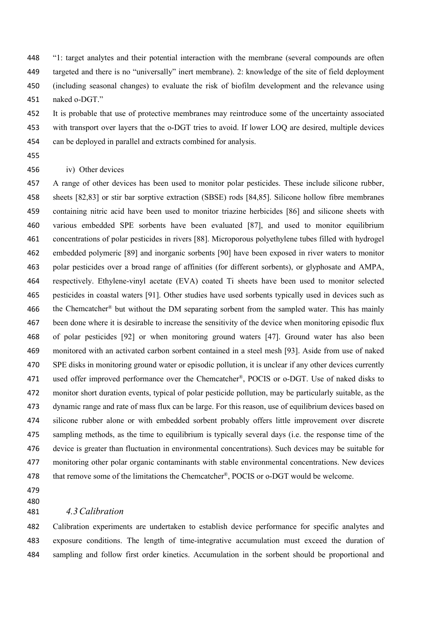"1: target analytes and their potential interaction with the membrane (several compounds are often targeted and there is no "universally" inert membrane). 2: knowledge of the site of field deployment (including seasonal changes) to evaluate the risk of biofilm development and the relevance using naked o-DGT."

 It is probable that use of protective membranes may reintroduce some of the uncertainty associated with transport over layers that the o-DGT tries to avoid. If lower LOQ are desired, multiple devices can be deployed in parallel and extracts combined for analysis.

iv) Other devices

 A range of other devices has been used to monitor polar pesticides. These include silicone rubber, sheets [82,83] or stir bar sorptive extraction (SBSE) rods [84,85]. Silicone hollow fibre membranes containing nitric acid have been used to monitor triazine herbicides [86] and silicone sheets with various embedded SPE sorbents have been evaluated [87], and used to monitor equilibrium concentrations of polar pesticides in rivers [88]. Microporous polyethylene tubes filled with hydrogel embedded polymeric [89] and inorganic sorbents [90] have been exposed in river waters to monitor polar pesticides over a broad range of affinities (for different sorbents), or glyphosate and AMPA, respectively. Ethylene-vinyl acetate (EVA) coated Ti sheets have been used to monitor selected pesticides in coastal waters [91]. Other studies have used sorbents typically used in devices such as 466 the Chemcatcher<sup>®</sup> but without the DM separating sorbent from the sampled water. This has mainly been done where it is desirable to increase the sensitivity of the device when monitoring episodic flux of polar pesticides [92] or when monitoring ground waters [47]. Ground water has also been monitored with an activated carbon sorbent contained in a steel mesh [93]. Aside from use of naked SPE disks in monitoring ground water or episodic pollution, it is unclear if any other devices currently 471 used offer improved performance over the Chemcatcher®, POCIS or o-DGT. Use of naked disks to monitor short duration events, typical of polar pesticide pollution, may be particularly suitable, as the dynamic range and rate of mass flux can be large. For this reason, use of equilibrium devices based on silicone rubber alone or with embedded sorbent probably offers little improvement over discrete sampling methods, as the time to equilibrium is typically several days (i.e. the response time of the device is greater than fluctuation in environmental concentrations). Such devices may be suitable for monitoring other polar organic contaminants with stable environmental concentrations. New devices 478 that remove some of the limitations the Chemcatcher<sup>®</sup>, POCIS or o-DGT would be welcome.

 

#### *4.3Calibration*

 Calibration experiments are undertaken to establish device performance for specific analytes and exposure conditions. The length of time-integrative accumulation must exceed the duration of sampling and follow first order kinetics. Accumulation in the sorbent should be proportional and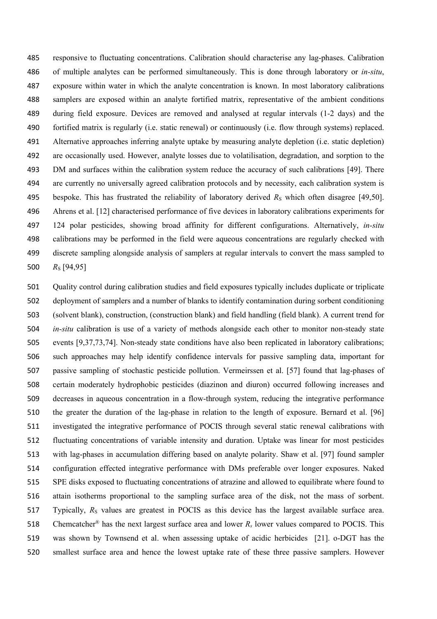responsive to fluctuating concentrations. Calibration should characterise any lag-phases. Calibration of multiple analytes can be performed simultaneously. This is done through laboratory or *in-situ*, exposure within water in which the analyte concentration is known. In most laboratory calibrations samplers are exposed within an analyte fortified matrix, representative of the ambient conditions during field exposure. Devices are removed and analysed at regular intervals (1-2 days) and the fortified matrix is regularly (i.e. static renewal) or continuously (i.e. flow through systems) replaced. Alternative approaches inferring analyte uptake by measuring analyte depletion (i.e. static depletion) are occasionally used. However, analyte losses due to volatilisation, degradation, and sorption to the DM and surfaces within the calibration system reduce the accuracy of such calibrations [49]. There are currently no universally agreed calibration protocols and by necessity, each calibration system is 495 bespoke. This has frustrated the reliability of laboratory derived  $R<sub>S</sub>$  which often disagree [49,50]. Ahrens et al. [12] characterised performance of five devices in laboratory calibrations experiments for 124 polar pesticides, showing broad affinity for different configurations. Alternatively, *in-situ* calibrations may be performed in the field were aqueous concentrations are regularly checked with discrete sampling alongside analysis of samplers at regular intervals to convert the mass sampled to  $R_s$  [94,95]

 Quality control during calibration studies and field exposures typically includes duplicate or triplicate deployment of samplers and a number of blanks to identify contamination during sorbent conditioning (solvent blank), construction, (construction blank) and field handling (field blank). A current trend for *in-situ* calibration is use of a variety of methods alongside each other to monitor non-steady state events [9,37,73,74]. Non-steady state conditions have also been replicated in laboratory calibrations; such approaches may help identify confidence intervals for passive sampling data, important for passive sampling of stochastic pesticide pollution. Vermeirssen et al. [57] found that lag-phases of certain moderately hydrophobic pesticides (diazinon and diuron) occurred following increases and decreases in aqueous concentration in a flow-through system, reducing the integrative performance the greater the duration of the lag-phase in relation to the length of exposure. Bernard et al. [96] investigated the integrative performance of POCIS through several static renewal calibrations with fluctuating concentrations of variable intensity and duration. Uptake was linear for most pesticides with lag-phases in accumulation differing based on analyte polarity. Shaw et al. [97] found sampler configuration effected integrative performance with DMs preferable over longer exposures. Naked SPE disks exposed to fluctuating concentrations of atrazine and allowed to equilibrate where found to attain isotherms proportional to the sampling surface area of the disk, not the mass of sorbent. 517 Typically,  $R<sub>S</sub>$  values are greatest in POCIS as this device has the largest available surface area. 518 Chemcatcher<sup>®</sup> has the next largest surface area and lower  $R_s$  lower values compared to POCIS. This was shown by Townsend et al. when assessing uptake of acidic herbicides [21]. o-DGT has the smallest surface area and hence the lowest uptake rate of these three passive samplers. However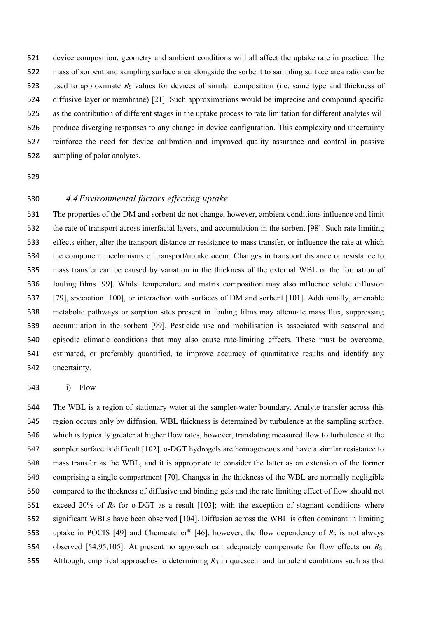device composition, geometry and ambient conditions will all affect the uptake rate in practice. The mass of sorbent and sampling surface area alongside the sorbent to sampling surface area ratio can be 523 used to approximate  $R<sub>S</sub>$  values for devices of similar composition (i.e. same type and thickness of diffusive layer or membrane) [21]. Such approximations would be imprecise and compound specific as the contribution of different stages in the uptake process to rate limitation for different analytes will produce diverging responses to any change in device configuration. This complexity and uncertainty reinforce the need for device calibration and improved quality assurance and control in passive sampling of polar analytes.

- 
- 

## *4.4Environmental factors effecting uptake*

 The properties of the DM and sorbent do not change, however, ambient conditions influence and limit the rate of transport across interfacial layers, and accumulation in the sorbent [98]. Such rate limiting effects either, alter the transport distance or resistance to mass transfer, or influence the rate at which the component mechanisms of transport/uptake occur. Changes in transport distance or resistance to mass transfer can be caused by variation in the thickness of the external WBL or the formation of fouling films [99]. Whilst temperature and matrix composition may also influence solute diffusion [79], speciation [100], or interaction with surfaces of DM and sorbent [101]. Additionally, amenable metabolic pathways or sorption sites present in fouling films may attenuate mass flux, suppressing accumulation in the sorbent [99]. Pesticide use and mobilisation is associated with seasonal and episodic climatic conditions that may also cause rate-limiting effects. These must be overcome, estimated, or preferably quantified, to improve accuracy of quantitative results and identify any uncertainty.

i) Flow

 The WBL is a region of stationary water at the sampler-water boundary. Analyte transfer across this region occurs only by diffusion. WBL thickness is determined by turbulence at the sampling surface, which is typically greater at higher flow rates, however, translating measured flow to turbulence at the sampler surface is difficult [102]. o-DGT hydrogels are homogeneous and have a similar resistance to mass transfer as the WBL, and it is appropriate to consider the latter as an extension of the former comprising a single compartment [70]. Changes in the thickness of the WBL are normally negligible compared to the thickness of diffusive and binding gels and the rate limiting effect of flow should not 551 exceed 20% of  $R<sub>S</sub>$  for o-DGT as a result [103]; with the exception of stagnant conditions where significant WBLs have been observed [104]. Diffusion across the WBL is often dominant in limiting 553 uptake in POCIS [49] and Chemcatcher<sup>®</sup> [46], however, the flow dependency of  $R<sub>S</sub>$  is not always 554 observed [54,95,105]. At present no approach can adequately compensate for flow effects on *R<sub>S</sub>*. 555 Although, empirical approaches to determining  $R<sub>S</sub>$  in quiescent and turbulent conditions such as that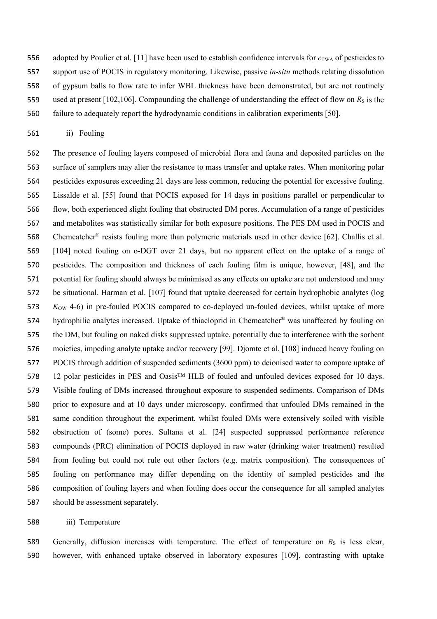556 adopted by Poulier et al.  $[11]$  have been used to establish confidence intervals for  $c_{\text{TWA}}$  of pesticides to support use of POCIS in regulatory monitoring. Likewise, passive *in-situ* methods relating dissolution of gypsum balls to flow rate to infer WBL thickness have been demonstrated, but are not routinely 559 used at present [102,106]. Compounding the challenge of understanding the effect of flow on  $R<sub>S</sub>$  is the failure to adequately report the hydrodynamic conditions in calibration experiments [50].

ii) Fouling

 The presence of fouling layers composed of microbial flora and fauna and deposited particles on the surface of samplers may alter the resistance to mass transfer and uptake rates. When monitoring polar pesticides exposures exceeding 21 days are less common, reducing the potential for excessive fouling. Lissalde et al. [55] found that POCIS exposed for 14 days in positions parallel or perpendicular to flow, both experienced slight fouling that obstructed DM pores. Accumulation of a range of pesticides and metabolites was statistically similar for both exposure positions. The PES DM used in POCIS and 568 Chemcatcher<sup>®</sup> resists fouling more than polymeric materials used in other device [62]. Challis et al. [104] noted fouling on o-DGT over 21 days, but no apparent effect on the uptake of a range of pesticides. The composition and thickness of each fouling film is unique, however, [48], and the potential for fouling should always be minimised as any effects on uptake are not understood and may be situational. Harman et al. [107] found that uptake decreased for certain hydrophobic analytes (log *K*OW 4-6) in pre-fouled POCIS compared to co-deployed un-fouled devices, whilst uptake of more 574 hydrophilic analytes increased. Uptake of thiacloprid in Chemcatcher<sup>®</sup> was unaffected by fouling on the DM, but fouling on naked disks suppressed uptake, potentially due to interference with the sorbent moieties, impeding analyte uptake and/or recovery [99]. Djomte et al. [108] induced heavy fouling on POCIS through addition of suspended sediments (3600 ppm) to deionised water to compare uptake of 578 12 polar pesticides in PES and Oasis™ HLB of fouled and unfouled devices exposed for 10 days. Visible fouling of DMs increased throughout exposure to suspended sediments. Comparison of DMs prior to exposure and at 10 days under microscopy, confirmed that unfouled DMs remained in the same condition throughout the experiment, whilst fouled DMs were extensively soiled with visible obstruction of (some) pores. Sultana et al. [24] suspected suppressed performance reference compounds (PRC) elimination of POCIS deployed in raw water (drinking water treatment) resulted from fouling but could not rule out other factors (e.g. matrix composition). The consequences of fouling on performance may differ depending on the identity of sampled pesticides and the composition of fouling layers and when fouling does occur the consequence for all sampled analytes should be assessment separately.

iii) Temperature

589 Generally, diffusion increases with temperature. The effect of temperature on  $R<sub>S</sub>$  is less clear, however, with enhanced uptake observed in laboratory exposures [109], contrasting with uptake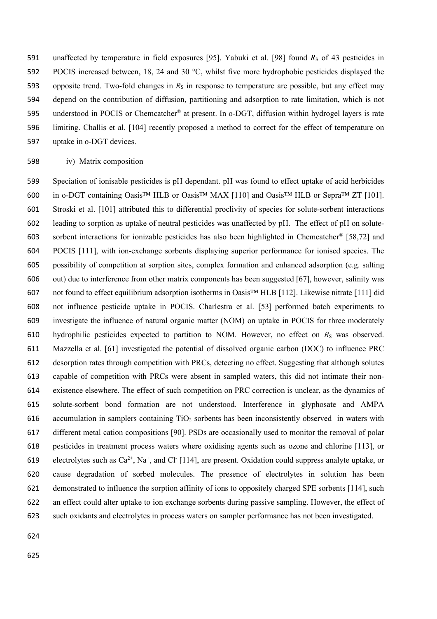591 unaffected by temperature in field exposures [95]. Yabuki et al. [98] found  $R<sub>S</sub>$  of 43 pesticides in POCIS increased between, 18, 24 and 30 °C, whilst five more hydrophobic pesticides displayed the 593 opposite trend. Two-fold changes in  $R<sub>S</sub>$  in response to temperature are possible, but any effect may depend on the contribution of diffusion, partitioning and adsorption to rate limitation, which is not 595 understood in POCIS or Chemcatcher® at present. In o-DGT, diffusion within hydrogel layers is rate limiting. Challis et al. [104] recently proposed a method to correct for the effect of temperature on uptake in o-DGT devices.

iv) Matrix composition

 Speciation of ionisable pesticides is pH dependant. pH was found to effect uptake of acid herbicides in o-DGT containing Oasis™ HLB or Oasis™ MAX [110] and Oasis™ HLB or Sepra™ ZT [101]. Stroski et al. [101] attributed this to differential proclivity of species for solute-sorbent interactions leading to sorption as uptake of neutral pesticides was unaffected by pH. The effect of pH on solute-603 sorbent interactions for ionizable pesticides has also been highlighted in Chemcatcher® [58,72] and POCIS [111], with ion-exchange sorbents displaying superior performance for ionised species. The possibility of competition at sorption sites, complex formation and enhanced adsorption (e.g. salting out) due to interference from other matrix components has been suggested [67], however, salinity was not found to effect equilibrium adsorption isotherms in Oasis™ HLB [112]. Likewise nitrate [111] did not influence pesticide uptake in POCIS. Charlestra et al. [53] performed batch experiments to investigate the influence of natural organic matter (NOM) on uptake in POCIS for three moderately 610 hydrophilic pesticides expected to partition to NOM. However, no effect on  $R<sub>S</sub>$  was observed. Mazzella et al. [61] investigated the potential of dissolved organic carbon (DOC) to influence PRC desorption rates through competition with PRCs, detecting no effect. Suggesting that although solutes capable of competition with PRCs were absent in sampled waters, this did not intimate their non- existence elsewhere. The effect of such competition on PRC correction is unclear, as the dynamics of solute-sorbent bond formation are not understood. Interference in glyphosate and AMPA 616 accumulation in samplers containing  $TiO<sub>2</sub>$  sorbents has been inconsistently observed in waters with different metal cation compositions [90]. PSDs are occasionally used to monitor the removal of polar pesticides in treatment process waters where oxidising agents such as ozone and chlorine [113], or 619 electrolytes such as  $Ca^{2+}$ , Na<sup>+</sup>, and Cl<sup>-</sup> [114], are present. Oxidation could suppress analyte uptake, or cause degradation of sorbed molecules. The presence of electrolytes in solution has been demonstrated to influence the sorption affinity of ions to oppositely charged SPE sorbents [114], such an effect could alter uptake to ion exchange sorbents during passive sampling. However, the effect of such oxidants and electrolytes in process waters on sampler performance has not been investigated.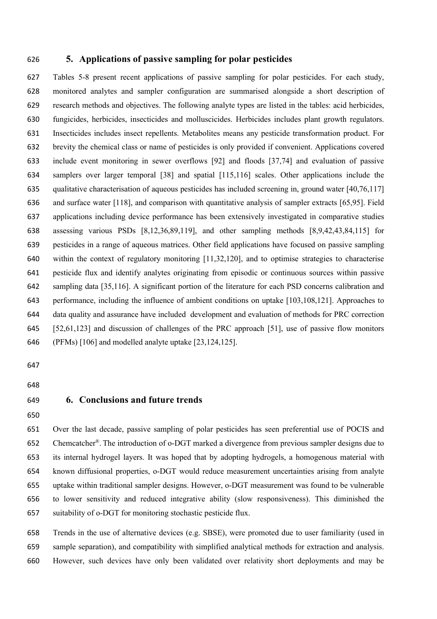#### **5. Applications of passive sampling for polar pesticides**

 Tables 5-8 present recent applications of passive sampling for polar pesticides. For each study, monitored analytes and sampler configuration are summarised alongside a short description of research methods and objectives. The following analyte types are listed in the tables: acid herbicides, fungicides, herbicides, insecticides and molluscicides. Herbicides includes plant growth regulators. Insecticides includes insect repellents. Metabolites means any pesticide transformation product. For brevity the chemical class or name of pesticides is only provided if convenient. Applications covered include event monitoring in sewer overflows [92] and floods [37,74] and evaluation of passive samplers over larger temporal [38] and spatial [115,116] scales. Other applications include the qualitative characterisation of aqueous pesticides has included screening in, ground water [40,76,117] and surface water [118], and comparison with quantitative analysis of sampler extracts [65,95]. Field applications including device performance has been extensively investigated in comparative studies assessing various PSDs [8,12,36,89,119], and other sampling methods [8,9,42,43,84,115] for pesticides in a range of aqueous matrices. Other field applications have focused on passive sampling within the context of regulatory monitoring [11,32,120], and to optimise strategies to characterise pesticide flux and identify analytes originating from episodic or continuous sources within passive sampling data [35,116]. A significant portion of the literature for each PSD concerns calibration and performance, including the influence of ambient conditions on uptake [103,108,121]. Approaches to data quality and assurance have included development and evaluation of methods for PRC correction [52,61,123] and discussion of challenges of the PRC approach [51], use of passive flow monitors (PFMs) [106] and modelled analyte uptake [23,124,125].

## **6. Conclusions and future trends**

 Over the last decade, passive sampling of polar pesticides has seen preferential use of POCIS and 652 Chemcatcher<sup>®</sup>. The introduction of o-DGT marked a divergence from previous sampler designs due to its internal hydrogel layers. It was hoped that by adopting hydrogels, a homogenous material with known diffusional properties, o-DGT would reduce measurement uncertainties arising from analyte uptake within traditional sampler designs. However, o-DGT measurement was found to be vulnerable to lower sensitivity and reduced integrative ability (slow responsiveness). This diminished the suitability of o-DGT for monitoring stochastic pesticide flux.

 Trends in the use of alternative devices (e.g. SBSE), were promoted due to user familiarity (used in sample separation), and compatibility with simplified analytical methods for extraction and analysis. However, such devices have only been validated over relativity short deployments and may be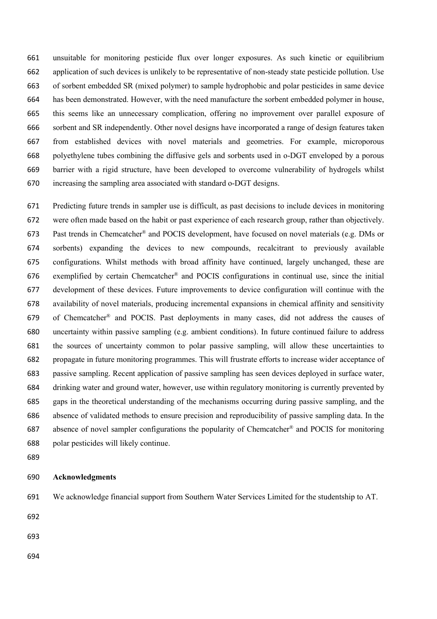unsuitable for monitoring pesticide flux over longer exposures. As such kinetic or equilibrium application of such devices is unlikely to be representative of non-steady state pesticide pollution. Use of sorbent embedded SR (mixed polymer) to sample hydrophobic and polar pesticides in same device has been demonstrated. However, with the need manufacture the sorbent embedded polymer in house, this seems like an unnecessary complication, offering no improvement over parallel exposure of sorbent and SR independently. Other novel designs have incorporated a range of design features taken from established devices with novel materials and geometries. For example, microporous polyethylene tubes combining the diffusive gels and sorbents used in o-DGT enveloped by a porous barrier with a rigid structure, have been developed to overcome vulnerability of hydrogels whilst increasing the sampling area associated with standard o-DGT designs.

 Predicting future trends in sampler use is difficult, as past decisions to include devices in monitoring were often made based on the habit or past experience of each research group, rather than objectively. 673 Past trends in Chemcatcher® and POCIS development, have focused on novel materials (e.g. DMs or sorbents) expanding the devices to new compounds, recalcitrant to previously available configurations. Whilst methods with broad affinity have continued, largely unchanged, these are 676 exemplified by certain Chemcatcher<sup>®</sup> and POCIS configurations in continual use, since the initial development of these devices. Future improvements to device configuration will continue with the availability of novel materials, producing incremental expansions in chemical affinity and sensitivity 679 of Chemcatcher® and POCIS. Past deployments in many cases, did not address the causes of uncertainty within passive sampling (e.g. ambient conditions). In future continued failure to address the sources of uncertainty common to polar passive sampling, will allow these uncertainties to propagate in future monitoring programmes. This will frustrate efforts to increase wider acceptance of passive sampling. Recent application of passive sampling has seen devices deployed in surface water, drinking water and ground water, however, use within regulatory monitoring is currently prevented by gaps in the theoretical understanding of the mechanisms occurring during passive sampling, and the absence of validated methods to ensure precision and reproducibility of passive sampling data. In the 687 absence of novel sampler configurations the popularity of Chemcatcher<sup>®</sup> and POCIS for monitoring polar pesticides will likely continue.

#### **Acknowledgments**

```
691 We acknowledge financial support from Southern Water Services Limited for the studentship to AT.
```
- 
- 
-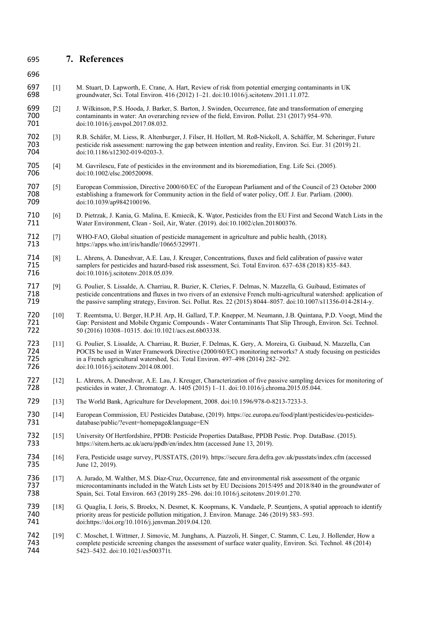## 695 **7. References**

#### 696

- 697 [1] M. Stuart, D. Lapworth, E. Crane, A. Hart, Review of risk from potential emerging contaminants in UK groundwater, Sci. Total Environ. 416 (2012) 1–21. doi:10.1016/j.scitotenv.2011.11.072. 698 groundwater, Sci. Total Environ. 416 (2012) 1–21. doi:10.1016/j.scitotenv.2011.11.072.
- 699 [2] J. Wilkinson, P.S. Hooda, J. Barker, S. Barton, J. Swinden, Occurrence, fate and transformation of emerging 700 contaminants in water: An overarching review of the field, Environ. Pollut. 231 (2017) 954–970.<br>701 coi:10.1016/j.envpol.2017.08.032. 701 doi:10.1016/j.envpol.2017.08.032.
- 702 [3] R.B. Schäfer, M. Liess, R. Altenburger, J. Filser, H. Hollert, M. Roß-Nickoll, A. Schäffer, M. Scheringer, Future pesticide risk assessment: narrowing the gap between intention and reality, Environ. Sci. Eur. 31 (2 pesticide risk assessment: narrowing the gap between intention and reality, Environ. Sci. Eur. 31 (2019) 21. 704 doi:10.1186/s12302-019-0203-3.
- 705 [4] M. Gavrilescu, Fate of pesticides in the environment and its bioremediation, Eng. Life Sci. (2005).<br>706 coi:10.1002/elsc.200520098. doi:10.1002/elsc.200520098.
- 707 [5] European Commission, Directive 2000/60/EC of the European Parliament and of the Council of 23 October 2000<br>708 establishing a framework for Community action in the field of water policy. Off. J. Eur. Parliam. (2000 708 establishing a framework for Community action in the field of water policy, Off. J. Eur. Parliam. (2000).<br>709 doi:10.1039/ap9842100196. 709 doi:10.1039/ap9842100196.
- 710 [6] D. Pietrzak, J. Kania, G. Malina, E. Kmiecik, K. Wątor, Pesticides from the EU First and Second Watch Lists in the Water Environment. Clean Soil. Air. Water. (2019). doi:10.1002/clen.201800376. 711 Water Environment, Clean - Soil, Air, Water. (2019). doi:10.1002/clen.201800376.
- 712 [7] WHO-FAO, Global situation of pesticide management in agriculture and public health, (2018).<br>713 https://apps.who.int/iris/handle/10665/329971. https://apps.who.int/iris/handle/10665/329971.
- 714 [8] L. Ahrens, A. Daneshvar, A.E. Lau, J. Kreuger, Concentrations, fluxes and field calibration of passive water 715 samplers for pesticides and hazard-based risk assessment, Sci. Total Environ. 637–638 (2018) 835–843.<br>716 doi:10.1016/i.scitotenv.2018.05.039. 716 doi:10.1016/j.scitotenv.2018.05.039.
- 717 [9] G. Poulier, S. Lissalde, A. Charriau, R. Buzier, K. Cleries, F. Delmas, N. Mazzella, G. Guibaud, Estimates of pesticide concentrations and fluxes in two rivers of an extensive French multi-agricultural watershed: a 718 pesticide concentrations and fluxes in two rivers of an extensive French multi-agricultural watershed: application of the passive sampling strategy, Environ. Sci. Pollut. Res. 22 (2015) 8044–8057. doi:10.1007/s11356-01 719 the passive sampling strategy, Environ. Sci. Pollut. Res. 22 (2015) 8044–8057. doi:10.1007/s11356-014-2814-y.
- 720 [10] T. Reemtsma, U. Berger, H.P.H. Arp, H. Gallard, T.P. Knepper, M. Neumann, J.B. Quintana, P.D. Voogt, Mind the Gap: Persistent and Mobile Organic Compounds Water Contaminants That Slip Through, Environ. Sci. Tech 721 Gap: Persistent and Mobile Organic Compounds - Water Contaminants That Slip Through, Environ. Sci. Technol.<br>722 50 (2016) 10308–10315. doi:10.1021/acs.est.6b03338. 722 50 (2016) 10308–10315. doi:10.1021/acs.est.6b03338.
- 723 [11] G. Poulier, S. Lissalde, A. Charriau, R. Buzier, F. Delmas, K. Gery, A. Moreira, G. Guibaud, N. Mazzella, Can 724 POCIS be used in Water Framework Directive (2000/60/EC) monitoring networks? A study focusing on pesticides 725 in a French agricultural watershed, Sci. Total Environ. 497–498 (2014) 282–292.<br>726 doi:10.1016/j.scitotenv.2014.08.001. 726 doi:10.1016/j.scitotenv.2014.08.001.
- 727 [12] L. Ahrens, A. Daneshvar, A.E. Lau, J. Kreuger, Characterization of five passive sampling devices for monitoring of pesticides in water, J. Chromatogr. A. 1405 (2015) 1-11. doi:10.1016/j.chroma.2015.05.044. 728 pesticides in water, J. Chromatogr. A. 1405 (2015) 1–11. doi:10.1016/j.chroma.2015.05.044.
- 729 [13] The World Bank, Agriculture for Development, 2008. doi:10.1596/978-0-8213-7233-3.
- 730 [14] European Commission, EU Pesticides Database, (2019). https://ec.europa.eu/food/plant/pesticides/eu-pesticides-<br>731 database/public/?event=homepage&language=EN database/public/?event=homepage&language=EN
- 732 [15] University Of Hertfordshire, PPDB: Pesticide Properties DataBase, PPDB Pestic. Prop. DataBase. (2015).<br>733 https://sitem.herts.ac.uk/aeru/ppdb/en/index.htm (accessed June 13, 2019). https://sitem.herts.ac.uk/aeru/ppdb/en/index.htm (accessed June 13, 2019).
- 734 [16] Fera, Pesticide usage survey, PUSSTATS, (2019). https://secure.fera.defra.gov.uk/pusstats/index.cfm (accessed June 12, 2019).
- 736 [17] A. Jurado, M. Walther, M.S. Díaz-Cruz, Occurrence, fate and environmental risk assessment of the organic<br>737 microcontaminants included in the Watch Lists set by EU Decisions 2015/495 and 2018/840 in the groundy 737 microcontaminants included in the Watch Lists set by EU Decisions 2015/495 and 2018/840 in the groundwater of<br>738 Spain, Sci. Total Environ. 663 (2019) 285–296. doi:10.1016/j.scitoteny.2019.01.270. 738 Spain, Sci. Total Environ. 663 (2019) 285–296. doi:10.1016/j.scitotenv.2019.01.270.
- 739 [18] G. Quaglia, I. Joris, S. Broekx, N. Desmet, K. Koopmans, K. Vandaele, P. Seuntjens, A spatial approach to identify<br>740 report of the spatial approach to identify<br>740 report of the restriction of the priority areas 740 priority areas for pesticide pollution mitigation, J. Environ. Manage. 246 (2019) 583–593.<br>741 doi:https://doi.org/10.1016/j.ienyman.2019.04.120. 741 doi:https://doi.org/10.1016/j.jenvman.2019.04.120.
- 742 [19] C. Moschet, I. Wittmer, J. Simovic, M. Junghans, A. Piazzoli, H. Singer, C. Stamm, C. Leu, J. Hollender, How a<br>743 complete pesticide screening changes the assessment of surface water quality, Environ. Sci. Techno 743 complete pesticide screening changes the assessment of surface water quality, Environ. Sci. Technol. 48 (2014)<br>744 5423–5432. doi:10.1021/es500371t. 5423-5432. doi:10.1021/es500371t.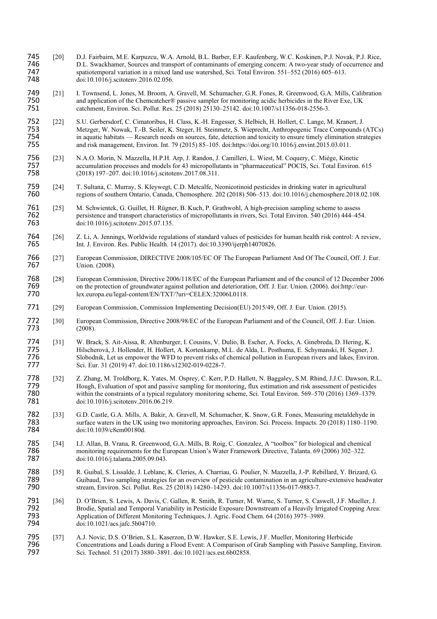- 745 [20] D.J. Fairbairn, M.E. Karpuzcu, W.A. Arnold, B.L. Barber, E.F. Kaufenberg, W.C. Koskinen, P.J. Novak, P.J. Rice, 746 D.L. Swackhamer, Sources and transport of contaminants of emerging concern: A two-year study of occurrence and spatiotemporal variation in a mixed land use watershed, Sci. Total Environ. 551–552 (2016) 605–613. 747 spatiotemporal variation in a mixed land use watershed, Sci. Total Environ. 551–552 (2016) 605–613.<br>748 doi:10.1016/j.scitotenv.2016.02.056. 748 doi:10.1016/j.scitotenv.2016.02.056.
- 749 [21] I. Townsend, L. Jones, M. Broom, A. Gravell, M. Schumacher, G.R. Fones, R. Greenwood, G.A. Mills, Calibration and application of the Chemcatcher® passive sampler for monitoring acidic herbicides in the River Exe, 750 and application of the Chemcatcher® passive sampler for monitoring acidic herbicides in the River Exe, UK<br>751 catchment, Environ. Sci. Pollut. Res. 25 (2018) 25130–25142. doi:10.1007/s11356-018-2556-3. catchment, Environ. Sci. Pollut. Res. 25 (2018) 25130-25142. doi:10.1007/s11356-018-2556-3.
- 752 [22] S.U. Gerbersdorf, C. Cimatoribus, H. Class, K.-H. Engesser, S. Helbich, H. Hollert, C. Lange, M. Kranert, J. 753 Metzger, W. Nowak, T.-B. Seiler, K. Steger, H. Steinmetz, S. Wieprecht, Anthropogenic Trace Compounds (ATCs)<br>754 in aquatic habitats — Research needs on sources, fate, detection and toxicity to ensure timely eliminatio 754 in aquatic habitats — Research needs on sources, fate, detection and toxicity to ensure timely elimination strategies<br>755 and risk management, Environ. Int. 79 (2015) 85–105. doi:https://doi.org/10.1016/j.envint.2015.0 755 and risk management, Environ. Int. 79 (2015) 85–105. doi:https://doi.org/10.1016/j.envint.2015.03.011.
- 756 [23] N.A.O. Morin, N. Mazzella, H.P.H. Arp, J. Randon, J. Camilleri, L. Wiest, M. Coquery, C. Miège, Kinetic 757 accumulation processes and models for 43 micropollutants in "pharmaceutical" POCIS, Sci. Total Environ. 615<br>758 (2018) 197–207. doi:10.1016/j.scitotenv.2017.08.311.  $(2018)$  197–207. doi:10.1016/j.scitotenv.2017.08.311.
- 759 [24] T. Sultana, C. Murray, S. Kleywegt, C.D. Metcalfe, Neonicotinoid pesticides in drinking water in agricultural 760 regions of southern Ontario, Canada, Chemosphere. 202 (2018) 506–513. doi:10.1016/j.chemosphere.2018.02.108.
- 761 [25] M. Schwientek, G. Guillet, H. Rügner, B. Kuch, P. Grathwohl, A high-precision sampling scheme to assess persistence and transport characteristics of micropollutants in rivers, Sci. Total Environ. 540 (2016) 444–45 762 persistence and transport characteristics of micropollutants in rivers, Sci. Total Environ. 540 (2016) 444–454. 763 doi:10.1016/j.scitotenv.2015.07.135.
- 764 [26] Z. Li, A. Jennings, Worldwide regulations of standard values of pesticides for human health risk control: A review,<br>765 Int. J. Environ. Res. Public Health. 14 (2017). doi:10.3390/iierph14070826. 765 Int. J. Environ. Res. Public Health. 14 (2017). doi:10.3390/ijerph14070826.
- 766 [27] European Commission, DIRECTIVE 2008/105/EC OF The European Parliament And Of The Council, Off. J. Eur. 767 Union. (2008).
- 768 [28] European Commission, Directive 2006/118/EC of the European Parliament and of the council of 12 December 2006<br>769 on the protection of groundwater against pollution and deterioration, Off. J. Eur. Union. (2006). do 769 on the protection of groundwater against pollution and deterioration, Off. J. Eur. Union. (2006). doi:http://eur-<br>770 sex.europa.eu/legal-content/EN/TXT/?uri=CELEX:32006L0118. lex.europa.eu/legal-content/EN/TXT/?uri=CELEX:32006L0118.
- 771 [29] European Commission, Commission Implementing Decision(EU) 2015/49, Off. J. Eur. Union. (2015).
- 772 [30] European Commission, Directive 2008/98/EC of the European Parliament and of the Council, Off. J. Eur. Union.<br>773 (2008).  $(2008)$ .
- 774 [31] W. Brack, S. Ait-Aissa, R. Altenburger, I. Cousins, V. Dulio, B. Escher, A. Focks, A. Ginebreda, D. Hering, K. 775 Hilscherová, J. Hollender, H. Hollert, A. Kortenkamp, M.L. de Alda, L. Posthuma, E. Schymanski, H. Segner, J. 776 Slobodnik, Let us empower the WFD to prevent risks of chemical pollution in European rivers and lakes, Environ.<br>777 Sci. Eur. 31 (2019) 47. doi:10.1186/s12302-019-0228-7. Sci. Eur. 31 (2019) 47. doi:10.1186/s12302-019-0228-7.
- 778 [32] Z. Zhang, M. Troldborg, K. Yates, M. Osprey, C. Kerr, P.D. Hallett, N. Baggaley, S.M. Rhind, J.J.C. Dawson, R.L.<br>779 Hough, Evaluation of spot and passive sampling for monitoring, flux estimation and risk assessme 779 Hough, Evaluation of spot and passive sampling for monitoring, flux estimation and risk assessment of pesticides<br>780 within the constraints of a typical regulatory monitoring scheme. Sci. Total Environ. 569–570 (2016) 780 within the constraints of a typical regulatory monitoring scheme, Sci. Total Environ. 569–570 (2016) 1369–1379.<br>781 doi:10.1016/i.scitoteny.2016.06.219. 781 doi:10.1016/j.scitotenv.2016.06.219.
- 782 [33] G.D. Castle, G.A. Mills, A. Bakir, A. Gravell, M. Schumacher, K. Snow, G.R. Fones, Measuring metaldehyde in surface waters in the UK using two monitoring approaches, Environ. Sci. Process. Impacts. 20 (2018) 1180– 783 surface waters in the UK using two monitoring approaches, Environ. Sci. Process. Impacts. 20 (2018) 1180–1190.<br>784 doi:10.1039/c8em00180d. doi:10.1039/c8em00180d.
- 785 [34] I.J. Allan, B. Vrana, R. Greenwood, G.A. Mills, B. Roig, C. Gonzalez, A "toolbox" for biological and chemical 786 monitoring requirements for the European Union's Water Framework Directive, Talanta. 69 (2006) 302–322.<br>787 doi:10.1016/i.talanta.2005.09.043. 787 doi:10.1016/j.talanta.2005.09.043.
- 788 [35] R. Guibal, S. Lissalde, J. Leblanc, K. Cleries, A. Charriau, G. Poulier, N. Mazzella, J.-P. Rebillard, Y. Brizard, G.<br>789 Guibaud, Two sampling strategies for an overview of pesticide contamination in an agricultu 789 Guibaud, Two sampling strategies for an overview of pesticide contamination in an agriculture-extensive headwater 790 stream, Environ. Sci. Pollut. Res. 25 (2018) 14280-14293. doi:10.1007/s11356-017-9883-7. stream, Environ. Sci. Pollut. Res. 25 (2018) 14280-14293. doi:10.1007/s11356-017-9883-7.
- 791 [36] D. O'Brien, S. Lewis, A. Davis, C. Gallen, R. Smith, R. Turner, M. Warne, S. Turner, S. Caswell, J.F. Mueller, J. 792 Brodie, Spatial and Temporal Variability in Pesticide Exposure Downstream of a Heavily Irrigated Cropping Area:<br>793 Application of Different Monitoring Techniques, J. Agric. Food Chem. 64 (2016) 3975–3989.<br>794 doi:10.1 793 Application of Different Monitoring Techniques, J. Agric. Food Chem. 64 (2016) 3975–3989. doi:10.1021/acs.jafc.5b04710.
- 795 [37] A.J. Novic, D.S. O'Brien, S.L. Kaserzon, D.W. Hawker, S.E. Lewis, J.F. Mueller, Monitoring Herbicide<br>796 Concentrations and Loads during a Flood Event: A Comparison of Grab Sampling with Passive Sampling<br>797 Sci. 796 Concentrations and Loads during a Flood Event: A Comparison of Grab Sampling with Passive Sampling, Environ. Sci. Technol. 51 (2017) 3880-3891. doi:10.1021/acs.est.6b02858.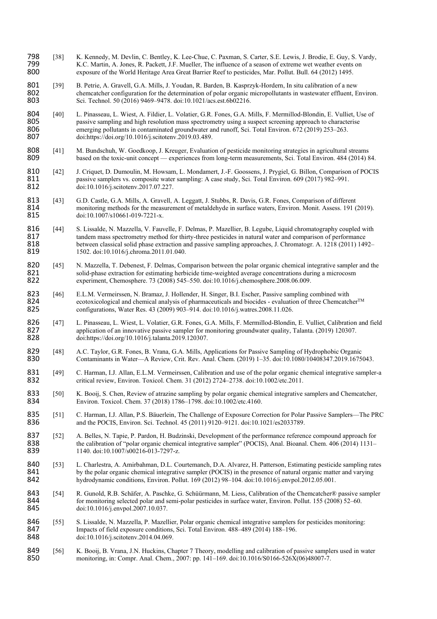- 798 [38] K. Kennedy, M. Devlin, C. Bentley, K. Lee-Chue, C. Paxman, S. Carter, S.E. Lewis, J. Brodie, E. Guy, S. Vardy, 799 K.C. Martin, A. Jones, R. Packett, J.F. Mueller. The influence of a season of extreme wet weather 799 K.C. Martin, A. Jones, R. Packett, J.F. Mueller, The influence of a season of extreme wet weather events on exposure of the World Heritage Area Great Barrier Reef to pesticides, Mar. Pollut. Bull. 64 (2012) 1495. 800 exposure of the World Heritage Area Great Barrier Reef to pesticides, Mar. Pollut. Bull. 64 (2012) 1495.
- 801 [39] B. Petrie, A. Gravell, G.A. Mills, J. Youdan, R. Barden, B. Kasprzyk-Hordern, In situ calibration of a new<br>802 chemeatcher configuration for the determination of polar organic micropollutants in wastewater effluen 802 chemcatcher configuration for the determination of polar organic micropollutants in wastewater effluent, Environ.<br>803 Sci. Technol. 50 (2016) 9469–9478. doi:10.1021/acs.est.6b02216. 803 Sci. Technol. 50 (2016) 9469–9478. doi:10.1021/acs.est.6b02216.
- 804 [40] L. Pinasseau, L. Wiest, A. Fildier, L. Volatier, G.R. Fones, G.A. Mills, F. Mermillod-Blondin, E. Vulliet, Use of passive sampling and high resolution mass spectrometry using a suspect screening approach to charac 805 passive sampling and high resolution mass spectrometry using a suspect screening approach to characterise<br>806 emerging pollutants in contaminated groundwater and runoff, Sci. Total Environ. 672 (2019) 253–263. 806 emerging pollutants in contaminated groundwater and runoff, Sci. Total Environ. 672 (2019) 253–263.<br>807 doi:https://doi.org/10.1016/j.scitotenv.2019.03.489. 807 doi:https://doi.org/10.1016/j.scitotenv.2019.03.489.
- 808 [41] M. Bundschuh, W. Goedkoop, J. Kreuger, Evaluation of pesticide monitoring strategies in agricultural streams<br>809 based on the toxic-unit concept experiences from long-term measurements, Sci. Total Environ. 484 ( based on the toxic-unit concept — experiences from long-term measurements, Sci. Total Environ. 484 (2014) 84.
- 810 [42] J. Criquet, D. Dumoulin, M. Howsam, L. Mondamert, J.-F. Goossens, J. Prygiel, G. Billon, Comparison of POCIS<br>811 oassive samplers vs. composite water sampling: A case study. Sci. Total Environ. 609 (2017) 982–991. 811 passive samplers vs. composite water sampling: A case study, Sci. Total Environ. 609 (2017) 982–991.<br>812 doi:10.1016/j.scitotenv.2017.07.227. 812 doi:10.1016/j.scitotenv.2017.07.227.
- 813 [43] G.D. Castle, G.A. Mills, A. Gravell, A. Leggatt, J. Stubbs, R. Davis, G.R. Fones, Comparison of different monitoring methods for the measurement of metaldehyde in surface waters. Environ. Monit. Assess. 191 ( 814 monitoring methods for the measurement of metaldehyde in surface waters, Environ. Monit. Assess. 191 (2019).<br>815 doi:10.1007/s10661-019-7221-x. 815 doi:10.1007/s10661-019-7221-x.
- 816 [44] S. Lissalde, N. Mazzella, V. Fauvelle, F. Delmas, P. Mazellier, B. Legube, Liquid chromatography coupled with tandem mass spectrometry method for thirty-three pesticides in natural water and comparison of performa 817 tandem mass spectrometry method for thirty-three pesticides in natural water and comparison of performance<br>818 between classical solid phase extraction and passive sampling approaches. J. Chromatogr. A. 1218 (2011) 149 818 between classical solid phase extraction and passive sampling approaches, J. Chromatogr. A. 1218 (2011) 1492–<br>819 1502. doi:10.1016/j.chroma.2011.01.040. 819 1502. doi:10.1016/j.chroma.2011.01.040.
- 820 [45] N. Mazzella, T. Debenest, F. Delmas, Comparison between the polar organic chemical integrative sampler and the solid-phase extraction for estimating herbicide time-weighted average concentrations during a microcos 821 solid-phase extraction for estimating herbicide time-weighted average concentrations during a microcosm<br>822 experiment, Chemosphere. 73 (2008) 545–550. doi:10.1016/j.chemosphere.2008.06.009. experiment, Chemosphere. 73 (2008) 545–550. doi:10.1016/j.chemosphere.2008.06.009.
- 823 [46] E.L.M. Vermeirssen, N. Bramaz, J. Hollender, H. Singer, B.I. Escher, Passive sampling combined with<br>824 ecotoxicological and chemical analysis of pharmaceuticals and biocides evaluation of three Chemcatcl<br>825 ex ecotoxicological and chemical analysis of pharmaceuticals and biocides - evaluation of three Chemcatcher<sup>TM</sup> 825 configurations, Water Res. 43 (2009) 903–914. doi:10.1016/j.watres.2008.11.026.
- 826 [47] L. Pinasseau, L. Wiest, L. Volatier, G.R. Fones, G.A. Mills, F. Mermillod-Blondin, E. Vulliet, Calibration and field<br>827 application of an innovative passive sampler for monitoring groundwater quality, Talanta. (2 application of an innovative passive sampler for monitoring groundwater quality, Talanta. (2019) 120307. 828 doi:https://doi.org/10.1016/j.talanta.2019.120307.
- 829 [48] A.C. Taylor, G.R. Fones, B. Vrana, G.A. Mills, Applications for Passive Sampling of Hydrophobic Organic<br>830 Contaminants in Water—A Review. Crit. Rev. Anal. Chem. (2019) 1–35. doi:10.1080/10408347.2019.1675 830 Contaminants in Water—A Review, Crit. Rev. Anal. Chem. (2019) 1–35. doi:10.1080/10408347.2019.1675043.
- 831 [49] C. Harman, I.J. Allan, E.L.M. Vermeirssen, Calibration and use of the polar organic chemical integrative sampler-a<br>832 critical review, Environ. Toxicol. Chem. 31 (2012) 2724–2738. doi:10.1002/etc.2011. 832 critical review, Environ. Toxicol. Chem. 31 (2012) 2724–2738. doi:10.1002/etc.2011.
- 833 [50] K. Booij, S. Chen, Review of atrazine sampling by polar organic chemical integrative samplers and Chemcatcher,<br>834 Environ. Toxicol. Chem. 37 (2018) 1786–1798. doi:10.1002/etc.4160. Environ. Toxicol. Chem. 37 (2018) 1786–1798. doi:10.1002/etc.4160.
- 835 [51] C. Harman, I.J. Allan, P.S. Bäuerlein, The Challenge of Exposure Correction for Polar Passive Samplers—The PRC and the POCIS, Environ. Sci. Technol. 45 (2011) 9120–9121. doi:10.1021/es2033789. and the POCIS, Environ. Sci. Technol. 45 (2011) 9120-9121. doi:10.1021/es2033789.
- 837 [52] A. Belles, N. Tapie, P. Pardon, H. Budzinski, Development of the performance reference compound approach for<br>838 the calibration of "polar organic chemical integrative sampler" (POCIS), Anal. Bioanal. Chem. 406 (2 838 the calibration of "polar organic chemical integrative sampler" (POCIS), Anal. Bioanal. Chem. 406 (2014) 1131–839 1140. doi:10.1007/s00216-013-7297-z. 839 1140. doi:10.1007/s00216-013-7297-z.
- 840 [53] L. Charlestra, A. Amirbahman, D.L. Courtemanch, D.A. Alvarez, H. Patterson, Estimating pesticide sampling rates by the polar organic chemical integrative sampler (POCIS) in the presence of natural organic matter a 841 by the polar organic chemical integrative sampler (POCIS) in the presence of natural organic matter and varying<br>842 hydrodynamic conditions, Environ. Pollut. 169 (2012) 98–104. doi:10.1016/j.envpol.2012.05.001. 842 hydrodynamic conditions, Environ. Pollut. 169 (2012) 98–104. doi:10.1016/j.envpol.2012.05.001.
- 843 [54] R. Gunold, R.B. Schäfer, A. Paschke, G. Schüürmann, M. Liess, Calibration of the Chemcatcher® passive sampler<br>844 for monitoring selected polar and semi-polar pesticides in surface water, Environ. Pollut. 155 (200 844 for monitoring selected polar and semi-polar pesticides in surface water, Environ. Pollut. 155 (2008) 52–60.<br>845 doi:10.1016/j.envpol.2007.10.037. 845 doi:10.1016/j.envpol.2007.10.037.
- 846 [55] S. Lissalde, N. Mazzella, P. Mazellier, Polar organic chemical integrative samplers for pesticides monitoring:<br>847 Impacts of field exposure conditions, Sci. Total Environ. 488–489 (2014) 188–196. 847 Impacts of field exposure conditions, Sci. Total Environ.  $488-489(2014)188-196$ .<br>848 doi:10.1016/j.scitotenv.2014.04.069. 848 doi:10.1016/j.scitotenv.2014.04.069.
- 849 [56] K. Booij, B. Vrana, J.N. Huckins, Chapter 7 Theory, modelling and calibration of passive samplers used in water<br>850 monitoring, in: Compr. Anal. Chem., 2007: pp. 141–169. doi:10.1016/S0166-526X(06)48007-7. monitoring, in: Compr. Anal. Chem., 2007: pp. 141–169. doi:10.1016/S0166-526X(06)48007-7.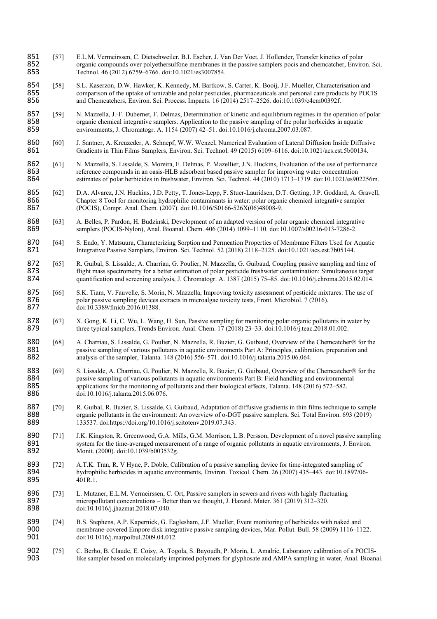- 851 [57] E.L.M. Vermeirssen, C. Dietschweiler, B.I. Escher, J. Van Der Voet, J. Hollender, Transfer kinetics of polar organic compounds over polyethersulfone membranes in the passive samplers pocis and chemcatcher, Environ 852 organic compounds over polyethersulfone membranes in the passive samplers pocis and chemcatcher, Environ. Sci.<br>853 Technol. 46 (2012) 6759–6766. doi:10.1021/es3007854. Technol. 46 (2012) 6759–6766. doi:10.1021/es3007854.
- 854 [58] S.L. Kaserzon, D.W. Hawker, K. Kennedy, M. Bartkow, S. Carter, K. Booij, J.F. Mueller, Characterisation and comparison of the uptake of ionizable and polar pesticides, pharmaceuticals and personal care products by 855 comparison of the uptake of ionizable and polar pesticides, pharmaceuticals and personal care products by POCIS<br>856 and Chemcatchers, Environ. Sci. Process. Impacts. 16 (2014) 2517–2526. doi:10.1039/c4em00392f. 856 and Chemcatchers, Environ. Sci. Process. Impacts. 16 (2014) 2517–2526. doi:10.1039/c4em00392f.
- 857 [59] N. Mazzella, J.-F. Dubernet, F. Delmas, Determination of kinetic and equilibrium regimes in the operation of polar organic chemical integrative samplers. Application to the passive sampling of the polar herbicides 858 organic chemical integrative samplers. Application to the passive sampling of the polar herbicides in aquatic<br>859 organization environments, J. Chromatogr. A. 1154 (2007) 42–51. doi:10.1016/j.chroma.2007.03.087. 859 environments, J. Chromatogr. A. 1154 (2007) 42–51. doi:10.1016/j.chroma.2007.03.087.
- 860 [60] J. Santner, A. Kreuzeder, A. Schnepf, W.W. Wenzel, Numerical Evaluation of Lateral Diffusion Inside Diffusive<br>861 Gradients in Thin Films Samplers, Environ. Sci. Technol. 49 (2015) 6109–6116. doi:10.1021/acs.est.5 861 Gradients in Thin Films Samplers, Environ. Sci. Technol. 49 (2015) 6109–6116. doi:10.1021/acs.est.5b00134.
- 862 [61] N. Mazzella, S. Lissalde, S. Moreira, F. Delmas, P. Mazellier, J.N. Huckins, Evaluation of the use of performance reference compounds in an oasis-HLB adsorbent based passive sampler for improving water concentrati 863 reference compounds in an oasis-HLB adsorbent based passive sampler for improving water concentration<br>864 estimates of polar herbicides in freshwater. Environ. Sci. Technol. 44 (2010) 1713–1719. doi:10.1021/es90 estimates of polar herbicides in freshwater, Environ. Sci. Technol. 44 (2010) 1713–1719. doi:10.1021/es902256m.
- 865 [62] D.A. Alvarez, J.N. Huckins, J.D. Petty, T. Jones-Lepp, F. Stuer-Lauridsen, D.T. Getting, J.P. Goddard, A. Gravell, Chapter 8 Tool for monitoring hydrophilic contaminants in water: polar organic chemical integrativ 866 Chapter 8 Tool for monitoring hydrophilic contaminants in water: polar organic chemical integrative sampler<br>867 (POCIS), Compr. Anal. Chem. (2007), doi:10.1016/S0166-526X(06)48008-9. 867 (POCIS), Compr. Anal. Chem. (2007). doi:10.1016/S0166-526X(06)48008-9.
- 868 [63] A. Belles, P. Pardon, H. Budzinski, Development of an adapted version of polar organic chemical integrative samplers (POCIS-Nylon), Anal. Bioanal. Chem. 406 (2014) 1099–1110. doi:10.1007/s00216-013-7286-2. samplers (POCIS-Nylon), Anal. Bioanal. Chem. 406 (2014) 1099-1110. doi:10.1007/s00216-013-7286-2.
- 870 [64] S. Endo, Y. Matsuura, Characterizing Sorption and Permeation Properties of Membrane Filters Used for Aquatic Integrative Passive Samplers, Environ. Sci. Technol. 52 (2018) 2118–2125. doi:10.1021/acs.est.7b05144. 871 Integrative Passive Samplers, Environ. Sci. Technol. 52 (2018) 2118–2125. doi:10.1021/acs.est.7b05144.
- 872 [65] R. Guibal, S. Lissalde, A. Charriau, G. Poulier, N. Mazzella, G. Guibaud, Coupling passive sampling and time of 873 873 flight mass spectrometry for a better estimation of polar pesticide freshwater contamination: Simultaneous target quantification and screening analysis. J. Chromatogr. A. 1387 (2015) 75–85. doi:10.1016/i.chroma.2015.02 quantification and screening analysis, J. Chromatogr. A. 1387 (2015) 75–85. doi:10.1016/j.chroma.2015.02.014.
- 875 [66] S.K. Tiam, V. Fauvelle, S. Morin, N. Mazzella, Improving toxicity assessment of pesticide mixtures: The use of polar passive sampling devices extracts in microalgae toxicity tests, Front. Microbiol. 7 (2016). 876 polar passive sampling devices extracts in microalgae toxicity tests, Front. Microbiol. 7 (2016).<br>877 doi:10.3389/fmicb.2016.01388. 877 doi:10.3389/fmicb.2016.01388.
- 878 [67] X. Gong, K. Li, C. Wu, L. Wang, H. Sun, Passive sampling for monitoring polar organic pollutants in water by three typical samplers, Trends Environ. Anal. Chem. 17 (2018) 23–33. doi:10.1016/j.teac.2018.01.002. 879 three typical samplers, Trends Environ. Anal. Chem. 17 (2018) 23–33. doi:10.1016/j.teac.2018.01.002.
- 880 [68] A. Charriau, S. Lissalde, G. Poulier, N. Mazzella, R. Buzier, G. Guibaud, Overview of the Chemcatcher® for the passive sampling of various pollutants in aquatic environments Part A: Principles, calibration, prepar 881 passive sampling of various pollutants in aquatic environments Part A: Principles, calibration, preparation and analysis of the sampler, Talanta. 148 (2016) 556–571. doi:10.1016/j.talanta. 2015.06.064. analysis of the sampler, Talanta. 148 (2016) 556–571. doi:10.1016/j.talanta.2015.06.064.
- 883 [69] S. Lissalde, A. Charriau, G. Poulier, N. Mazzella, R. Buzier, G. Guibaud, Overview of the Chemcatcher® for the passive sampling of various pollutants in aquatic environments Part B: Field handling and environmenta 884 passive sampling of various pollutants in aquatic environments Part B: Field handling and environmental 885 applications for the monitoring of pollutants and their biological effects, Talanta. 148 (2016) 572–582. 885 applications for the monitoring of pollutants and their biological effects, Talanta. 148 (2016) 572–582.<br>886 doi:10.1016/i.talanta.2015.06.076. 886 doi:10.1016/j.talanta.2015.06.076.
- 887 [70] R. Guibal, R. Buzier, S. Lissalde, G. Guibaud, Adaptation of diffusive gradients in thin films technique to sample<br>888 crganic pollutants in the environment: An overview of o-DGT passive samplers, Sci. Total Envir 888 organic pollutants in the environment: An overview of o-DGT passive samplers, Sci. Total Environ. 693 (2019)<br>889 133537. doi:https://doi.org/10.1016/j.scitotenv.2019.07.343. 889 133537. doi:https://doi.org/10.1016/j.scitotenv.2019.07.343.
- 890 [71] J.K. Kingston, R. Greenwood, G.A. Mills, G.M. Morrison, L.B. Persson, Development of a novel passive sampling system for the time-averaged measurement of a range of organic pollutants in aquatic environments, J. E 891 system for the time-averaged measurement of a range of organic pollutants in aquatic environments, J. Environ.<br>892 Monit. (2000). doi:10.1039/b003532g. Monit. (2000). doi:10.1039/b003532g.
- 893 [72] A.T.K. Tran, R. V Hyne, P. Doble, Calibration of a passive sampling device for time-integrated sampling of hydrophilic herbicides in aquatic environments. Environ, Toxicol, Chem. 26 (2007) 435–443, doi:10.1897/06 894 hydrophilic herbicides in aquatic environments, Environ. Toxicol. Chem. 26 (2007) 435–443. doi:10.1897/06-<br>895 401R.1. 401R.1.
- 896 [73] L. Mutzner, E.L.M. Vermeirssen, C. Ort, Passive samplers in sewers and rivers with highly fluctuating 897 micropollutant concentrations – Better than we thought, J. Hazard. Mater. 361 (2019) 312–320.<br>898 doi:10.1016/j.jhazmat.2018.07.040. 898 doi:10.1016/j.jhazmat.2018.07.040.
- 899 [74] B.S. Stephens, A.P. Kapernick, G. Eaglesham, J.F. Mueller, Event monitoring of herbicides with naked and<br>900 membrane-covered Empore disk integrative passive sampling devices, Mar. Pollut. Bull. 58 (2009) 1116–11 900 membrane-covered Empore disk integrative passive sampling devices, Mar. Pollut. Bull. 58 (2009) 1116–1122.<br>901 doi:10.1016/j.marpolbul.2009.04.012. 901 doi:10.1016/j.marpolbul.2009.04.012.
- 902 [75] C. Berho, B. Claude, E. Coisy, A. Togola, S. Bayoudh, P. Morin, L. Amalric, Laboratory calibration of a POCIS-<br>903 like sampler based on molecularly imprinted polymers for glyphosate and AMPA sampling in water, An like sampler based on molecularly imprinted polymers for glyphosate and AMPA sampling in water, Anal. Bioanal.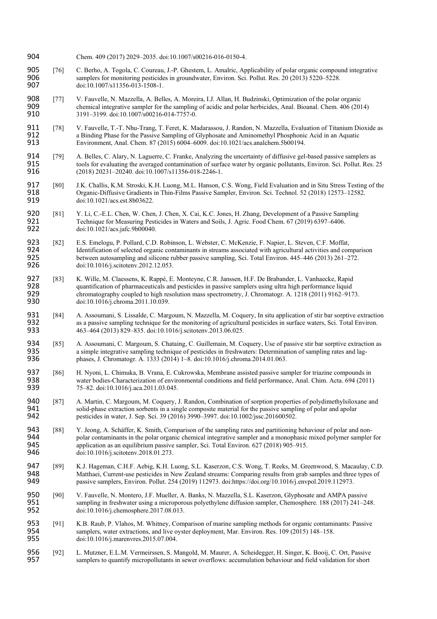- 904 Chem. 409 (2017) 2029–2035. doi:10.1007/s00216-016-0150-4.
- 905 [76] C. Berho, A. Togola, C. Coureau, J.-P. Ghestem, L. Amalric, Applicability of polar organic compound integrative samplers for monitoring pesticides in groundwater. Environ. Sci. Pollut. Res. 20 (2013) 5220–5228. 906 samplers for monitoring pesticides in groundwater, Environ. Sci. Pollut. Res. 20 (2013) 5220–5228.<br>907 doi:10.1007/s11356-013-1508-1. 907 doi:10.1007/s11356-013-1508-1.
- 908 [77] V. Fauvelle, N. Mazzella, A. Belles, A. Moreira, I.J. Allan, H. Budzinski, Optimization of the polar organic chemical integrative sampler for the sampling of acidic and polar herbicides, Anal. Bioanal. Chem. 406 ( 909 chemical integrative sampler for the sampling of acidic and polar herbicides, Anal. Bioanal. Chem. 406 (2014)<br>910 3191–3199. doi:10.1007/s00216-014-7757-0. 910 3191–3199. doi:10.1007/s00216-014-7757-0.
- 911 [78] V. Fauvelle, T.-T. Nhu-Trang, T. Feret, K. Madarassou, J. Randon, N. Mazzella, Evaluation of Titanium Dioxide as a Binding Phase for the Passive Sampling of Glyphosate and Aminomethyl Phosphonic Acid in an Aquatic 912 a Binding Phase for the Passive Sampling of Glyphosate and Aminomethyl Phosphonic Acid in an Aquatic 913 Environment, Anal. Chem. 87 (2015) 6004–6009. doi:10.1021/acs.analchem.5b00194. Environment, Anal. Chem. 87 (2015) 6004–6009. doi:10.1021/acs.analchem.5b00194.
- 914 [79] A. Belles, C. Alary, N. Laguerre, C. Franke, Analyzing the uncertainty of diffusive gel-based passive samplers as tools for evaluating the averaged contamination of surface water by organic pollutants, Environ. Sc 915 tools for evaluating the averaged contamination of surface water by organic pollutants, Environ. Sci. Pollut. Res. 25<br>916 (2018) 20231–20240. doi:10.1007/s11356-018-2246-1. 916 (2018) 20231–20240. doi:10.1007/s11356-018-2246-1.
- 917 [80] J.K. Challis, K.M. Stroski, K.H. Luong, M.L. Hanson, C.S. Wong, Field Evaluation and in Situ Stress Testing of the Organic-Diffusive Gradients in Thin-Films Passive Sampler, Environ. Sci. Technol. 52 (2018) 12573– 918 Organic-Diffusive Gradients in Thin-Films Passive Sampler, Environ. Sci. Technol. 52 (2018) 12573–12582. 919 doi:10.1021/acs.est.8b03622.
- 920 [81] Y. Li, C.-E.L. Chen, W. Chen, J. Chen, X. Cai, K.C. Jones, H. Zhang, Development of a Passive Sampling<br>921 Fechnique for Measuring Pesticides in Waters and Soils, J. Agric. Food Chem. 67 (2019) 6397–6406. 921 Technique for Measuring Pesticides in Waters and Soils, J. Agric. Food Chem. 67 (2019) 6397–6406.<br>922 doi:10.1021/acs.jafc.9b00040. doi:10.1021/acs.jafc.9b00040.
- 923 [82] E.S. Emelogu, P. Pollard, C.D. Robinson, L. Webster, C. McKenzie, F. Napier, L. Steven, C.F. Moffat, 924 Identification of selected organic contaminants in streams associated with agricultural activities and con 924 Identification of selected organic contaminants in streams associated with agricultural activities and comparison<br>925 between autosampling and silicone rubber passive sampling, Sci. Total Environ. 445–446 (2013) 261–27 925 between autosampling and silicone rubber passive sampling, Sci. Total Environ. 445–446 (2013) 261–272.<br>926 doi:10.1016/j.scitotenv.2012.12.053. 926 doi:10.1016/j.scitotenv.2012.12.053.
- 927 [83] K. Wille, M. Claessens, K. Rappé, E. Monteyne, C.R. Janssen, H.F. De Brabander, L. Vanhaecke, Rapid<br>928 guantification of pharmaceuticals and pesticides in passive samplers using ultra high performance liquid 928 quantification of pharmaceuticals and pesticides in passive samplers using ultra high performance liquid<br>929 chromatography coupled to high resolution mass spectrometry, J. Chromatogr. A. 1218 (2011) 9162–91 929 chromatography coupled to high resolution mass spectrometry, J. Chromatogr. A. 1218 (2011) 9162–9173.<br>930 doi:10.1016/j.chroma.2011.10.039. 930 doi:10.1016/j.chroma.2011.10.039.
- 931 [84] A. Assoumani, S. Lissalde, C. Margoum, N. Mazzella, M. Coquery, In situ application of stir bar sorptive extraction as a passive sampling technique for the monitoring of agricultural pesticides in surface waters, 932 as a passive sampling technique for the monitoring of agricultural pesticides in surface waters, Sci. Total Environ.<br>933 463–464 (2013) 829–835. doi:10.1016/j.scitotenv.2013.06.025. 933 463–464 (2013) 829–835. doi:10.1016/j.scitotenv.2013.06.025.
- 934 [85] A. Assoumani, C. Margoum, S. Chataing, C. Guillemain, M. Coquery, Use of passive stir bar sorptive extraction as a simple integrative sampling technique of pesticides in freshwaters: Determination of sampling rate 935 a simple integrative sampling technique of pesticides in freshwaters: Determination of sampling rates and lag-<br>936 bases, J. Chromatogr. A. 1333 (2014) 1–8. doi:10.1016/j.chroma.2014.01.063. 936 phases, J. Chromatogr. A. 1333 (2014) 1–8. doi:10.1016/j.chroma.2014.01.063.
- 937 [86] H. Nyoni, L. Chimuka, B. Vrana, E. Cukrowska, Membrane assisted passive sampler for triazine compounds in water bodies-Characterization of environmental conditions and field performance, Anal. Chim. Acta. 694 (201 938 water bodies-Characterization of environmental conditions and field performance, Anal. Chim. Acta. 694 (2011)<br>939 75–82. doi:10.1016/j.aca.2011.03.045. 939 75–82. doi:10.1016/j.aca.2011.03.045.
- 940 [87] A. Martin, C. Margoum, M. Coquery, J. Randon, Combination of sorption properties of polydimethylsiloxane and solid-phase extraction sorbents in a single composite material for the passive sampling of polar and apo 941 solid-phase extraction sorbents in a single composite material for the passive sampling of polar and apolar periodic sin water, J. Sep. Sci. 39 (2016) 3990–3997. doi:10.1002/jssc.201600502. 942 pesticides in water, J. Sep. Sci. 39 (2016) 3990–3997. doi:10.1002/jssc.201600502.
- 943 [88] Y. Jeong, A. Schäffer, K. Smith, Comparison of the sampling rates and partitioning behaviour of polar and non-<br>944 operator of polar contaminants in the polar organic chemical integrative sampler and a monophasic 944 polar contaminants in the polar organic chemical integrative sampler and a monophasic mixed polymer sampler for<br>945 policiation as an equilibrium passive sampler, Sci. Total Environ. 627 (2018) 905–915. 945 application as an equilibrium passive sampler, Sci. Total Environ. 627 (2018) 905–915.<br>946 doi:10.1016/i.scitotenv.2018.01.273. 946 doi:10.1016/j.scitotenv.2018.01.273.
- 947 [89] K.J. Hageman, C.H.F. Aebig, K.H. Luong, S.L. Kaserzon, C.S. Wong, T. Reeks, M. Greenwood, S. Macaulay, C.D.<br>948 Matthaei, Current-use pesticides in New Zealand streams: Comparing results from grab samples and thre 948 Matthaei, Current-use pesticides in New Zealand streams: Comparing results from grab samples and three types of<br>949 massive samplers, Environ. Pollut. 254 (2019) 112973. doi:https://doi.org/10.1016/j.envpol.2019.112973 949 passive samplers, Environ. Pollut. 254 (2019) 112973. doi:https://doi.org/10.1016/j.envpol.2019.112973.
- 950 [90] V. Fauvelle, N. Montero, J.F. Mueller, A. Banks, N. Mazzella, S.L. Kaserzon, Glyphosate and AMPA passive<br>951 sampling in freshwater using a microporous polyethylene diffusion sampler, Chemosphere. 188 (2017) 241–2 951 sampling in freshwater using a microporous polyethylene diffusion sampler, Chemosphere. 188 (2017) 241–248.<br>952 doi:10.1016/j.chemosphere.2017.08.013. 952 doi:10.1016/j.chemosphere.2017.08.013.
- 953 [91] K.B. Raub, P. Vlahos, M. Whitney, Comparison of marine sampling methods for organic contaminants: Passive samplers, water extractions, and live oyster deployment, Mar. Environ. Res. 109 (2015) 148–158. 954 samplers, water extractions, and live oyster deployment, Mar. Environ. Res. 109 (2015) 148–158.<br>955 doi:10.1016/j.marenvres.2015.07.004. 955 doi:10.1016/j.marenvres.2015.07.004.
- 956 [92] L. Mutzner, E.L.M. Vermeirssen, S. Mangold, M. Maurer, A. Scheidegger, H. Singer, K. Booij, C. Ort, Passive<br>957 samplers to quantify micropollutants in sewer overflows: accumulation behaviour and field validation samplers to quantify micropollutants in sewer overflows: accumulation behaviour and field validation for short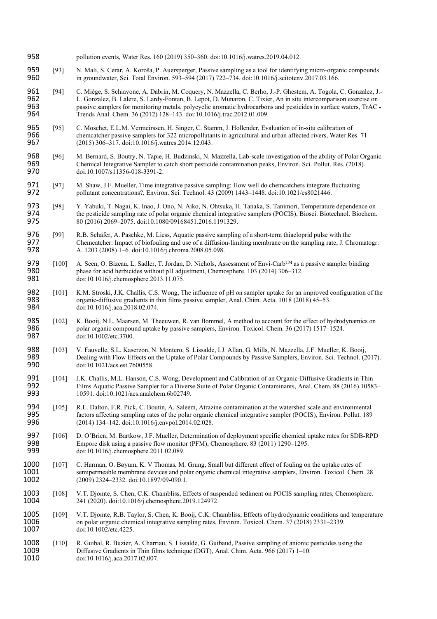- 958 pollution events, Water Res. 160 (2019) 350–360. doi:10.1016/j.watres.2019.04.012.
- 959 [93] N. Mali, S. Cerar, A. Koroša, P. Auersperger, Passive sampling as a tool for identifying micro-organic compounds<br>960 in groundwater. Sci. Total Environ. 593–594 (2017) 722–734. doi:10.1016/i.scitotenv.2017.03.166. in groundwater, Sci. Total Environ. 593–594 (2017) 722–734. doi:10.1016/j.scitotenv.2017.03.166.
- 961 [94] C. Miège, S. Schiavone, A. Dabrin, M. Coquery, N. Mazzella, C. Berho, J.-P. Ghestem, A. Togola, C. Gonzalez, J.- 962 L. Gonzalez, B. Lalere, S. Lardy-Fontan, B. Lepot, D. Munaron, C. Tixier, An in situ intercomparison exercise on passive samplers for monitoring metals, polycyclic aromatic hydrocarbons and pesticides in surface waters 963 passive samplers for monitoring metals, polycyclic aromatic hydrocarbons and pesticides in surface waters, TrAC -<br>964 Trends Anal. Chem. 36 (2012) 128–143. doi:10.1016/i.trac.2012.01.009. Trends Anal. Chem. 36 (2012) 128–143. doi:10.1016/j.trac.2012.01.009.
- 965 [95] C. Moschet, E.L.M. Vermeirssen, H. Singer, C. Stamm, J. Hollender, Evaluation of in-situ calibration of 966 chemcatcher passive samplers for 322 micropollutants in agricultural and urban affected rivers, Water Res. 71<br>967 (2015) 306–317. doi:10.1016/j.watres.2014.12.043.  $(2015)$  306–317. doi:10.1016/j.watres.2014.12.043.
- 968 [96] M. Bernard, S. Boutry, N. Tapie, H. Budzinski, N. Mazzella, Lab-scale investigation of the ability of Polar Organic<br>969 Chemical Integrative Sampler to catch short pesticide contamination peaks, Environ. Sci. Poll 969 Chemical Integrative Sampler to catch short pesticide contamination peaks, Environ. Sci. Pollut. Res. (2018).<br>970 doi:10.1007/s11356-018-3391-2. 970 doi:10.1007/s11356-018-3391-2.
- 971 [97] M. Shaw, J.F. Mueller, Time integrative passive sampling: How well do chemcatchers integrate fluctuating pollutant concentrations?, Environ. Sci. Technol. 43 (2009) 1443–1448. doi:10.1021/es8021446. 972 pollutant concentrations?, Environ. Sci. Technol. 43 (2009) 1443–1448. doi:10.1021/es8021446.
- 973 [98] Y. Yabuki, T. Nagai, K. Inao, J. Ono, N. Aiko, N. Ohtsuka, H. Tanaka, S. Tanimori, Temperature dependence on the pesticide sampling rate of polar organic chemical integrative samplers (POCIS), Biosci. Biotechnol. 974 the pesticide sampling rate of polar organic chemical integrative samplers (POCIS), Biosci. Biotechnol. Biochem.<br>975 80 (2016) 2069–2075. doi:10.1080/09168451.2016.1191329. 975 80 (2016) 2069–2075. doi:10.1080/09168451.2016.1191329.
- 976 [99] R.B. Schäfer, A. Paschke, M. Liess, Aquatic passive sampling of a short-term thiacloprid pulse with the Short-term Chemcatcher: Impact of biofouling and use of a diffusion-limiting membrane on the sampling rate, J 977 Chemcatcher: Impact of biofouling and use of a diffusion-limiting membrane on the sampling rate, J. Chromatogr.<br>978 A. 1203 (2008) 1–6. doi:10.1016/j.chroma.2008.05.098. 978 A. 1203 (2008) 1–6. doi:10.1016/j.chroma.2008.05.098.
- 979 [100] A. Seen, O. Bizeau, L. Sadler, T. Jordan, D. Nichols, Assessment of Envi-Carb<sup>TM</sup> as a passive sampler binding phase for acid herbicides without pH adjustment. Chemosphere, 103 (2014) 306–312. 980 phase for acid herbicides without pH adjustment, Chemosphere. 103 (2014) 306–312.<br>981 doi:10.1016/j.chemosphere.2013.11.075. 981 doi:10.1016/j.chemosphere.2013.11.075.
- 982 [101] K.M. Stroski, J.K. Challis, C.S. Wong, The influence of pH on sampler uptake for an improved configuration of the organic-diffusive gradients in thin films passive sampler, Anal. Chim. Acta. 1018 (2018) 45–53. 983 organic-diffusive gradients in thin films passive sampler, Anal. Chim. Acta. 1018 (2018) 45–53.<br>984 ooi:10.1016/j.aca.2018.02.074. 984 doi:10.1016/j.aca.2018.02.074.
- 985 [102] K. Booij, N.L. Maarsen, M. Theeuwen, R. van Bommel, A method to account for the effect of hydrodynamics on polar organic compound uptake by passive samplers. Environ, Toxicol, Chem. 36 (2017) 1517–1524. 986 polar organic compound uptake by passive samplers, Environ. Toxicol. Chem. 36 (2017) 1517–1524.<br>987 doi:10.1002/etc.3700. doi:10.1002/etc.3700.
- 988 [103] V. Fauvelle, S.L. Kaserzon, N. Montero, S. Lissalde, I.J. Allan, G. Mills, N. Mazzella, J.F. Mueller, K. Booij, Dealing with Flow Effects on the Uptake of Polar Compounds by Passive Samplers. Environ. Sci. Techno 989 Dealing with Flow Effects on the Uptake of Polar Compounds by Passive Samplers, Environ. Sci. Technol. (2017).<br>990 doi:10.1021/acs.est.7b00558. 990 doi:10.1021/acs.est.7b00558.
- 991 [104] J.K. Challis, M.L. Hanson, C.S. Wong, Development and Calibration of an Organic-Diffusive Gradients in Thin<br>992 Films Aquatic Passive Sampler for a Diverse Suite of Polar Organic Contaminants, Anal. Chem. 88 (201 992 Films Aquatic Passive Sampler for a Diverse Suite of Polar Organic Contaminants, Anal. Chem. 88 (2016) 10583–<br>993 10591. doi:10.1021/acs.analchem.6b02749. 993 10591. doi:10.1021/acs.analchem.6b02749.
- 994 [105] R.L. Dalton, F.R. Pick, C. Boutin, A. Saleem, Atrazine contamination at the watershed scale and environmental factors affecting sampling rates of the polar organic chemical integrative sampler (POCIS), Environ. P 995 factors affecting sampling rates of the polar organic chemical integrative sampler (POCIS), Environ. Pollut. 189<br>996 (2014) 134–142. doi:10.1016/j.envpol.2014.02.028. 996 (2014) 134–142. doi:10.1016/j.envpol.2014.02.028.
- 997 [106] D. O'Brien, M. Bartkow, J.F. Mueller, Determination of deployment specific chemical uptake rates for SDB-RPD<br>998 Empore disk using a passive flow monitor (PFM), Chemosphere. 83 (2011) 1290–1295. 998 Empore disk using a passive flow monitor (PFM), Chemosphere. 83 (2011) 1290–1295.<br>999 doi:10.1016/j.chemosphere.2011.02.089. 999 doi:10.1016/j.chemosphere.2011.02.089.
- 1000 [107] C. Harman, O. Bøyum, K. V Thomas, M. Grung, Small but different effect of fouling on the uptake rates of semipermeable membrane devices and polar organic chemical integrative samplers, Environ. Toxicol. Chem 1001 semipermeable membrane devices and polar organic chemical integrative samplers, Environ. Toxicol. Chem. 28<br>1002 (2009) 2324–2332. doi:10.1897/09-090.1. 1002 (2009) 2324–2332. doi:10.1897/09-090.1.
- 1003 [108] V.T. Djomte, S. Chen, C.K. Chambliss, Effects of suspended sediment on POCIS sampling rates, Chemosphere.<br>1004 241 (2020). doi:10.1016/j.chemosphere.2019.124972. 241 (2020). doi:10.1016/j.chemosphere.2019.124972.
- 1005 [109] V.T. Djomte, R.B. Taylor, S. Chen, K. Booij, C.K. Chambliss, Effects of hydrodynamic conditions and temperature<br>1006 on polar organic chemical integrative sampling rates. Environ. Toxicol. Chem. 37 (2018) 2331–2 1006 on polar organic chemical integrative sampling rates, Environ. Toxicol. Chem. 37 (2018) 2331–2339.<br>1007 doi:10.1002/etc.4225. doi:10.1002/etc.4225.
- 1008 [110] R. Guibal, R. Buzier, A. Charriau, S. Lissalde, G. Guibaud, Passive sampling of anionic pesticides using the<br>1009 Diffusive Gradients in Thin films technique (DGT), Anal. Chim. Acta. 966 (2017) 1–10. 1009 Diffusive Gradients in Thin films technique (DGT), Anal. Chim. Acta. 966 (2017) 1–10.<br>1010 doi:10.1016/j.aca.2017.02.007. 1010 doi:10.1016/j.aca.2017.02.007.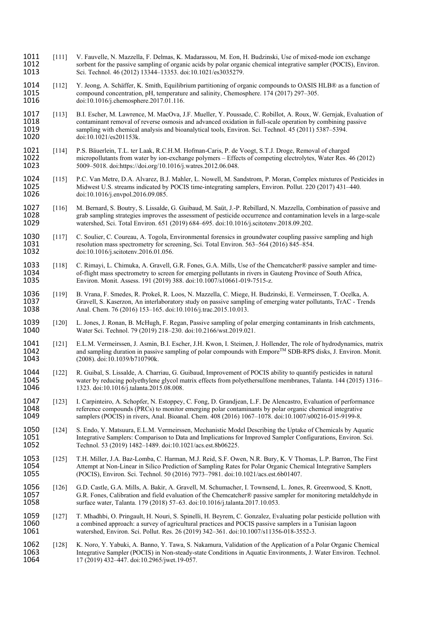- 1011 [111] V. Fauvelle, N. Mazzella, F. Delmas, K. Madarassou, M. Eon, H. Budzinski, Use of mixed-mode ion exchange<br>1012 sorbent for the passive sampling of organic acids by polar organic chemical integrative sampler (POCI 1012 sorbent for the passive sampling of organic acids by polar organic chemical integrative sampler (POCIS), Environ.<br>1013 Sci. Technol. 46 (2012) 13344–13353. doi:10.1021/es3035279. 1013 Sci. Technol. 46 (2012) 13344–13353. doi:10.1021/es3035279.
- 1014 [112] Y. Jeong, A. Schäffer, K. Smith, Equilibrium partitioning of organic compounds to OASIS HLB® as a function of compound concentration, pH, temperature and salinity, Chemosphere. 174 (2017) 297–305. 1015 compound concentration, pH, temperature and salinity, Chemosphere. 174 (2017) 297–305.<br>1016 coi:10.1016/j.chemosphere.2017.01.116. 1016 doi:10.1016/j.chemosphere.2017.01.116.
- 1017 [113] B.I. Escher, M. Lawrence, M. MacOva, J.F. Mueller, Y. Poussade, C. Robillot, A. Roux, W. Gernjak, Evaluation of contaminant removal of reverse osmosis and advanced oxidation in full-scale operation by combining 1018 contaminant removal of reverse osmosis and advanced oxidation in full-scale operation by combining passive<br>1019 sampling with chemical analysis and bioanalytical tools. Environ. Sci. Technol. 45 (2011) 5387–5394. 1019 sampling with chemical analysis and bioanalytical tools, Environ. Sci. Technol. 45 (2011) 5387–5394.<br>1020 doi:10.1021/es201153k. doi:10.1021/es201153k.
- 1021 [114] P.S. Bäuerlein, T.L. ter Laak, R.C.H.M. Hofman-Caris, P. de Voogt, S.T.J. Droge, Removal of charged<br>1022 micropollutants from water by ion-exchange polymers Effects of competing electrolytes, Water Res. 1022 micropollutants from water by ion-exchange polymers – Effects of competing electrolytes, Water Res. 46 (2012)<br>1023 5009–5018. doi:https://doi.org/10.1016/j.watres.2012.06.048. 1023 5009–5018. doi:https://doi.org/10.1016/j.watres.2012.06.048.
- 1024 [115] P.C. Van Metre, D.A. Alvarez, B.J. Mahler, L. Nowell, M. Sandstrom, P. Moran, Complex mixtures of Pesticides in 1025 Midwest U.S. streams indicated by POCIS time-integrating samplers, Environ. Pollut. 220 (2017) 1025 Midwest U.S. streams indicated by POCIS time-integrating samplers, Environ. Pollut. 220 (2017) 431–440.<br>1026 doi:10.1016/j.envpol.2016.09.085. 1026 doi:10.1016/j.envpol.2016.09.085.
- 1027 [116] M. Bernard, S. Boutry, S. Lissalde, G. Guibaud, M. Saüt, J.-P. Rebillard, N. Mazzella, Combination of passive and 1028 grap sampling strategies improves the assessment of pesticide occurrence and contamination l 1028 grab sampling strategies improves the assessment of pesticide occurrence and contamination levels in a large-scale<br>1029 watershed. Sci. Total Environ. 651 (2019) 684–695. doi:10.1016/i.scitoteny.2018.09.202. 1029 watershed, Sci. Total Environ. 651 (2019) 684–695. doi:10.1016/j.scitotenv.2018.09.202.
- 1030 [117] C. Soulier, C. Coureau, A. Togola, Environmental forensics in groundwater coupling passive sampling and high resolution mass spectrometry for screening. Sci. Total Environ. 563–564 (2016) 845–854. 1031 resolution mass spectrometry for screening, Sci. Total Environ. 563–564 (2016) 845–854.<br>1032 doi:10.1016/j.scitotenv.2016.01.056. 1032 doi:10.1016/j.scitotenv.2016.01.056.
- 1033 [118] C. Rimayi, L. Chimuka, A. Gravell, G.R. Fones, G.A. Mills, Use of the Chemcatcher® passive sampler and time-<br>1034 of-flight mass spectrometry to screen for emerging pollutants in rivers in Gauteng Province of So 1034 of-flight mass spectrometry to screen for emerging pollutants in rivers in Gauteng Province of South Africa,<br>1035 Environ. Monit. Assess. 191 (2019) 388. doi:10.1007/s10661-019-7515-z. Environ. Monit. Assess. 191 (2019) 388. doi:10.1007/s10661-019-7515-z.
- 1036 [119] B. Vrana, F. Smedes, R. Prokeš, R. Loos, N. Mazzella, C. Miege, H. Budzinski, E. Vermeirssen, T. Ocelka, A. 1037 Gravell, S. Kaserzon, An interlaboratory study on passive sampling of emerging water pollutants, TrAC - Trends<br>1038 Anal. Chem. 76 (2016) 153–165. doi:10.1016/j.trac.2015.10.013. Anal. Chem. 76 (2016) 153-165. doi:10.1016/j.trac.2015.10.013.
- 1039 [120] L. Jones, J. Ronan, B. McHugh, F. Regan, Passive sampling of polar emerging contaminants in Irish catchments, Water Sci. Technol. 79 (2019) 218–230. doi:10.2166/wst.2019.021.
- 1041 [121] E.L.M. Vermeirssen, J. Asmin, B.I. Escher, J.H. Kwon, I. Steimen, J. Hollender, The role of hydrodynamics, matrix and sampling duration in passive sampling of polar compounds with Empore<sup>TM</sup> SDB-RPS disks. J. En 1042 and sampling duration in passive sampling of polar compounds with Empore<sup>TM</sup> SDB-RPS disks, J. Environ. Monit.<br>1043 (2008). doi:10.1039/b710790k. 1043 (2008). doi:10.1039/b710790k.
- 1044 [122] R. Guibal, S. Lissalde, A. Charriau, G. Guibaud, Improvement of POCIS ability to quantify pesticides in natural 1045 water by reducing polyethylene glycol matrix effects from polyethersulfone membranes, Talanta. 1045 water by reducing polyethylene glycol matrix effects from polyethersulfone membranes, Talanta. 144 (2015) 1316–<br>1046 1323. doi:10.1016/j.talanta.2015.08.008. 1046 1323. doi:10.1016/j.talanta.2015.08.008.
- 1047 [123] I. Carpinteiro, A. Schopfer, N. Estoppey, C. Fong, D. Grandjean, L.F. De Alencastro, Evaluation of performance<br>1048 reference compounds (PRCs) to monitor emerging polar contaminants by polar organic chemical int 1048 reference compounds (PRCs) to monitor emerging polar contaminants by polar organic chemical integrative<br>1049 samplers (POCIS) in rivers, Anal. Bioanal. Chem. 408 (2016) 1067–1078. doi:10.1007/s00216-015-9199-8. samplers (POCIS) in rivers, Anal. Bioanal. Chem. 408 (2016) 1067–1078. doi:10.1007/s00216-015-9199-8.
- 1050 [124] S. Endo, Y. Matsuura, E.L.M. Vermeirssen, Mechanistic Model Describing the Uptake of Chemicals by Aquatic 1051 Integrative Samplers: Comparison to Data and Implications for Improved Sampler Configurations, Environ. Sci.<br>1052 Technol. 53 (2019) 1482–1489. doi:10.1021/acs.est.8b06225. Technol. 53 (2019) 1482-1489. doi:10.1021/acs.est.8b06225.
- 1053 [125] T.H. Miller, J.A. Baz-Lomba, C. Harman, M.J. Reid, S.F. Owen, N.R. Bury, K. V Thomas, L.P. Barron, The First 1054 Attempt at Non-Linear in Silico Prediction of Sampling Rates for Polar Organic Chemical Integrative Samplers<br>1055 (POCIS), Environ. Sci. Technol. 50 (2016) 7973–7981. doi:10.1021/acs.est.6b01407. 1055 (POCIS), Environ. Sci. Technol. 50 (2016) 7973–7981. doi:10.1021/acs.est.6b01407.
- 1056 [126] G.D. Castle, G.A. Mills, A. Bakir, A. Gravell, M. Schumacher, I. Townsend, L. Jones, R. Greenwood, S. Knott, 1057 G.R. Fones, Calibration and field evaluation of the Chemcatcher® passive sampler for monitoring m 1057 G.R. Fones, Calibration and field evaluation of the Chemcatcher® passive sampler for monitoring metaldehyde in surface water, Talanta. 179 (2018) 57–63. doi:10.1016/j.talanta.2017.10.053. surface water, Talanta. 179 (2018) 57-63. doi:10.1016/j.talanta.2017.10.053.
- 1059 [127] T. Mhadhbi, O. Pringault, H. Nouri, S. Spinelli, H. Beyrem, C. Gonzalez, Evaluating polar pesticide pollution with 1060 a combined approach: a survey of agricultural practices and POCIS passive samplers in a Tun 1060 a combined approach: a survey of agricultural practices and POCIS passive samplers in a Tunisian lagoon 1061 vatershed, Environ. Sci. Pollut. Res. 26 (2019) 342–361. doi:10.1007/s11356-018-3552-3. watershed, Environ. Sci. Pollut. Res. 26 (2019) 342-361. doi:10.1007/s11356-018-3552-3.
- 1062 [128] K. Noro, Y. Yabuki, A. Banno, Y. Tawa, S. Nakamura, Validation of the Application of a Polar Organic Chemical 1063 Integrative Sampler (POCIS) in Non-steady-state Conditions in Aquatic Environments, J. Water Environ. Technol.<br>1064 17 (2019) 432–447. doi:10.2965/iwet.19-057. 17 (2019) 432–447. doi:10.2965/jwet.19-057.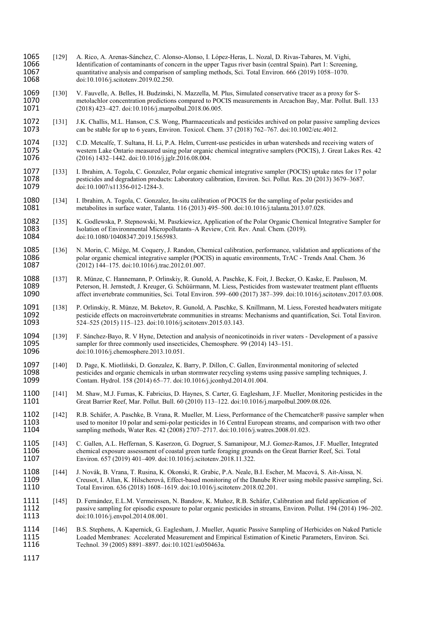- 1065 [129] A. Rico, A. Arenas-Sánchez, C. Alonso-Alonso, I. López-Heras, L. Nozal, D. Rivas-Tabares, M. Vighi, 1066 Identification of contaminants of concern in the upper Tagus river basin (central Spain). Part 1: Screening,<br>1067 quantitative analysis and comparison of sampling methods, Sci. Total Environ. 666 (2019) 1058–1070. 1067 quantitative analysis and comparison of sampling methods, Sci. Total Environ. 666 (2019) 1058–1070.<br>1068 doi:10.1016/j.scitotenv.2019.02.250. doi:10.1016/j.scitotenv.2019.02.250.
- 1069 [130] V. Fauvelle, A. Belles, H. Budzinski, N. Mazzella, M. Plus, Simulated conservative tracer as a proxy for S-<br>1070 metolachlor concentration predictions compared to POCIS measurements in Arcachon Bay, Mar. Pollut. 1070 metolachlor concentration predictions compared to POCIS measurements in Arcachon Bay, Mar. Pollut. Bull. 133<br>1071 (2018) 423–427. doi:10.1016/j.marpolbul.2018.06.005. 1071 (2018) 423–427. doi:10.1016/j.marpolbul.2018.06.005.
- 1072 [131] J.K. Challis, M.L. Hanson, C.S. Wong, Pharmaceuticals and pesticides archived on polar passive sampling devices can be stable for up to 6 years, Environ. Toxicol. Chem. 37 (2018) 762-767. doi:10.1002/etc.4012. can be stable for up to 6 years, Environ. Toxicol. Chem. 37 (2018) 762-767. doi:10.1002/etc.4012.
- 1074 [132] C.D. Metcalfe, T. Sultana, H. Li, P.A. Helm, Current-use pesticides in urban watersheds and receiving waters of vestern Lake Ontario measured using polar organic chemical integrative samplers (POCIS), J. Great L 1075 western Lake Ontario measured using polar organic chemical integrative samplers (POCIS), J. Great Lakes Res. 42<br>1076 (2016) 1432–1442. doi:10.1016/j.jglr.2016.08.004.  $(2016)$  1432–1442. doi:10.1016/j.jglr.2016.08.004.
- 1077 [133] I. Ibrahim, A. Togola, C. Gonzalez, Polar organic chemical integrative sampler (POCIS) uptake rates for 17 polar posticides and degradation products: Laboratory calibration. Environ. Sci. Pollut. Res. 20 (2013) 1078 pesticides and degradation products: Laboratory calibration, Environ. Sci. Pollut. Res. 20 (2013) 3679–3687.<br>1079 oi:10.1007/s11356-012-1284-3. doi:10.1007/s11356-012-1284-3.
- 1080 [134] I. Ibrahim, A. Togola, C. Gonzalez, In-situ calibration of POCIS for the sampling of polar pesticides and<br>1081 metabolites in surface water. Talanta. 116 (2013) 495–500. doi:10.1016/i.talanta.2013.07.028. 1081 metabolites in surface water, Talanta. 116 (2013) 495–500. doi:10.1016/j.talanta.2013.07.028.
- 1082 [135] K. Godlewska, P. Stepnowski, M. Paszkiewicz, Application of the Polar Organic Chemical Integrative Sampler for 1083 Isolation of Environmental Micropollutants–A Review, Crit. Rev. Anal. Chem. (2019). 1083 Isolation of Environmental Micropollutants–A Review, Crit. Rev. Anal. Chem. (2019).<br>1084 doi:10.1080/10408347.2019.1565983. 1084 doi:10.1080/10408347.2019.1565983.
- 1085 [136] N. Morin, C. Miège, M. Coquery, J. Randon, Chemical calibration, performance, validation and applications of the polar organic chemical integrative sampler (POCIS) in aquatic environments, TrAC Trends Anal. Ch 1086 polar organic chemical integrative sampler (POCIS) in aquatic environments, TrAC - Trends Anal. Chem. 36<br>1087 (2012) 144–175. doi:10.1016/j.trac.2012.01.007. 1087 (2012) 144–175. doi:10.1016/j.trac.2012.01.007.
- 1088 [137] R. Münze, C. Hannemann, P. Orlinskiy, R. Gunold, A. Paschke, K. Foit, J. Becker, O. Kaske, E. Paulsson, M.<br>1089 Peterson, H. Jernstedt, J. Kreuger, G. Schüürmann, M. Liess, Pesticides from wastewater treatment p 1089 Peterson, H. Jernstedt, J. Kreuger, G. Schüürmann, M. Liess, Pesticides from wastewater treatment plant effluents<br>1090 affect invertebrate communities, Sci. Total Environ. 599–600 (2017) 387–399. doi:10.1016/j.scitote 1090 affect invertebrate communities, Sci. Total Environ. 599–600 (2017) 387–399. doi:10.1016/j.scitotenv.2017.03.008.
- 1091 [138] P. Orlinskiy, R. Münze, M. Beketov, R. Gunold, A. Paschke, S. Knillmann, M. Liess, Forested headwaters mitigate pesticide effects on macroinvertebrate communities in streams: Mechanisms and quantification, Sci. 1092 pesticide effects on macroinvertebrate communities in streams: Mechanisms and quantification, Sci. Total Environ.<br>1093 524–525 (2015) 115–123. doi:10.1016/j.scitotenv.2015.03.143. 1093 524–525 (2015) 115–123. doi:10.1016/j.scitotenv.2015.03.143.
- 1094 [139] F. Sánchez-Bayo, R. V Hyne, Detection and analysis of neonicotinoids in river waters Development of a passive sampler for three commonly used insecticides, Chemosphere. 99 (2014) 143–151. 1095 sampler for three commonly used insecticides, Chemosphere. 99 (2014) 143–151.<br>1096  $\frac{\text{doi:10.1016}{\text{1.0.1016}}}{\text{.0.051}}$ doi:10.1016/j.chemosphere.2013.10.051.
- 1097 [140] D. Page, K. Miotliński, D. Gonzalez, K. Barry, P. Dillon, C. Gallen, Environmental monitoring of selected pesticides and organic chemicals in urban stormwater recycling systems using passive sampling techniques 1098 pesticides and organic chemicals in urban stormwater recycling systems using passive sampling techniques, J.<br>1099 Contam. Hydrol. 158 (2014) 65–77. doi:10.1016/j.jconhyd.2014.01.004. 1099 Contam. Hydrol. 158 (2014) 65–77. doi:10.1016/j.jconhyd.2014.01.004.
- 1100 [141] M. Shaw, M.J. Furnas, K. Fabricius, D. Haynes, S. Carter, G. Eaglesham, J.F. Mueller, Monitoring pesticides in the Great Barrier Reef. Mar. Pollut. Bull. 60 (2010) 113-122. doi:10.1016/i.marpolbul.2009.08.026. 1101 Great Barrier Reef, Mar. Pollut. Bull. 60 (2010) 113–122. doi:10.1016/j.marpolbul.2009.08.026.
- 1102 [142] R.B. Schäfer, A. Paschke, B. Vrana, R. Mueller, M. Liess, Performance of the Chemcatcher® passive sampler when<br>1103 used to monitor 10 polar and semi-polar pesticides in 16 Central European streams, and comparis 1103 used to monitor 10 polar and semi-polar pesticides in 16 Central European streams, and comparison with two other 1104 sampling methods, Water Res. 42 (2008) 2707–2717. doi:10.1016/j.watres.2008.01.023. sampling methods, Water Res. 42 (2008) 2707–2717. doi:10.1016/j.watres.2008.01.023.
- 1105 [143] C. Gallen, A.L. Heffernan, S. Kaserzon, G. Dogruer, S. Samanipour, M.J. Gomez-Ramos, J.F. Mueller, Integrated chemical exposure assessment of coastal green turtle foraging grounds on the Great Barrier Reef, Sci. 1106 chemical exposure assessment of coastal green turtle foraging grounds on the Great Barrier Reef, Sci. Total<br>1107 Environ. 657 (2019) 401–409. doi:10.1016/i.scitotenv.2018.11.322. Environ. 657 (2019) 401–409. doi:10.1016/j.scitotenv.2018.11.322.
- 1108 [144] J. Novák, B. Vrana, T. Rusina, K. Okonski, R. Grabic, P.A. Neale, B.I. Escher, M. Macová, S. Ait-Aissa, N. 1109 Creusot, I. Allan, K. Hilscherová, Effect-based monitoring of the Danube River using mobile passive sampling, Sci.<br>1110 Total Environ. 636 (2018) 1608–1619. doi:10.1016/j.scitotenv.2018.02.201. 1110 Total Environ. 636 (2018) 1608–1619. doi:10.1016/j.scitotenv.2018.02.201.
- 1111 [145] D. Fernández, E.L.M. Vermeirssen, N. Bandow, K. Muñoz, R.B. Schäfer, Calibration and field application of passive sampling for episodic exposure to polar organic pesticides in streams, Environ. Pollut. 194 (2014 1112 passive sampling for episodic exposure to polar organic pesticides in streams, Environ. Pollut. 194 (2014) 196–202.<br>1113 doi:10.1016/j.envpol.2014.08.001. 1113 doi:10.1016/j.envpol.2014.08.001.
- 1114 [146] B.S. Stephens, A. Kapernick, G. Eaglesham, J. Mueller, Aquatic Passive Sampling of Herbicides on Naked Particle<br>1115 **I.** Loaded Membranes: Accelerated Measurement and Empirical Estimation of Kinetic Parameters. 1115 Loaded Membranes: Accelerated Measurement and Empirical Estimation of Kinetic Parameters, Environ. Sci.<br>1116 Technol. 39 (2005) 8891–8897. doi:10.1021/es050463a. Technol. 39 (2005) 8891-8897. doi:10.1021/es050463a.
- 1117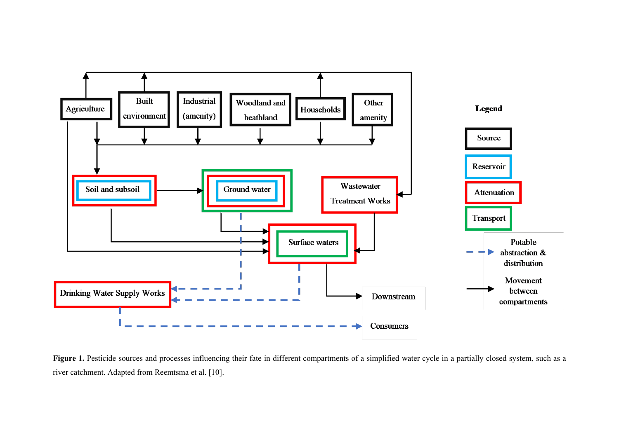

Figure 1. Pesticide sources and processes influencing their fate in different compartments of a simplified water cycle in a partially closed system, such as a river catchment. Adapted from Reemtsma et al. [10].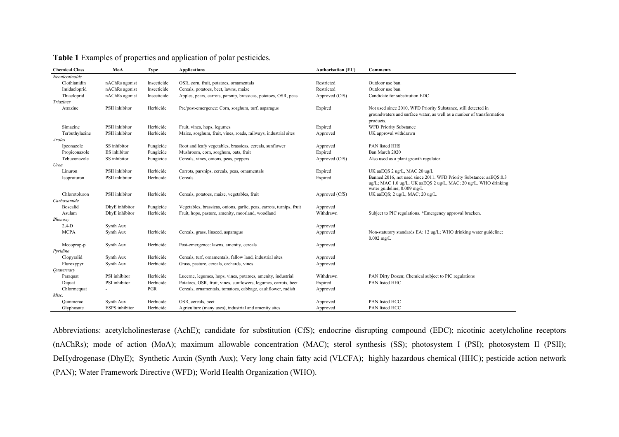| <b>Chemical Class</b>       | MoA            | <b>Type</b> | <b>Applications</b>                                                  | <b>Authorisation (EU)</b> | <b>Comments</b>                                                                                                                                                        |
|-----------------------------|----------------|-------------|----------------------------------------------------------------------|---------------------------|------------------------------------------------------------------------------------------------------------------------------------------------------------------------|
| Neonicotinoids              |                |             |                                                                      |                           |                                                                                                                                                                        |
| Clothianidin                | nAChRs agonist | Insecticide | OSR, corn, fruit, potatoes, ornamentals                              | Restricted                | Outdoor use ban.                                                                                                                                                       |
| Imidacloprid                | nAChRs agonist | Insecticide | Cereals, potatoes, beet, lawns, maize                                | Restricted                | Outdoor use ban.                                                                                                                                                       |
| Thiacloprid                 | nAChRs agonist | Insecticide | Apples, pears, carrots, parsnip, brassicas, potatoes, OSR, peas      | Approved (CfS)            | Candidate for substitution EDC                                                                                                                                         |
| Triazines                   |                |             |                                                                      |                           |                                                                                                                                                                        |
| Atrazine                    | PSII inhibitor | Herbicide   | Pre/post-emergence: Corn, sorghum, turf, asparagus                   | Expired                   | Not used since 2010, WFD Priority Substance, still detected in<br>groundwaters and surface water, as well as a number of transformation                                |
| Simazine                    | PSII inhibitor | Herbicide   | Fruit, vines, hops, legumes                                          | Expired                   | products.<br><b>WFD Priority Substance</b>                                                                                                                             |
|                             | PSII inhibitor | Herbicide   | Maize, sorghum, fruit, vines, roads, railways, industrial sites      |                           |                                                                                                                                                                        |
| Terbuthylazine              |                |             |                                                                      | Approved                  | UK approval withdrawn                                                                                                                                                  |
| <i>Azoles</i>               | SS inhibitor   |             | Root and leafy vegetables, brassicas, cereals, sunflower             |                           | PAN listed HHS                                                                                                                                                         |
| Ipconazole<br>Propiconazole | ES inhibitor   | Fungicide   | Mushroom, corn, sorghum, oats, fruit                                 | Approved<br>Expired       | Ban March 2020                                                                                                                                                         |
| Tebuconazole                | SS inhibitor   | Fungicide   |                                                                      |                           |                                                                                                                                                                        |
|                             |                | Fungicide   | Cereals, vines, onions, peas, peppers                                | Approved (CfS)            | Also used as a plant growth regulator.                                                                                                                                 |
| Urea<br>Linuron             | PSII inhibitor | Herbicide   |                                                                      |                           |                                                                                                                                                                        |
| Isoproturon                 | PSII inhibitor | Herbicide   | Carrots, parsnips, cereals, peas, ornamentals<br>Cereals             | Expired<br>Expired        | UK aaEQS 2 ug/L, MAC 20 ug/L<br>Banned 2016, not used since 2011. WFD Priority Substance: aaEQS:0.3<br>ug/L; MAC 1.0 ug/L. UK aaEQS 2 ug/L, MAC; 20 ug/L. WHO drinking |
| Chlorotoluron               | PSII inhibitor | Herbicide   | Cereals, potatoes, maize, vegetables, fruit                          | Approved (CfS)            | water guideline; 0.009 mg/L<br>UK aaEQS; 2 ug/L, MAC; 20 ug/L.                                                                                                         |
| Carboxamide                 |                |             |                                                                      |                           |                                                                                                                                                                        |
| Boscalid                    | DhyE inhibitor | Fungicide   | Vegetables, brassicas, onions, garlic, peas, carrots, turnips, fruit | Approved                  |                                                                                                                                                                        |
| Asulam                      | DhyE inhibitor | Herbicide   | Fruit, hops, pasture, amenity, moorland, woodland                    | Withdrawn                 | Subject to PIC regulations. *Emergency approval bracken.                                                                                                               |
| Bhenoxy                     |                |             |                                                                      |                           |                                                                                                                                                                        |
| $2,4-D$                     | Synth Aux      |             |                                                                      | Approved                  |                                                                                                                                                                        |
| <b>MCPA</b>                 | Synth Aux      | Herbicide   | Cereals, grass, linseed, asparagus                                   | Approved                  | Non-statutory standards EA: 12 ug/L; WHO drinking water guideline:<br>$0.002$ mg/L                                                                                     |
| Mecoprop-p                  | Synth Aux      | Herbicide   | Post-emergence: lawns, amenity, cereals                              | Approved                  |                                                                                                                                                                        |
| Pyridine                    |                |             |                                                                      |                           |                                                                                                                                                                        |
| Clopyralid                  | Synth Aux      | Herbicide   | Cereals, turf, ornamentals, fallow land, industrial sites            | Approved                  |                                                                                                                                                                        |
| Fluroxypyr                  | Synth Aux      | Herbicide   | Grass, pasture, cereals, orchards, vines                             | Approved                  |                                                                                                                                                                        |
| Quaternary                  |                |             |                                                                      |                           |                                                                                                                                                                        |
| Paraquat                    | PSI inhibitor  | Herbicide   | Lucerne, legumes, hops, vines, potatoes, amenity, industrial         | Withdrawn                 | PAN Dirty Dozen; Chemical subject to PIC regulations                                                                                                                   |
| Diquat                      | PSI inhibitor  | Herbicide   | Potatoes, OSR, fruit, vines, sunflowers, legumes, carrots, beet      | Expired                   | <b>PAN</b> listed HHC                                                                                                                                                  |
| Chlormequat                 |                | PGR         | Cereals, ornamentals, tomatoes, cabbage, cauliflower, radish         | Approved                  |                                                                                                                                                                        |
| Misc.                       |                |             |                                                                      |                           |                                                                                                                                                                        |
| Quinmerac                   | Synth Aux      | Herbicide   | OSR, cereals, beet                                                   | Approved                  | PAN listed HCC                                                                                                                                                         |
| Glyphosate                  | ESPS inhibitor | Herbicide   | Agriculture (many uses), industrial and amenity sites                | Approved                  | PAN listed HCC                                                                                                                                                         |

**Table 1** Examples of properties and application of polar pesticides.

Abbreviations: acetylcholinesterase (AchE); candidate for substitution (CfS); endocrine disrupting compound (EDC); nicotinic acetylcholine receptors (nAChRs); mode of action (MoA); maximum allowable concentration (MAC); sterol synthesis (SS); photosystem I (PSI); photosystem II (PSII); DeHydrogenase (DhyE); Synthetic Auxin (Synth Aux); Very long chain fatty acid (VLCFA); highly hazardous chemical (HHC); pesticide action network (PAN); Water Framework Directive (WFD); World Health Organization (WHO).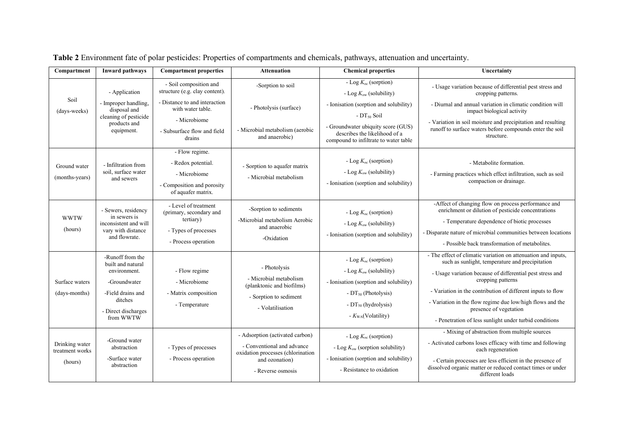| Compartment                                  | <b>Inward pathways</b>                                                                                                                    | <b>Compartment properties</b>                                                                               | <b>Attenuation</b>                                                                                                                        | <b>Chemical properties</b>                                                                                                                                                                              | Uncertainty                                                                                                                                                                                                                                                                                                                                                                                                        |
|----------------------------------------------|-------------------------------------------------------------------------------------------------------------------------------------------|-------------------------------------------------------------------------------------------------------------|-------------------------------------------------------------------------------------------------------------------------------------------|---------------------------------------------------------------------------------------------------------------------------------------------------------------------------------------------------------|--------------------------------------------------------------------------------------------------------------------------------------------------------------------------------------------------------------------------------------------------------------------------------------------------------------------------------------------------------------------------------------------------------------------|
|                                              | - Application                                                                                                                             | - Soil composition and<br>structure (e.g. clay content).                                                    | -Sorption to soil                                                                                                                         | - Log $K_{\text{oc}}$ (sorption)<br>- Log $K_{ow}$ (solubility)                                                                                                                                         | - Usage variation because of differential pest stress and<br>cropping patterns.                                                                                                                                                                                                                                                                                                                                    |
| Soil<br>(days-weeks)                         | - Improper handling,<br>disposal and<br>cleaning of pesticide<br>products and<br>equipment.                                               | - Distance to and interaction<br>with water table.<br>- Microbiome<br>- Subsurface flow and field<br>drains | - Photolysis (surface)<br>- Microbial metabolism (aerobic<br>and anaerobic)                                                               | - Ionisation (sorption and solubility)<br>$-DT_{50}$ Soil<br>- Groundwater ubiquity score (GUS)<br>describes the likelihood of a<br>compound to infiltrate to water table                               | - Diurnal and annual variation in climatic condition will<br>impact biological activity<br>- Variation in soil moisture and precipitation and resulting<br>runoff to surface waters before compounds enter the soil<br>structure.                                                                                                                                                                                  |
| Ground water<br>(months-years)               | - Infiltration from<br>soil, surface water<br>and sewers                                                                                  | - Flow regime.<br>- Redox potential.<br>- Microbiome<br>- Composition and porosity<br>of aquafer matrix.    | - Sorption to aquafer matrix<br>- Microbial metabolism                                                                                    | - Log $K_{\infty}$ (sorption)<br>- Log $K_{ow}$ (solubility)<br>- Ionisation (sorption and solubility)                                                                                                  | - Metabolite formation.<br>- Farming practices which effect infiltration, such as soil<br>compaction or drainage.                                                                                                                                                                                                                                                                                                  |
| <b>WWTW</b><br>(hours)                       | - Sewers, residency<br>in sewers is<br>inconsistent and will<br>vary with distance<br>and flowrate.                                       | - Level of treatment<br>(primary, secondary and<br>tertiary)<br>- Types of processes<br>- Process operation | -Sorption to sediments<br>-Microbial metabolism Aerobic<br>and anaerobic<br>-Oxidation                                                    | - Log $K_{\infty}$ (sorption)<br>- Log $K_{\text{ow}}$ (solubility)<br>- Ionisation (sorption and solubility)                                                                                           | -Affect of changing flow on process performance and<br>enrichment or dilution of pesticide concentrations<br>- Temperature dependence of biotic processes<br>- Disparate nature of microbial communities between locations<br>- Possible back transformation of metabolites.                                                                                                                                       |
| Surface waters<br>(days-months)              | -Runoff from the<br>built and natural<br>environment.<br>-Groundwater<br>-Field drains and<br>ditches<br>- Direct discharges<br>from WWTW | - Flow regime<br>- Microbiome<br>- Matrix composition<br>- Temperature                                      | - Photolysis<br>- Microbial metabolism<br>(planktonic and biofilms)<br>- Sorption to sediment<br>- Volatilisation                         | - Log $K_{\text{oc}}$ (sorption)<br>- Log $K_{\text{ow}}$ (solubility)<br>- Ionisation (sorption and solubility)<br>- DT <sub>50</sub> (Photolysis)<br>$-DT_{50}$ (hydrolysis)<br>$-K_{WA}(Volatility)$ | - The effect of climatic variation on attenuation and inputs,<br>such as sunlight, temperature and precipitation<br>- Usage variation because of differential pest stress and<br>cropping patterns<br>- Variation in the contribution of different inputs to flow<br>- Variation in the flow regime due low/high flows and the<br>presence of vegetation<br>- Penetration of less sunlight under turbid conditions |
| Drinking water<br>treatment works<br>(hours) | -Ground water<br>abstraction<br>-Surface water<br>abstraction                                                                             | - Types of processes<br>- Process operation                                                                 | - Adsorption (activated carbon)<br>- Conventional and advance<br>oxidation processes (chlorination<br>and ozonation)<br>- Reverse osmosis | - Log $K_{\text{oc}}$ (sorption)<br>- Log $K_{\text{ow}}$ (sorption solubility)<br>- Ionisation (sorption and solubility)<br>- Resistance to oxidation                                                  | - Mixing of abstraction from multiple sources<br>- Activated carbons loses efficacy with time and following<br>each regeneration<br>- Certain processes are less efficient in the presence of<br>dissolved organic matter or reduced contact times or under<br>different loads                                                                                                                                     |

**Table 2** Environment fate of polar pesticides: Properties of compartments and chemicals, pathways, attenuation and uncertainty.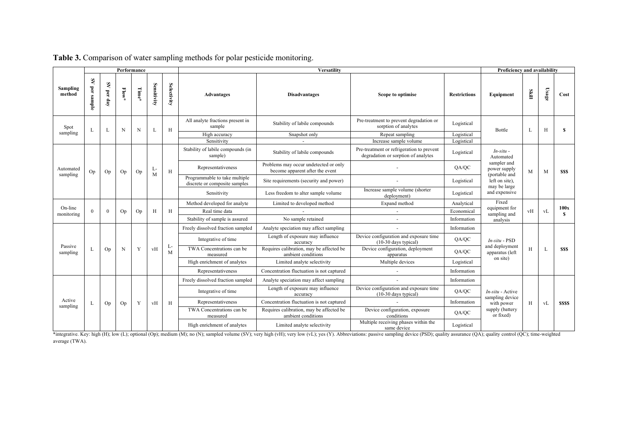|                       |                            |            |                | Performance                                                                                              |             |             |                                                                 | Versatility                                                    |                                                                 |                                                                                                                  | Proficiency and availability                                     |                                                     |                                                                                  |            |                                |                    |                |             |          |                    |                                                                          |    |       |                                              |   |   |     |  |  |  |  |  |  |  |  |  |  |  |  |  |  |  |  |  |  |  |  |  |  |  |  |  |                                   |                                        |  |             |  |  |  |  |
|-----------------------|----------------------------|------------|----------------|----------------------------------------------------------------------------------------------------------|-------------|-------------|-----------------------------------------------------------------|----------------------------------------------------------------|-----------------------------------------------------------------|------------------------------------------------------------------------------------------------------------------|------------------------------------------------------------------|-----------------------------------------------------|----------------------------------------------------------------------------------|------------|--------------------------------|--------------------|----------------|-------------|----------|--------------------|--------------------------------------------------------------------------|----|-------|----------------------------------------------|---|---|-----|--|--|--|--|--|--|--|--|--|--|--|--|--|--|--|--|--|--|--|--|--|--|--|--|--|-----------------------------------|----------------------------------------|--|-------------|--|--|--|--|
| Sampling<br>method    | $\mathbf{S}$<br>per sample | SV per day | ${\rm Flow}^*$ | $\mathbf{Time}^*$                                                                                        | Sensitivity | Selectivity | Advantages                                                      | <b>Disadvantages</b>                                           | Scope to optimise                                               | <b>Restrictions</b>                                                                                              | Equipment                                                        | Skill                                               | $_{\rm 0sage}$                                                                   | Cost       |                                |                    |                |             |          |                    |                                                                          |    |       |                                              |   |   |     |  |  |  |  |  |  |  |  |  |  |  |  |  |  |  |  |  |  |  |  |  |  |  |  |  |                                   |                                        |  |             |  |  |  |  |
| Spot                  |                            |            | N              | N                                                                                                        | L           | H           | All analyte fractions present in<br>sample                      | Stability of labile compounds                                  | Pre-treatment to prevent degradation or<br>sorption of analytes | Logistical                                                                                                       | Bottle                                                           | L                                                   | H                                                                                | s          |                                |                    |                |             |          |                    |                                                                          |    |       |                                              |   |   |     |  |  |  |  |  |  |  |  |  |  |  |  |  |  |  |  |  |  |  |  |  |  |  |  |  |                                   |                                        |  |             |  |  |  |  |
| sampling              |                            |            |                |                                                                                                          |             |             |                                                                 | High accuracy                                                  | Snapshot only                                                   | Repeat sampling                                                                                                  | Logistical                                                       |                                                     |                                                                                  |            |                                |                    |                |             |          |                    |                                                                          |    |       |                                              |   |   |     |  |  |  |  |  |  |  |  |  |  |  |  |  |  |  |  |  |  |  |  |  |  |  |  |  |                                   |                                        |  |             |  |  |  |  |
|                       |                            |            |                |                                                                                                          |             |             | Sensitivity                                                     | $\sim$                                                         | Increase sample volume                                          | Logistical                                                                                                       |                                                                  |                                                     |                                                                                  |            |                                |                    |                |             |          |                    |                                                                          |    |       |                                              |   |   |     |  |  |  |  |  |  |  |  |  |  |  |  |  |  |  |  |  |  |  |  |  |  |  |  |  |                                   |                                        |  |             |  |  |  |  |
|                       | Automated                  | Op         |                | Op                                                                                                       |             |             |                                                                 |                                                                |                                                                 |                                                                                                                  | Stability of labile compounds (in<br>sample)                     | Stability of labile compounds                       | Pre-treatment or refrigeration to prevent<br>degradation or sorption of analytes | Logistical | $In-situ -$<br>Automated       |                    |                |             |          |                    |                                                                          |    |       |                                              |   |   |     |  |  |  |  |  |  |  |  |  |  |  |  |  |  |  |  |  |  |  |  |  |  |  |  |  |                                   |                                        |  |             |  |  |  |  |
| sampling              |                            |            |                |                                                                                                          |             |             |                                                                 |                                                                |                                                                 |                                                                                                                  |                                                                  |                                                     |                                                                                  |            | Op                             | Op                 | L-<br>M        | H           |          | Representativeness | Problems may occur undetected or only<br>become apparent after the event |    | QA/QC | sampler and<br>power supply<br>(portable and | M | M | SSS |  |  |  |  |  |  |  |  |  |  |  |  |  |  |  |  |  |  |  |  |  |  |  |  |  |                                   |                                        |  |             |  |  |  |  |
|                       |                            |            |                | Programmable to take multiple<br>Site requirements (security and power)<br>discrete or composite samples |             | Logistical  | left on site),<br>may be large                                  |                                                                |                                                                 |                                                                                                                  |                                                                  |                                                     |                                                                                  |            |                                |                    |                |             |          |                    |                                                                          |    |       |                                              |   |   |     |  |  |  |  |  |  |  |  |  |  |  |  |  |  |  |  |  |  |  |  |  |  |  |  |  |                                   |                                        |  |             |  |  |  |  |
|                       |                            |            |                |                                                                                                          |             | Sensitivity | Less freedom to alter sample volume                             | Increase sample volume (shorter<br>deployment)                 | Logistical                                                      | and expensive                                                                                                    |                                                                  |                                                     |                                                                                  |            |                                |                    |                |             |          |                    |                                                                          |    |       |                                              |   |   |     |  |  |  |  |  |  |  |  |  |  |  |  |  |  |  |  |  |  |  |  |  |  |  |  |  |                                   |                                        |  |             |  |  |  |  |
|                       |                            |            | Op             |                                                                                                          |             |             | Method developed for analyte                                    | Limited to developed method                                    | Expand method                                                   | Analytical                                                                                                       | Fixed                                                            |                                                     |                                                                                  |            |                                |                    |                |             |          |                    |                                                                          |    |       |                                              |   |   |     |  |  |  |  |  |  |  |  |  |  |  |  |  |  |  |  |  |  |  |  |  |  |  |  |  |                                   |                                        |  |             |  |  |  |  |
| On-line<br>monitoring | $\Omega$                   | $\Omega$   |                |                                                                                                          | Op          |             | H                                                               |                                                                |                                                                 |                                                                                                                  |                                                                  |                                                     |                                                                                  |            |                                | H                  | Real time data |             |          | Economical         | equipment for<br>sampling and                                            | vH | vL    | 100x<br>S.                                   |   |   |     |  |  |  |  |  |  |  |  |  |  |  |  |  |  |  |  |  |  |  |  |  |  |  |  |  |                                   |                                        |  |             |  |  |  |  |
|                       |                            |            |                |                                                                                                          |             |             |                                                                 |                                                                |                                                                 |                                                                                                                  |                                                                  |                                                     |                                                                                  |            | Stability of sample is assured | No sample retained |                | Information | analysis |                    |                                                                          |    |       |                                              |   |   |     |  |  |  |  |  |  |  |  |  |  |  |  |  |  |  |  |  |  |  |  |  |  |  |  |  |                                   |                                        |  |             |  |  |  |  |
|                       |                            |            |                |                                                                                                          |             |             |                                                                 |                                                                |                                                                 |                                                                                                                  |                                                                  |                                                     |                                                                                  |            |                                |                    |                |             |          |                    |                                                                          |    |       |                                              |   |   |     |  |  |  |  |  |  |  |  |  |  |  |  |  |  |  |  |  |  |  |  |  |  |  |  |  | Freely dissolved fraction sampled | Analyte speciation may affect sampling |  | Information |  |  |  |  |
|                       |                            |            |                |                                                                                                          |             |             |                                                                 |                                                                | Integrative of time                                             | Device configuration and exposure time<br>Length of exposure may influence<br>$(10-30$ days typical)<br>accuracy | QA/QC                                                            | $In-situ$ - $PSD$                                   |                                                                                  |            |                                |                    |                |             |          |                    |                                                                          |    |       |                                              |   |   |     |  |  |  |  |  |  |  |  |  |  |  |  |  |  |  |  |  |  |  |  |  |  |  |  |  |                                   |                                        |  |             |  |  |  |  |
| Passive<br>sampling   |                            | Op         | N              | Y                                                                                                        | vH          | L-<br>M     | TWA Concentrations can be<br>measured                           | Requires calibration, may be affected be<br>ambient conditions | Device configuration, deployment<br>apparatus                   | QA/QC                                                                                                            | and deployment<br>apparatus (left                                | H                                                   | $\mathbf I$                                                                      | SSS        |                                |                    |                |             |          |                    |                                                                          |    |       |                                              |   |   |     |  |  |  |  |  |  |  |  |  |  |  |  |  |  |  |  |  |  |  |  |  |  |  |  |  |                                   |                                        |  |             |  |  |  |  |
|                       |                            |            |                |                                                                                                          |             |             | High enrichment of analytes                                     | Limited analyte selectivity                                    | Multiple devices                                                | Logistical                                                                                                       | on site)                                                         |                                                     |                                                                                  |            |                                |                    |                |             |          |                    |                                                                          |    |       |                                              |   |   |     |  |  |  |  |  |  |  |  |  |  |  |  |  |  |  |  |  |  |  |  |  |  |  |  |  |                                   |                                        |  |             |  |  |  |  |
|                       |                            |            |                |                                                                                                          |             |             | Representativeness                                              | Concentration fluctuation is not captured                      |                                                                 | Information                                                                                                      |                                                                  |                                                     |                                                                                  |            |                                |                    |                |             |          |                    |                                                                          |    |       |                                              |   |   |     |  |  |  |  |  |  |  |  |  |  |  |  |  |  |  |  |  |  |  |  |  |  |  |  |  |                                   |                                        |  |             |  |  |  |  |
|                       |                            |            |                |                                                                                                          |             |             | Freely dissolved fraction sampled                               | Analyte speciation may affect sampling                         |                                                                 | Information                                                                                                      |                                                                  |                                                     |                                                                                  |            |                                |                    |                |             |          |                    |                                                                          |    |       |                                              |   |   |     |  |  |  |  |  |  |  |  |  |  |  |  |  |  |  |  |  |  |  |  |  |  |  |  |  |                                   |                                        |  |             |  |  |  |  |
|                       |                            |            |                |                                                                                                          |             |             |                                                                 |                                                                | Integrative of time                                             | Length of exposure may influence<br>accuracy                                                                     | Device configuration and exposure time<br>$(10-30$ days typical) | QA/QC                                               | In-situ - Active<br>sampling device                                              |            |                                |                    |                |             |          |                    |                                                                          |    |       |                                              |   |   |     |  |  |  |  |  |  |  |  |  |  |  |  |  |  |  |  |  |  |  |  |  |  |  |  |  |                                   |                                        |  |             |  |  |  |  |
| Active                |                            | Op         | Op             | Y                                                                                                        | vH          | H           | Concentration fluctuation is not captured<br>Representativeness |                                                                | Information                                                     | with power                                                                                                       | H                                                                | vL                                                  | <b>SSSS</b>                                                                      |            |                                |                    |                |             |          |                    |                                                                          |    |       |                                              |   |   |     |  |  |  |  |  |  |  |  |  |  |  |  |  |  |  |  |  |  |  |  |  |  |  |  |  |                                   |                                        |  |             |  |  |  |  |
| sampling              |                            |            |                |                                                                                                          |             |             |                                                                 | TWA Concentrations can be<br>measured                          | Requires calibration, may be affected be<br>ambient conditions  | Device configuration, exposure<br>conditions                                                                     | QA/QC                                                            | supply (battery<br>or fixed)                        |                                                                                  |            |                                |                    |                |             |          |                    |                                                                          |    |       |                                              |   |   |     |  |  |  |  |  |  |  |  |  |  |  |  |  |  |  |  |  |  |  |  |  |  |  |  |  |                                   |                                        |  |             |  |  |  |  |
|                       |                            |            |                |                                                                                                          |             |             |                                                                 |                                                                |                                                                 | High enrichment of analytes                                                                                      | Limited analyte selectivity                                      | Multiple receiving phases within the<br>same device | Logistical                                                                       |            |                                |                    |                |             |          |                    |                                                                          |    |       |                                              |   |   |     |  |  |  |  |  |  |  |  |  |  |  |  |  |  |  |  |  |  |  |  |  |  |  |  |  |                                   |                                        |  |             |  |  |  |  |

**Table 3.** Comparison of water sampling methods for polar pesticide monitoring.

\*integrative. Key: high (H); low (L); optional (Op); medium (M); no (N); sampled volume (SV); very high (vH); very low (vL); yes (Y). Abbreviations: passive sampling device (PSD); quality assurance (QA); quality control (Q average (TWA).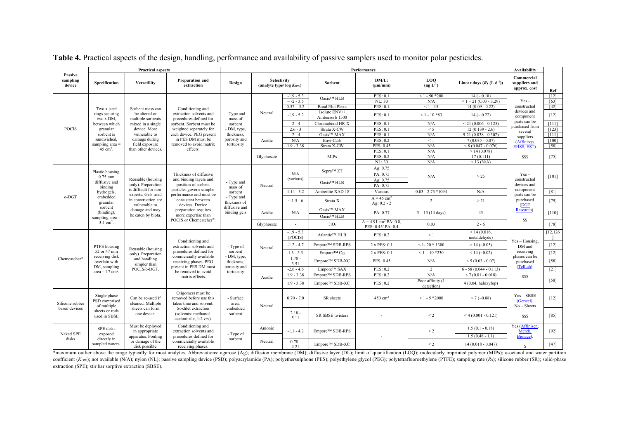|                               |                                                                  | <b>Practical aspects</b>                                 |                                                                                                                                                   |                            |                                              |                         |                                 | Performance                                               |                                    |                                               | Availability                                |                                       |           |                    |                      |                                                                  |                            |                            |                |          |                                           |                |     |                                   |        |
|-------------------------------|------------------------------------------------------------------|----------------------------------------------------------|---------------------------------------------------------------------------------------------------------------------------------------------------|----------------------------|----------------------------------------------|-------------------------|---------------------------------|-----------------------------------------------------------|------------------------------------|-----------------------------------------------|---------------------------------------------|---------------------------------------|-----------|--------------------|----------------------|------------------------------------------------------------------|----------------------------|----------------------------|----------------|----------|-------------------------------------------|----------------|-----|-----------------------------------|--------|
| Passive<br>sampling<br>device | Specification                                                    | Versatility                                              | <b>Preparation and</b><br>extraction                                                                                                              | Design                     | Selectivity<br>(analyte type/ $log K_{OW}$ ) |                         | Sorbent                         | DM/L:<br>$(\mu m/mm)$                                     | <b>LOO</b><br>(ng L <sup>1</sup> ) | Linear days $(R_S (L d-1))$                   | Commercial<br>suppliers and<br>approx. cost | Ref                                   |           |                    |                      |                                                                  |                            |                            |                |          |                                           |                |     |                                   |        |
|                               |                                                                  |                                                          |                                                                                                                                                   |                            |                                              | $-1.9 - 5.3$            |                                 | PES: 0.1                                                  | $< 1 - 50 * 200$                   | $14 (\sim 0.18)$                              |                                             | $[12]$                                |           |                    |                      |                                                                  |                            |                            |                |          |                                           |                |     |                                   |        |
|                               |                                                                  | Sorbent mass can<br>be altered or<br>multiple sorbents   |                                                                                                                                                   |                            |                                              |                         |                                 | $\sim -2 - 3.5$                                           | Oasis™ HLB                         | NL: 30                                        | N/A                                         | $< 1 - 21 (0.03 - 3.29)$              | Yes-      | [63]               |                      |                                                                  |                            |                            |                |          |                                           |                |     |                                   |        |
|                               | Two x steel                                                      |                                                          | Conditioning and<br>extraction solvents and<br>procedures defined for                                                                             |                            |                                              | $0.57 - 5.2$            | <b>Bond Elut Plexa</b>          | PES: 0.1                                                  | $< 1 - 15$                         | $14(0.09 - 0.22)$                             | constructed                                 | $[42]$                                |           |                    |                      |                                                                  |                            |                            |                |          |                                           |                |     |                                   |        |
|                               | rings securing<br>two x DM,                                      |                                                          |                                                                                                                                                   | - Type and<br>mass of      | Neutral                                      | $-1.9 - 5.2$            | Isolute ENV+/<br>Ambersorb 1500 | <b>PES: 0.1</b>                                           | $< 1 - 10$ *83                     | $14 (\sim 0.22)$                              | devices and<br>component                    | $[12]$                                |           |                    |                      |                                                                  |                            |                            |                |          |                                           |                |     |                                   |        |
|                               | between which                                                    | mixed in a single                                        | sorbent. Sorbent must be                                                                                                                          | sorbent                    |                                              | $-2 - 4$                | Chromabond HR-X                 | <b>PES: 0.1</b>                                           | N/A                                | $< 21 (0.006 - 0.125)$                        | parts can be                                | $[111]$                               |           |                    |                      |                                                                  |                            |                            |                |          |                                           |                |     |                                   |        |
| <b>POCIS</b>                  | granular                                                         | device. More                                             | weighted separately for                                                                                                                           | - DM, type,                |                                              | $2.6 - 3$               | Strata X-CW                     | <b>PES: 0.1</b>                                           | < 5                                | $12(0.139 - 2.6)$                             | purchased from                              | [123]                                 |           |                    |                      |                                                                  |                            |                            |                |          |                                           |                |     |                                   |        |
|                               | sorbent is                                                       | vulnerable to                                            | each device. PEG present                                                                                                                          | thickness,                 |                                              | $-2 - 4$                | Oasis <sup>TM</sup> MAX         | <b>PES: 0.1</b>                                           | N/A                                | $9-21(0.038 - 0.302)$                         | several<br>suppliers                        | [111]                                 |           |                    |                      |                                                                  |                            |                            |                |          |                                           |                |     |                                   |        |
|                               | sandwiched,                                                      | damage during                                            | in PES DM must be                                                                                                                                 | porosity and               | Acidic                                       | N/A                     | Envi-Carb                       | PES: 0.2                                                  | $\leq 1$                           | $7(0.035 - 0.07)$                             | (Affinisep,                                 | [100]                                 |           |                    |                      |                                                                  |                            |                            |                |          |                                           |                |     |                                   |        |
|                               | sampling area $=$                                                | field exposure                                           | removed to avoid matrix                                                                                                                           | tortuosity                 |                                              | $1.9 - 3.38$            | Strata X-CW                     | PES: 0.45                                                 | N/A                                | $< 8(0.047 - 0.076)$                          | EHSS, EST).                                 | $[58]$                                |           |                    |                      |                                                                  |                            |                            |                |          |                                           |                |     |                                   |        |
|                               | $45 \text{ cm}^2$ .                                              | than other devices.                                      | effects.                                                                                                                                          |                            |                                              |                         |                                 | PES: 0.1                                                  | N/A                                | > 14(0.078)                                   |                                             |                                       |           |                    |                      |                                                                  |                            |                            |                |          |                                           |                |     |                                   |        |
|                               |                                                                  |                                                          |                                                                                                                                                   |                            | Glyphosate                                   |                         | <b>MIPs</b>                     | PES: 0.2                                                  | N/A                                | 17(0.111)                                     | \$\$\$                                      | $[75]$                                |           |                    |                      |                                                                  |                            |                            |                |          |                                           |                |     |                                   |        |
|                               |                                                                  |                                                          |                                                                                                                                                   |                            |                                              |                         |                                 | <b>NL</b> : 30                                            | N/A                                | $< 13$ (N/A)                                  |                                             |                                       |           |                    |                      |                                                                  |                            |                            |                |          |                                           |                |     |                                   |        |
|                               | Plastic housing,<br>$0.75$ mm                                    |                                                          | Thickness of diffusive                                                                                                                            |                            |                                              | N/A                     | Sepra™ ZT                       | Ag: $0.75$<br>PA: 0.75                                    | N/A                                | > 25                                          | $Yes -$                                     | $[101]$                               |           |                    |                      |                                                                  |                            |                            |                |          |                                           |                |     |                                   |        |
| o-DGT                         | diffusive and<br>binding                                         |                                                          | only). Preparation<br>is difficult for non-<br>experts. Gels used<br>in construction are<br>vulnerable to<br>damage and may<br>be eaten by biota. |                            | Reusable (housing                            |                         |                                 |                                                           |                                    | and binding layers and<br>position of sorbent | - Type and<br>mass of                       | Neutral                               | (various) | Oasis™ HLB         | Ag: 0.75<br>PA: 0.75 |                                                                  |                            | constructed<br>devices and |                |          |                                           |                |     |                                   |        |
|                               | hydrogels,                                                       |                                                          |                                                                                                                                                   |                            | particles govern sampler                     | sorbent                 |                                 | $1.14 - 3.2$                                              | Amberlite XAD 18                   | Various                                       | $0.03 - 2.73 * 1094$                        | N/A                                   | component | $[81]$             |                      |                                                                  |                            |                            |                |          |                                           |                |     |                                   |        |
|                               | embedded<br>granular<br>sorbent<br>(binding),<br>sampling area = |                                                          |                                                                                                                                                   |                            |                                              |                         |                                 |                                                           |                                    |                                               |                                             |                                       |           |                    |                      | performance and must be<br>consistent between<br>devices. Device | - Type and<br>thickness of |                            | $\sim 1.5 - 6$ | Strata-X | $A = 45$ cm <sup>2</sup><br>Ag: $0.2 - 2$ | $\overline{2}$ | >21 | parts can be<br>purchased<br>(DGT | $[79]$ |
|                               |                                                                  |                                                          |                                                                                                                                                   |                            |                                              |                         |                                 | preparation requires<br>more expertise than               | diffusive and<br>binding gels      | Acidic                                        | N/A                                         | Oasis <sup>TM</sup> MAX<br>Oasis™ HLB | PA: 0.77  | $3 - 13$ (14 days) | 43                   | Research).                                                       | $[110]$                    |                            |                |          |                                           |                |     |                                   |        |
|                               | $3.1 \text{ cm}^2$ .                                             |                                                          | POCIS or Chemcatcher <sup>®</sup> .                                                                                                               |                            | Glyphosate                                   |                         | TiO <sub>2</sub>                | $A = 4.91$ cm <sup>2</sup> PA: 0.8.<br>PES: 0.45/ PA: 0.4 | 0.03                               | $2 - 6$                                       | \$\$                                        | $[78]$                                |           |                    |                      |                                                                  |                            |                            |                |          |                                           |                |     |                                   |        |
|                               |                                                                  |                                                          |                                                                                                                                                   |                            |                                              | $-1.9 - 5.3$<br>(POCIS) | Atlantic™ HLB                   | PES: 0.2                                                  | $\leq 1$                           | > 14(0.016,<br>metaldehyde)                   |                                             | [12, 126]                             |           |                    |                      |                                                                  |                            |                            |                |          |                                           |                |     |                                   |        |
|                               | PTFE housing                                                     | Reusable (housing                                        | Conditioning and<br>extraction solvents and                                                                                                       | - Type of                  | Neutral                                      | $-1.2 - 4.7$            | Empore™ SDB-RPS                 | 2 x PES: 0.1                                              | $<$ 1-20 $*$ 1300                  | $> 14 (-0.05)$                                | Yes - Housing.<br>DM and                    | $[12]$                                |           |                    |                      |                                                                  |                            |                            |                |          |                                           |                |     |                                   |        |
|                               | 52 or 47 mm                                                      | only). Preparation                                       | procedures defined for                                                                                                                            | sorbent                    |                                              | $1.3 - 5.3$             | Empore <sup>TM</sup> $C_{18}$   | 2 x PES: 0.1                                              | $< 1 - 10$ *230                    | $< 14 (-0.02)$                                | receiving                                   | $[12]$                                |           |                    |                      |                                                                  |                            |                            |                |          |                                           |                |     |                                   |        |
| Chemcatcher®                  | receiving disk<br>overlain with                                  | and handling<br>simpler than                             | commercially available<br>receiving phases. PEG<br>present in PES DM must                                                                         | - DM, type,<br>thickness,  |                                              | $1.78 -$<br>3.51        | Empore™ SDB-XC                  | PES: 0.45                                                 | N/A                                | $< 5$ (0.03 - 0.07)                           | phases can be<br>purchased                  | $[58]$                                |           |                    |                      |                                                                  |                            |                            |                |          |                                           |                |     |                                   |        |
|                               | DM, sampling<br>area = $17 \text{ cm}^2$ .                       | POCIS/o-DGT.                                             | be removed to avoid                                                                                                                               | porosity and<br>tortuosity |                                              | $-2.6 - 4.6$            | Empore™ SAX                     | <b>PES: 0.2</b>                                           | 2                                  | $6 - 58(0.044 - 0.113)$                       | (TelLab).                                   | [21]                                  |           |                    |                      |                                                                  |                            |                            |                |          |                                           |                |     |                                   |        |
|                               |                                                                  |                                                          | matrix effects.                                                                                                                                   |                            | Acidic                                       | $1.9 - 3.38$            | Empore™ SDB-RPS                 | PES: 0.2                                                  | N/A                                | $< 7(0.01 - 0.018)$                           | \$\$\$                                      |                                       |           |                    |                      |                                                                  |                            |                            |                |          |                                           |                |     |                                   |        |
|                               |                                                                  |                                                          |                                                                                                                                                   |                            |                                              | $1.9 - 3.38$            | Empore™ SDB-XC                  | PES: 0.2                                                  | Poor affinity (1<br>detection)     | 4(0.04, haloxyfop)                            |                                             | $[58]$                                |           |                    |                      |                                                                  |                            |                            |                |          |                                           |                |     |                                   |        |
| Silicone rubber               | Single phase<br>PSD comprised<br>of multiple                     | Can be re-used if<br>cleaned. Multiple                   | Oligomers must be<br>removed before use this<br>takes time and solvent.                                                                           | - Surface<br>area,         | Neutral                                      | $0.70 - 7.0$            | SR sheets                       | $450$ cm <sup>2</sup>                                     | $< 1 - 5 * 2000$                   | $< 7 (-0.88)$                                 | $Yes - SBSE$<br>(Gerstel).<br>$No - Sheets$ | $[12]$                                |           |                    |                      |                                                                  |                            |                            |                |          |                                           |                |     |                                   |        |
| based devices                 | sheets or rods<br>used in SBSE                                   | sheets can form<br>one device.                           | Soxhlet extraction<br>(solvents: methanol-<br>acetonitrile, 1:2 v/v).                                                                             | embedded<br>sorbent        |                                              | $2.18 -$<br>5.11        | SR SBSE twisters                |                                                           | $\leq$ 2                           | $<$ 4 (0.001 - 0.121)                         | \$\$\$                                      | $[85]$                                |           |                    |                      |                                                                  |                            |                            |                |          |                                           |                |     |                                   |        |
| Naked SPE                     | SPE disks<br>exposed                                             | Must be deployed<br>in appropriate                       | Conditioning and<br>extraction solvents and                                                                                                       | - Type of                  | Anionic                                      | $-1.1 - 4.2$            | Empore™ SDB-RPS                 |                                                           | $\leq$ 2                           | $1.5(0.1 - 0.18)$                             | Yes (Affinisep,<br>Merck,                   | $[92]$                                |           |                    |                      |                                                                  |                            |                            |                |          |                                           |                |     |                                   |        |
| disks                         | directly in<br>sampled waters.                                   | apparatus. Fouling<br>or damage of the<br>disk possible. | procedures defined for<br>commercially available<br>receiving phases.                                                                             | sorbent                    | Neutral                                      | $0.78 -$<br>4.21        | Empore™ SDB-XC                  |                                                           | $< 2\,$                            | $1.5(0.48 - 1.1)$<br>$14(0.018 - 0.047)$      | Biotage).<br>$\mathbf{s}$                   | $[47]$                                |           |                    |                      |                                                                  |                            |                            |                |          |                                           |                |     |                                   |        |

**Table 4.** Practical aspects of the design, handling, performance and availability of passive samplers used to monitor polar pesticides.

\*maximum outlier above the range typically for most analytes. Abbreviations: agarose (Ag); diffusion membrane (DM); diffusive layer (DL); limit of quantification (LOQ); molecularly imprinted polymer (MIPs); n-octanol and w coefficient (Kow); not available (N/A); nylon (NL); passive sampling device (PSD); polyacrylamide (PA); polyethersulphone (PES); polyethylene glycol (PEG); polyethafluoroethylene (PTFE); sampling rate (Rs); silicone rubber extraction (SPE); stir bar sorptive extraction (SBSE).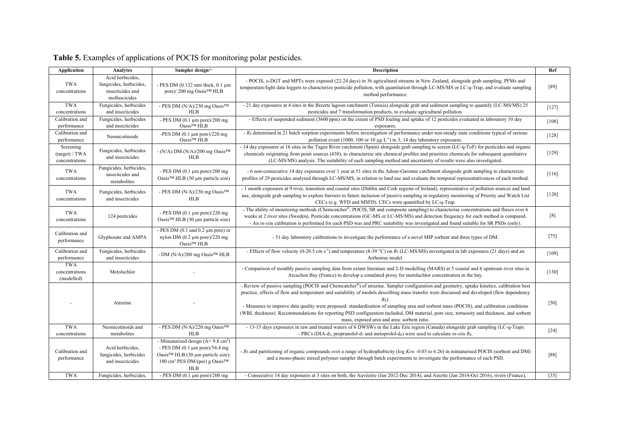| <b>Application</b>                            | <b>Analytes</b>                                                                  | Sampler design*1                                                                                                                                                                                              | <b>Description</b>                                                                                                                                                                                                                                                                                                                                                                                                                                                                                                                                                                                                                      | Ref               |
|-----------------------------------------------|----------------------------------------------------------------------------------|---------------------------------------------------------------------------------------------------------------------------------------------------------------------------------------------------------------|-----------------------------------------------------------------------------------------------------------------------------------------------------------------------------------------------------------------------------------------------------------------------------------------------------------------------------------------------------------------------------------------------------------------------------------------------------------------------------------------------------------------------------------------------------------------------------------------------------------------------------------------|-------------------|
| <b>TWA</b><br>concentrations                  | Acid herbicides,<br>fungicides, herbicides,<br>insecticides and<br>molluscicides | - PES DM $(0.132 \text{ mm thick}, 0.1 \text{ }\mu\text{m})$<br>pore)/ 200 mg Oasis™ HLB                                                                                                                      | - POCIS, o-DGT and MPTs were exposed (22-24 days) in 36 agricultural streams in New Zealand, alongside grab sampling, PFMs and<br>temperature/light data loggers to characterize pesticide pollution, with quantitation through LC-MS/MS or LC-q-Trap, and evaluate sampling<br>method performance.                                                                                                                                                                                                                                                                                                                                     | $[89]$            |
| <b>TWA</b><br>concentrations                  | Fungicides, herbicides<br>and insecticides                                       | - PES DM (N/A)/230 mg Oasis™<br><b>HLB</b>                                                                                                                                                                    | - 21 day exposures at 4 sites in the Bizerte lagoon catchment (Tunisia) alongside grab and sediment sampling to quantify (LC-MS/MS) 25<br>pesticides and 7 transformation products, to evaluate agricultural pollution.                                                                                                                                                                                                                                                                                                                                                                                                                 | $[127]$           |
| Calibration and<br>performance                | Fungicides, herbicides<br>and insecticides                                       | - PES DM $(0.1 \text{ µm pore})/200 \text{ mg}$<br>$Oasis^{TM} HLB$                                                                                                                                           | - Effects of suspended sediment (3600 ppm) on the extent of PSD fouling and uptake of 12 pesticides evaluated in laboratory 10 day<br>exposures.                                                                                                                                                                                                                                                                                                                                                                                                                                                                                        | $[108]$           |
| Calibration and<br>performance                | Neonicotinoids                                                                   | -PES DM $(0.1 \mu m)$ pore)/220 mg<br>Oasis™ HLB                                                                                                                                                              | - Rs determined in 21 batch sorption experiments before investigation of performance under non-steady state conditions typical of serious<br>pollution event (1000, 100 or 10 $\mu$ g L <sup>-1</sup> ) in 3, 14 day laboratory exposures.                                                                                                                                                                                                                                                                                                                                                                                              | $[128]$           |
| Screening<br>(target) / TWA<br>concentrations | Fungicides, herbicides<br>and insecticides                                       | - (N/A) DM (N/A)/200 mg Oasis <sup>TM</sup><br><b>HLB</b>                                                                                                                                                     | - 14 day exposures at 16 sites in the Tagus River catchment (Spain) alongside grab sampling to screen (LC-q-ToF) for pesticides and organic<br>chemicals originating from point sources (430), to characterize site chemical profiles and prioritize chemicals for subsequent quantitative<br>(LC-MS/MS) analysis. The suitability of each sampling method and uncertainty of results were also investigated.                                                                                                                                                                                                                           | [129]             |
| TWA<br>concentrations                         | Fungicides, herbicides,<br>insecticides and<br>metabolites                       | - PES DM $(0.1 \mu m)$ pore)/200 mg<br>Oasis <sup>™</sup> HLB (30 µm particle size)                                                                                                                           | - 6 non-consecutive 14 day exposures over 1 year at 51 sites in the Adour-Garonne catchment alongside grab sampling to characterize<br>profiles of 29 pesticides analysed through LC-MS/MS, in relation to land use and evaluate the temporal representativeness of each method.                                                                                                                                                                                                                                                                                                                                                        | $[116]$           |
| <b>TWA</b><br>concentrations                  | Fungicides, herbicides<br>and insecticides                                       | - PES DM (N/A)/230 mg Oasis™<br>HLB                                                                                                                                                                           | - 1 month exposures at 9 river, transition and coastal sites (Dublin and Cork regions of Ireland), representative of pollution sources and land<br>use, alongside grab sampling to explore barriers to future inclusion of passive sampling in regulatory monitoring of Priority and Watch List<br>CECs (e.g. WFD and MSFD). CECs were quantified by LC-q-Trap.                                                                                                                                                                                                                                                                         | $[120]$           |
| <b>TWA</b><br>concentrations                  | 124 pesticides                                                                   | - PES DM $(0.1 \mu m)$ pore)/220 mg<br>Oasis <sup>™</sup> HLB (30 µm particle size)                                                                                                                           | - The ability of monitoring methods (Chemcatcher®, POCIS, SR and composite sampling) to characterise concentrations and fluxes over 6<br>weeks at 2 river sites (Sweden). Pesticide concentrations (GC-MS or LC-MS/MS) and detection frequency for each method is compared.<br>- An in-situ calibration is performed for each PSD was and PRC suitability was investigated and found suitable for SR PSDs (only).                                                                                                                                                                                                                       | $\left[ 8\right]$ |
| Calibration and<br>performance                | Glyphosate and AMPA                                                              | - PES DM $(0.1$ and $0.2 \mu m$ pore) or<br>nylon DM $(0.2 \mu m)$ pore)/220 mg<br>Oasis™ HLB                                                                                                                 | - 31 day laboratory calibrations to investigate the performance of a novel MIP sorbent and three types of DM.                                                                                                                                                                                                                                                                                                                                                                                                                                                                                                                           | $[75]$            |
| Calibration and<br>performance                | Fungicides, herbicides<br>and insecticides                                       | - DM (N/A)/200 mg Oasis™ HLB                                                                                                                                                                                  | - Effects of flow velocity (0-20.5 cm s <sup>-1</sup> ) and temperature (8-39 °C) on R <sub>S</sub> (LC-MS/MS) investigated in lab exposures (21 days) and an<br>Arrhenius model.                                                                                                                                                                                                                                                                                                                                                                                                                                                       | $[109]$           |
| <b>TWA</b><br>concentrations<br>(modelled)    | Metolachlor                                                                      |                                                                                                                                                                                                               | - Comparison of monthly passive sampling data from extant literature and 2-D modelling (MARS) at 5 coastal and 6 upstream river sites in<br>Arcachon Bay (France) to develop a simulated proxy for metolachlor concentration in the bay.                                                                                                                                                                                                                                                                                                                                                                                                | $[130]$           |
|                                               | Atrazine                                                                         |                                                                                                                                                                                                               | - Review of passive sampling (POCIS and Chemcatcher®) of atrazine. Sampler configuration and geometry, uptake kinetics, calibration best<br>practice, effects of flow and temperature and suitability of models describing mass transfer were discussed and developed (flow dependency<br>$RS$ ).<br>- Measures to improve data quality were proposed: standardization of sampling area and sorbent mass (POCIS), and calibration conditions<br>(WBL thickness). Recommendations for reporting PSD configuration included, DM material, pore size, tortuosity and thickness, and sorbent<br>mass, exposed area and area: sorbent ratio. | $[50]$            |
| <b>TWA</b><br>concentrations                  | Neonicotinoids and<br>metabolites                                                | - PES DM (N/A)/220 mg Oasis <sup>TM</sup><br><b>HLB</b>                                                                                                                                                       | - 13-15 days exposures in raw and treated waters of 6 DWSWs in the Lake Erie region (Canada) alongside grab sampling (LC-q-Trap).<br>- PRCs (DIA-ds, propranolol-d <sub>7</sub> and metoprolol-d <sub>6</sub> ) were used to calculate in-situ $R_s$ .                                                                                                                                                                                                                                                                                                                                                                                  | $[24]$            |
| Calibration and<br>performance                | Acid herbicides,<br>fungicides, herbicides<br>and insecticides                   | - Miniaturized design $(A=9.8 \text{ cm}^2)$<br>- PES DM $(0.1 \mu m)$ pore)/54.4 mg<br>Oasis <sup>™</sup> HLB (30 µm particle size):<br>180 cm <sup>2</sup> PES DM/(per) g Oasis <sup>TM</sup><br><b>HLB</b> | - Rs and partitioning of organic compounds over a range of hydrophobicity (log Kow -0.03 to 6.26) in miniaturised POCIS (sorbent and DM)<br>and a mono-phasic mixed polymer sampler through batch experiments to investigate the performance of each PSD.                                                                                                                                                                                                                                                                                                                                                                               | $[88]$            |
| <b>TWA</b>                                    | Fungicides, herbicides,                                                          | - PES DM $(0.1 \mu m)$ pore)/200 mg                                                                                                                                                                           | - Consecutive 14 day exposures at 3 sites on both, the Auvézère (Jan 2012-Dec 2014), and Aixette (Jan 2014-Oct 2016), rivers (France),                                                                                                                                                                                                                                                                                                                                                                                                                                                                                                  | $[35]$            |

# **Table 5.** Examples of applications of POCIS for monitoring polar pesticides*.*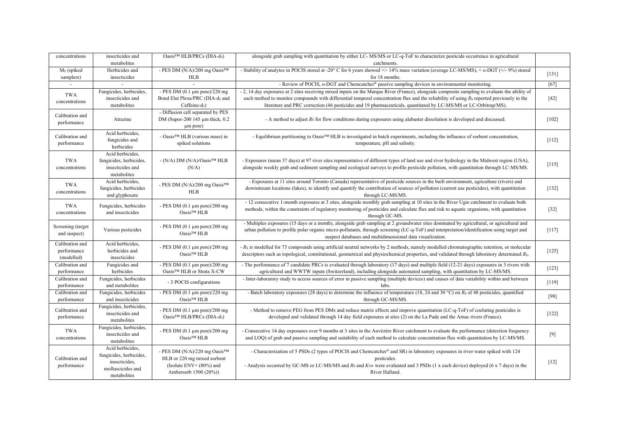| concentrations                               | insecticides and<br>metabolites                                                                  | Oasis™ HLB/PRCs (DIA-d <sub>5</sub> )                                                                                            | alongside grab sampling with quantitation by either LC- MS/MS or LC-q-ToF to characterize pesticide occurrence in agricultural<br>catchments.                                                                                                                                                                                                         |         |
|----------------------------------------------|--------------------------------------------------------------------------------------------------|----------------------------------------------------------------------------------------------------------------------------------|-------------------------------------------------------------------------------------------------------------------------------------------------------------------------------------------------------------------------------------------------------------------------------------------------------------------------------------------------------|---------|
| $MS$ (spiked<br>samplers)                    | Herbicides and<br>insecticides                                                                   | - PES DM (N/A)/200 mg Oasis™<br><b>HLB</b>                                                                                       | - Stability of analytes in POCIS stored at -20° C for 6 years showed +/- 14% mass variation (average LC-MS/MS), < o-DGT (+/- 9%) stored<br>for 18 months.                                                                                                                                                                                             | $[131]$ |
|                                              |                                                                                                  |                                                                                                                                  | - Review of POCIS, o-DGT and Chemcatcher® passive sampling devices in environmental monitoring.                                                                                                                                                                                                                                                       | [67]    |
|                                              | Fungicides, herbicides,                                                                          | - PES DM $(0.1 \mu m)$ pore)/220 mg                                                                                              | - 2, 14 day exposures at 2 sites receiving mixed inputs on the Marque River (France), alongside composite sampling to evaluate the ability of                                                                                                                                                                                                         |         |
| <b>TWA</b>                                   | insecticides and                                                                                 | Bond Elut Plexa/PRC (DIA-d <sub>5</sub> and                                                                                      | each method to monitor compounds with differential temporal concentration flux and the reliability of using Rs reported previously in the                                                                                                                                                                                                             | $[42]$  |
| concentrations                               | metabolites                                                                                      | $Caffeine-d_3$                                                                                                                   | literature and PRC correction (46 pesticides and 19 pharmaceuticals, quantitated by LC-MS/MS or LC-Orbitrap/MS).                                                                                                                                                                                                                                      |         |
| Calibration and<br>performance               | Atrazine                                                                                         | - Diffusion cell separated by PES<br>DM (Supor-200 145 µm thick, 0.2<br>um pore)                                                 | - A method to adjust $RS$ for flow conditions during exposures using alabaster dissolution is developed and discussed.                                                                                                                                                                                                                                | $[102]$ |
| Calibration and<br>performance               | Acid herbicides,<br>fungicides and<br>herbicides                                                 | - Oasis™ HLB (various mass) in<br>spiked solutions                                                                               | - Equilibrium partitioning to Oasis™ HLB is investigated in batch experiments, including the influence of sorbent concentration,<br>temperature, pH and salinity.                                                                                                                                                                                     | $[112]$ |
| <b>TWA</b><br>concentrations                 | Acid herbicides,<br>fungicides, herbicides,<br>insecticides and<br>metabolites                   | - (N/A) DM (N/A)/Oasis™ HLB<br>(N/A)                                                                                             | - Exposures (mean 37 days) at 97 river sites representative of different types of land use and river hydrology in the Midwest region (USA),<br>alongside weekly grab and sediment sampling and ecological surveys to profile pesticide pollution, with quantitation through LC-MS/MS.                                                                 | [115]   |
| <b>TWA</b><br>concentrations                 | Acid herbicides,<br>fungicides, herbicides<br>and glyphosate                                     | - PES DM (N/A)/200 mg Oasis™<br><b>HLB</b>                                                                                       | - Exposures at 11 sites around Toronto (Canada) representative of pesticide sources in the built environment, agriculture (rivers) and<br>downstream locations (lakes), to identify and quantify the contribution of sources of pollution (current use pesticides), with quantitation<br>through LC-MS/MS.                                            | [132]   |
| <b>TWA</b><br>concentrations                 | Fungicides, herbicides<br>and insecticides                                                       | - PES DM $(0.1 \mu m)$ pore)/200 mg<br>Oasis™ HLB                                                                                | - 12 consecutive 1-month exposures at 3 sites, alongside monthly grab sampling at 10 sites in the River Ugie catchment to evaluate both<br>methods, within the constraints of regulatory monitoring of pesticides and calculate flux and risk to aquatic organisms, with quantitation<br>through GC-MS.                                               | $[32]$  |
| Screening (target<br>and suspect)            | Various pesticides                                                                               | - PES DM $(0.1 \mu m)$ pore)/200 mg<br>Oasis™ HLB                                                                                | - Multiples exposures (15 days or a month), alongside grab sampling at 2 groundwater sites dominated by agricultural, or agricultural and<br>urban pollution to profile polar organic micro-pollutants, through screening (LC-q-ToF) and interpretation/identification using target and<br>suspect databases and multidimensional data visualization. | $[117]$ |
| Calibration and<br>performance<br>(modelled) | Acid herbicides,<br>herbicides and<br>insecticides                                               | - PES DM $(0.1 \mu m)$ pore)/200 mg<br>Oasis™ HLB                                                                                | - Rs is modelled for 73 compounds using artificial neutral networks by 2 methods, namely modelled chromatographic retention, or molecular<br>descriptors such as topological, constitutional, geometrical and physiochemical properties, and validated through laboratory determined $R_s$ .                                                          | $[125]$ |
| Calibration and<br>performance               | Fungicides and<br>herbicides                                                                     | - PES DM $(0.1 \mu m)$ pore)/200 mg<br>Oasis <sup>™</sup> HLB or Strata X-CW                                                     | - The performance of 7 candidate PRCs is evaluated through laboratory (17 days) and multiple field (12-21 days) exposures in 3 rivers with<br>agricultural and WWTW inputs (Switzerland), including alongside automated sampling, with quantitation by LC-MS/MS.                                                                                      | $[123]$ |
| Calibration and<br>performance               | Fungicides, herbicides<br>and metabolites                                                        | - 3 POCIS configurations                                                                                                         | - Inter-laboratory study to access sources of error in passive sampling (multiple devices) and causes of data variability within and between<br>labs.                                                                                                                                                                                                 | $[119]$ |
| Calibration and<br>performance               | Fungicides, herbicides<br>and insecticides                                                       | - PES DM $(0.1 \mu m)$ pore)/220 mg<br>$Oasis^{TM} HLB$                                                                          | - Batch laboratory exposures (28 days) to determine the influence of temperature (18, 24 and 30 °C) on $R_S$ of 48 pesticides, quantified<br>through GC-MS/MS.                                                                                                                                                                                        | [98]    |
| Calibration and<br>performance               | Fungicides, herbicides,<br>insecticides and<br>metabolites                                       | - PES DM $(0.1 \mu m)$ pore)/200 mg<br>Oasis™ HLB/PRCs (DIA-d <sub>5</sub> )                                                     | - Method to remove PEG from PES DMs and reduce matrix effects and improve quantitation (LC-q-ToF) of coeluting pesticides is<br>developed and validated through 14 day field exposures at sites (2) on the La Pude and the Arnac rivers (France).                                                                                                     | $[122]$ |
| <b>TWA</b><br>concentrations                 | Fungicides, herbicides,<br>insecticides and<br>metabolites                                       | - PES DM $(0.1 \mu m)$ pore)/200 mg<br>Oasis™ HLB                                                                                | - Consecutive 14 day exposures over 9 months at 3 sites in the Auvézère River catchment to evaluate the performance (detection frequency<br>and LOQ) of grab and passive sampling and suitability of each method to calculate concentration flux with quantitation by LC-MS/MS.                                                                       | $[9]$   |
| Calibration and<br>performance               | Acid herbicides,<br>fungicides, herbicides,<br>insecticides,<br>molluscicides and<br>metabolites | - PES DM $(N/A)/220$ mg Oasis <sup>TM</sup><br>HLB or 220 mg mixed sorbent<br>(Isolute ENV+ $(80%)$ and<br>Ambersorb 1500 (20%)) | - Characterization of 5 PSDs (2 types of POCIS and Chemcatcher® and SR) in laboratory exposures in river water spiked with 124<br>pesticides.<br>- Analysis occurred by GC-MS or LC-MS/MS and R <sub>s</sub> and K <sub>SW</sub> were evaluated and 3 PSDs (1 x each device) deployed (6 x 7 days) in the<br>River Halland.                           | $[12]$  |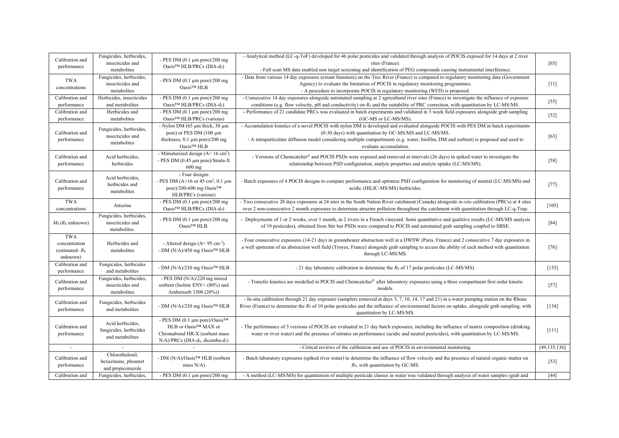| Calibration and<br>performance                              | Fungicides, herbicides,<br>insecticides and<br>metabolites    | - PES DM $(0.1 \mu m)$ pore)/200 mg<br>Oasis™ HLB/PRCs (DIA-d <sub>5</sub> )                                                                                    | - Analytical method (LC-q-ToF) developed for 46 polar pesticides and validated through analysis of POCIS exposed for 14 days at 2 river<br>sites (France).<br>- Full scan MS data enabled non target screening and identification of PEG compounds causing instrumental interference.                                                                           | [65]           |
|-------------------------------------------------------------|---------------------------------------------------------------|-----------------------------------------------------------------------------------------------------------------------------------------------------------------|-----------------------------------------------------------------------------------------------------------------------------------------------------------------------------------------------------------------------------------------------------------------------------------------------------------------------------------------------------------------|----------------|
| <b>TWA</b><br>concentrations                                | Fungicides, herbicides,<br>insecticides and<br>metabolites    | - PES DM $(0.1 \mu m)$ pore)/200 mg<br>Oasis™ HLB                                                                                                               | - Data from various 14 day exposures (extant literature) on the Trec River (France) is compared to regulatory monitoring data (Government<br>Agency) to evaluate the limitation of POCIS in regulatory monitoring programmes.<br>- A procedure to incorporate POCIS in regulatory monitoring (WFD) is proposed.                                                 | $[11]$         |
| Calibration and<br>performance                              | Herbicides, insecticides<br>and metabolites                   | - PES DM $(0.1 \mu m)$ pore)/200 mg<br>Oasis™ HLB/PRCs (DIA-d <sub>5</sub> )                                                                                    | - Consecutive 14 day exposures alongside automated sampling at 2 agricultural river sites (France) to investigate the influence of exposure<br>conditions (e.g. flow velocity, pH and conductivity) on $RS$ and the suitability of PRC correction, with quantitation by LC-MS/MS.                                                                               | $[55]$         |
| Calibration and<br>performance                              | Herbicides and<br>metabolites                                 | - PES DM $(0.1 \mu m)$ pore)/200 mg<br>Oasis™ HLB/PRCs (various)                                                                                                | - Performance of 21 candidate PRCs was evaluated in batch experiments and validated in 3 week field exposures alongside grab sampling<br>(GC-MS or LC-MS/MS).                                                                                                                                                                                                   | $[52]$         |
| Calibration and<br>performance                              | Fungicides, herbicides,<br>insecticides and<br>metabolites    | - Nylon DM $(65 \mu m)$ thick, 30 $\mu$ m<br>pore) or PES DM (100 µm<br>thickness, $0.1 \mu m$ pore)/200 mg<br>Oasis™ HLB                                       | - Accumulation kinetics of a novel POCIS with nylon DM is developed and evaluated alongside POCIS with PES DM in batch experiments<br>(0-30 days) with quantitation by GC-MS/MS and LC-MS/MS.<br>- A intraparticulate diffusion model considering multiple compartments (e.g. water, biofilm, DM and sorbent) is proposed and used to<br>evaluate accumulation. | $[63]$         |
| Calibration and<br>performance                              | Acid herbicides,<br>herbicides                                | - Miniaturized design $(A = 16 \text{ cm}^2)$<br>- PES DM (0.45 µm pore)/Strata-X<br>$600$ mg                                                                   | - Versions of Chemcatcher® and POCIS PSDs were exposed and removed at intervals (26 days) in spiked water to investigate the<br>relationship between PSD configuration, analyte properties and analyte uptake (LC-MS/MS).                                                                                                                                       | $[58]$         |
| Calibration and<br>performance                              | Acid herbicides,<br>herbicides and<br>metabolites             | - Four designs<br>- PES DM (A=16 or 45 cm <sup>2</sup> , 0.1 $\mu$ m<br>pore)/200-600 mg Oasis™<br>HLB/PRCs (various)                                           | - Batch exposures of 4 POCIS designs to compare performance and optimize PSD configuration for monitoring of neutral (LC-MS/MS) and<br>acidic (HILIC-MS/MS) herbicides.                                                                                                                                                                                         | $[77]$         |
| <b>TWA</b><br>concentrations                                | Atrazine                                                      | - PES DM $(0.1 \mu m)$ pore)/200 mg<br>Oasis™ HLB/PRCs (DIA-d <sub>5</sub> )                                                                                    | - Two consecutive 28 days exposures at 24 sites in the South Nation River catchment (Canada) alongside in-situ calibration (PRCs) at 4 sites<br>over 2 non-consecutive 2 month exposures to determine atrazine pollution throughout the catchment with quantitation through LC-q-Trap.                                                                          | $[105]$        |
| $M_S$ ( $R_S$ unknown)                                      | Fungicides, herbicides,<br>insecticides and<br>metabolites.   | - PES DM $(0.1 \mu m)$ pore)/200 mg<br>Oasis™ HLB.                                                                                                              | - Deployments of 1 or 2 weeks, over 1 month, in 2 rivers in a French vineyard. Semi quantitative and qualitive results (LC-MS/MS analysis<br>of 19 pesticides), obtained from Stir bar PSDs were compared to POCIS and automated grab sampling coupled to SBSE.                                                                                                 | $[84]$         |
| <b>TWA</b><br>concentration<br>(estimated- $RS$<br>unknown) | Herbicides and<br>metabolites                                 | - Altered design $(A=95 \text{ cm}^2)$<br>- DM (N/A)/450 mg Oasis™ HLB                                                                                          | - Four consecutive exposures (14-21 day) in groundwater abstraction well at a DWSW (Paris, France) and 2 consecutive 7 day exposures in<br>a well upstream of an abstraction well field (Troyes, France) alongside grab sampling to access the ability of each method with quantitation<br>through LC-MS/MS.                                                    | $[76]$         |
| Calibration and<br>performance                              | Fungicides, herbicides<br>and metabolites                     | - DM (N/A)/230 mg Oasis™ HLB                                                                                                                                    | - 21 day laboratory calibration to determine the $RS$ of 17 polar pesticides (LC-MS/MS).                                                                                                                                                                                                                                                                        | [133]          |
| Calibration and<br>performance                              | Fungicides, herbicides,<br>insecticides and<br>metabolites    | - PES DM (N/A)/220 mg mixed<br>sorbent (Isolute ENV+ (80%) and<br>Ambersorb 1500 (20%))                                                                         | - Transfer kinetics are modelled in POCIS and Chemcatcher® after laboratory exposures using a three compartment first order kinetic<br>models.                                                                                                                                                                                                                  | $[57]$         |
| Calibration and<br>performance                              | Fungicides, herbicides<br>and metabolites                     | - DM (N/A)/230 mg Oasis <sup>TM</sup> HLB                                                                                                                       | - In-situ calibration through 21 day exposure (samplers removed at days 3, 7, 10, 14, 17 and 21) in a water pumping station on the Rhone<br>River (France) to determine the $R_S$ of 10 polar pesticides and the influence of environmental factors on uptake, alongside grab sampling, with<br>quantitation by LC-MS/MS.                                       | $[134]$        |
| Calibration and<br>performance                              | Acid herbicides,<br>fungicides, herbicides<br>and metabolites | - PES DM (0.1 µm pore)/Oasis <sup>TM</sup><br>HLB or Oasis™ MAX or<br>Chromabond HR-X (sorbent mass<br>N/A)/PRCs (DIA-d <sub>5</sub> , dicamba-d <sub>3</sub> ) | - The performance of 3 versions of POCIS are evaluated in 21 day batch exposures, including the influence of matrix composition (drinking<br>water or river water) and the presence of nitrates on performance (acidic and neutral pesticides), with quantitation by LC-MS/MS.                                                                                  | [111]          |
| $\sim$                                                      |                                                               | $\mathbf{r}$                                                                                                                                                    | - Critical reviews of the calibration and use of POCIS in environmental monitoring.                                                                                                                                                                                                                                                                             | [49, 135, 136] |
| Calibration and<br>performance                              | Chlorothalonil,<br>hexazinone, phosmet<br>and propiconazole   | - DM (N/A)/Oasis™ HLB (sorbent<br>mass $N/A$ )                                                                                                                  | - Batch laboratory exposures (spiked river water) to determine the influence of flow velocity and the presence of natural organic matter on<br>Rs, with quantitation by GC-MS.                                                                                                                                                                                  | $[53]$         |
| Calibration and                                             | Fungicides, herbicides,                                       | - PES DM $(0.1 \mu m)$ pore)/200 mg                                                                                                                             | - A method (LC-MS/MS) for quantitation of multiple pesticide classes in water was validated through analysis of water samples (grab and                                                                                                                                                                                                                         | [44]           |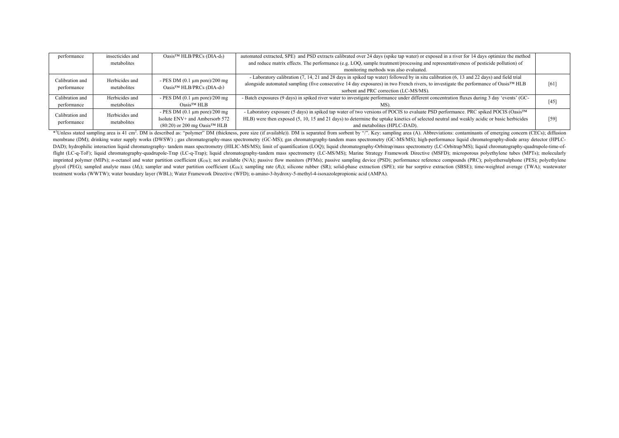| performance     | insecticides and | Oasis <sup>TM</sup> HLB/PRCs (DIA-d <sub>5</sub> ) | automated extracted, SPE) and PSD extracts calibrated over 24 days (spike tap water) or exposed in a river for 14 days optimize the method  |        |
|-----------------|------------------|----------------------------------------------------|---------------------------------------------------------------------------------------------------------------------------------------------|--------|
|                 | metabolites      |                                                    | and reduce matrix effects. The performance (e.g. LOQ, sample treatment/processing and representativeness of pesticide pollution) of         |        |
|                 |                  |                                                    | monitoring methods was also evaluated.                                                                                                      |        |
| Calibration and | Herbicides and   | - PES DM $(0.1 \mu m)$ pore)/200 mg                | - Laboratory calibration (7, 14, 21 and 28 days in spiked tap water) followed by in situ calibration (6, 13 and 22 days) and field trial    |        |
| performance     | metabolites      | Oasis <sup>TM</sup> HLB/PRCs (DIA-d <sub>5</sub> ) | alongside automated sampling (five consecutive 14 day exposures) in two French rivers, to investigate the performance of Oasis™ HLB         | [61]   |
|                 |                  |                                                    | sorbent and PRC correction (LC-MS/MS).                                                                                                      |        |
| Calibration and | Herbicides and   | - PES DM $(0.1 \mu m)$ pore)/200 mg                | - Batch exposures (9 days) in spiked river water to investigate performance under different concentration fluxes during 3 day 'events' (GC- |        |
| performance     | metabolites      | $Oasis^{TM} HLR$                                   | MS)                                                                                                                                         | [45]   |
| Calibration and | Herbicides and   | - PES DM $(0.1 \mu m)$ pore)/200 mg                | - Laboratory exposure (5 days) in spiked tap water of two versions of POCIS to evaluate PSD performance. PRC spiked POCIS (Oasis™           |        |
|                 |                  | Isolute ENV+ and Ambersorb 572                     | HLB) were then exposed (5, 10, 15 and 21 days) to determine the uptake kinetics of selected neutral and weakly acidic or basic herbicides   | $[59]$ |
| performance     | metabolites      | $(80:20)$ or 200 mg Oasis <sup>TM</sup> HLB        | and metabolites (HPLC-DAD).                                                                                                                 |        |

\*Unless stated sampling area is 41 cm2. DM is described as: "polymer" DM (thickness, pore size (if available)). DM is separated from sorbent by "/". Key: sampling area (A). Abbreviations: contaminants of emerging concern ( membrane (DM); drinking water supply works (DWSW) ; gas chromatography-mass spectrometry (GC-MS); gas chromatography-tandem mass spectrometry (GC-MS/MS); high-performance liquid chromatography-diode array detector (HPLC-DAD); hydrophilic interaction liquid chromatography- tandem mass spectrometry (HILIC-MS/MS); limit of quantification (LOQ); liquid chromatography-Orbitrap/mass spectrometry (LC-Orbitrap/MS); liquid chromatography-quadrupol flight (LC-q-ToF); liquid chromatography-quadrupole-Trap (LC-q-Trap); liquid chromatography-tandem mass spectrometry (LC-MS/MS); Marine Strategy Framework Directive (MSFD); microporous polyethylene tubes (MPTs); molecularl imprinted polymer (MIPs); n-octanol and water partition coefficient (K<sub>OW</sub>); not available (N/A); passive flow monitors (PFMs); passive sampling device (PSD); performance reference compounds (PRC); polyethersulphone (PES); glycol (PEG); sampled analyte mass (M<sub>3</sub>); sampler and water partition coefficient (K<sub>SW</sub>); sampling rate (R<sub>S</sub>); silicone rubber (SR); solid-phase extraction (SPE); stir bar sorptive extraction (SBSE); time-weighted aver treatment works (WWTW); water boundary layer (WBL); Water Framework Directive (WFD); α-amino-3-hydroxy-5-methyl-4-isoxazolepropionic acid (AMPA).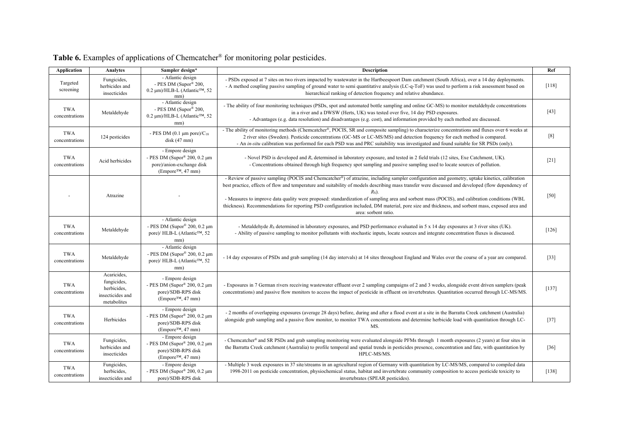| <b>Application</b>           | Analytes                                                                     | Sampler design*                                                                                                     | <b>Description</b>                                                                                                                                                                                                                                                                                                                                                                                                                                                                                                                                                                                                                              | Ref     |
|------------------------------|------------------------------------------------------------------------------|---------------------------------------------------------------------------------------------------------------------|-------------------------------------------------------------------------------------------------------------------------------------------------------------------------------------------------------------------------------------------------------------------------------------------------------------------------------------------------------------------------------------------------------------------------------------------------------------------------------------------------------------------------------------------------------------------------------------------------------------------------------------------------|---------|
| Targeted<br>screening        | Fungicides,<br>herbicides and<br>insecticides                                | - Atlantic design<br>- PES DM (Supor® 200,<br>0.2 µm)/HLB-L (Atlantic™, 52<br>mm)                                   | - PSDs exposed at 7 sites on two rivers impacted by wastewater in the Hartbeespoort Dam catchment (South Africa), over a 14 day deployments.<br>- A method coupling passive sampling of ground water to semi quantitative analysis (LC-q-ToF) was used to perform a risk assessment based on<br>hierarchical ranking of detection frequency and relative abundance.                                                                                                                                                                                                                                                                             | $[118]$ |
| <b>TWA</b><br>concentrations | Metaldehyde                                                                  | - Atlantic design<br>- PES DM (Supor <sup>®</sup> 200,<br>0.2 μm)/HLB-L (Atlantic <sup>TM</sup> , 52<br>mm)         | - The ability of four monitoring techniques (PSDs, spot and automated bottle sampling and online GC-MS) to monitor metaldehyde concentrations<br>in a river and a DWSW (Herts, UK) was tested over five, 14 day PSD exposures.<br>- Advantages (e.g. data resolution) and disadvantages (e.g. cost), and information provided by each method are discussed.                                                                                                                                                                                                                                                                                     | $[43]$  |
| <b>TWA</b><br>concentrations | 124 pesticides                                                               | - PES DM $(0.1 \mu m)$ pore)/C <sub>18</sub><br>disk (47 mm)                                                        | - The ability of monitoring methods (Chemcatcher®, POCIS, SR and composite sampling) to characterize concentrations and fluxes over 6 weeks at<br>2 river sites (Sweden). Pesticide concentrations (GC-MS or LC-MS/MS) and detection frequency for each method is compared.<br>- An in-situ calibration was performed for each PSD was and PRC suitability was investigated and found suitable for SR PSDs (only).                                                                                                                                                                                                                              | $[8]$   |
| <b>TWA</b><br>concentrations | Acid herbicides                                                              | - Empore design<br>- PES DM (Supor® 200, 0.2 $\mu$ m<br>pore)/anion-exchange disk<br>(Empore <sup>TM</sup> , 47 mm) | - Novel PSD is developed and R <sub>s</sub> determined in laboratory exposure, and tested in 2 field trials (12 sites, Exe Catchment, UK).<br>- Concentrations obtained through high frequency spot sampling and passive sampling used to locate sources of pollution.                                                                                                                                                                                                                                                                                                                                                                          | $[21]$  |
|                              | Atrazine                                                                     |                                                                                                                     | - Review of passive sampling (POCIS and Chemcatcher®) of atrazine, including sampler configuration and geometry, uptake kinetics, calibration<br>best practice, effects of flow and temperature and suitability of models describing mass transfer were discussed and developed (flow dependency of<br>$R_{\rm S}$ ).<br>- Measures to improve data quality were proposed: standardization of sampling area and sorbent mass (POCIS), and calibration conditions (WBL<br>thickness). Recommendations for reporting PSD configuration included, DM material, pore size and thickness, and sorbent mass, exposed area and<br>area: sorbent ratio. | $[50]$  |
| <b>TWA</b><br>concentrations | Metaldehyde                                                                  | - Atlantic design<br>- PES DM (Supor® 200, 0.2 $\mu$ m<br>pore)/ HLB-L (Atlantic™, 52<br>mm)                        | - Metaldehyde $R_S$ determined in laboratory exposures, and PSD performance evaluated in 5 x 14 day exposures at 3 river sites (UK).<br>- Ability of passive sampling to monitor pollutants with stochastic inputs, locate sources and integrate concentration fluxes is discussed.                                                                                                                                                                                                                                                                                                                                                             | $[126]$ |
| <b>TWA</b><br>concentrations | Metaldehyde                                                                  | - Atlantic design<br>- PES DM (Supor® 200, 0.2 $\mu$ m<br>pore)/ HLB-L (Atlantic™, 52<br>mm)                        | - 14 day exposures of PSDs and grab sampling (14 day intervals) at 14 sites throughout England and Wales over the course of a year are compared.                                                                                                                                                                                                                                                                                                                                                                                                                                                                                                | $[33]$  |
| <b>TWA</b><br>concentrations | Acaricides,<br>fungicides,<br>herbicides,<br>insecticides and<br>metabolites | - Empore design<br>- PES DM (Supor® 200, 0.2 $\mu$ m<br>pore)/SDB-RPS disk<br>(Empore <sup>TM</sup> , 47 mm)        | - Exposures in 7 German rivers receiving wastewater effluent over 2 sampling campaigns of 2 and 3 weeks, alongside event driven samplers (peak<br>concentrations) and passive flow monitors to access the impact of pesticide in effluent on invertebrates. Quantitation occurred through LC-MS/MS.                                                                                                                                                                                                                                                                                                                                             | [137]   |
| <b>TWA</b><br>concentrations | Herbicides                                                                   | - Empore design<br>- PES DM (Supor® 200, 0.2 μm<br>pore)/SDB-RPS disk<br>(Empore <sup>TM</sup> , 47 mm)             | - 2 months of overlapping exposures (average 28 days) before, during and after a flood event at a site in the Barratta Creek catchment (Australia)<br>alongside grab sampling and a passive flow monitor, to monitor TWA concentrations and determine herbicide load with quantitation through LC-<br>MS.                                                                                                                                                                                                                                                                                                                                       | $[37]$  |
| TWA<br>concentrations        | Fungicides,<br>herbicides and<br>insecticides                                | - Empore design<br>- PES DM (Supor<br>® 200, 0.2 $\upmu \textrm{m}$<br>pore)/SDB-RPS disk<br>(Empore™, 47 mm)       | - Chemcatcher® and SR PSDs and grab sampling monitoring were evaluated alongside PFMs through 1 month exposures (2 years) at four sites in<br>the Barratta Creek catchment (Australia) to profile temporal and spatial trends in pesticides presence, concentration and fate, with quantitation by<br>HPLC-MS/MS.                                                                                                                                                                                                                                                                                                                               | $[36]$  |
| <b>TWA</b><br>concentrations | Fungicides,<br>herbicides,<br>insecticides and                               | - Empore design<br>- PES DM (Supor® 200, 0.2 μm<br>pore)/SDB-RPS disk                                               | - Multiple 3 week exposures in 37 site/streams in an agricultural region of Germany with quantitation by LC-MS/MS, compared to compiled data<br>1998-2011 on pesticide concentration, physiochemical status, habitat and invertebrate community composition to access pesticide toxicity to<br>invertebrates (SPEAR pesticides).                                                                                                                                                                                                                                                                                                                | $[138]$ |

**Table 6.** Examples of applications of Chemcatcher® for monitoring polar pesticides.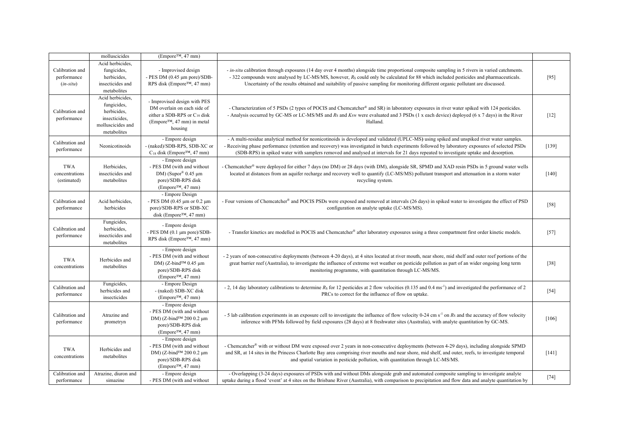|                                               | molluscicides                                                                                       | (Empore™, 47 mm)                                                                                                                                   |                                                                                                                                                                                                                                                                                                                                                                                                                                      |         |
|-----------------------------------------------|-----------------------------------------------------------------------------------------------------|----------------------------------------------------------------------------------------------------------------------------------------------------|--------------------------------------------------------------------------------------------------------------------------------------------------------------------------------------------------------------------------------------------------------------------------------------------------------------------------------------------------------------------------------------------------------------------------------------|---------|
| Calibration and<br>performance<br>$(in-situ)$ | Acid herbicides,<br>fungicides,<br>herbicides,<br>insecticides and<br>metabolites                   | - Improvised design<br>- PES DM (0.45 µm pore)/SDB-<br>RPS disk (Empore™, 47 mm)                                                                   | - in-situ calibration through exposures (14 day over 4 months) alongside time proportional composite sampling in 5 rivers in varied catchments.<br>- 322 compounds were analysed by LC-MS/MS, however, Rs could only be calculated for 88 which included pesticides and pharmaceuticals.<br>Uncertainty of the results obtained and suitability of passive sampling for monitoring different organic pollutant are discussed.        | $[95]$  |
| Calibration and<br>performance                | Acid herbicides,<br>fungicides,<br>herbicides,<br>insecticides,<br>molluscicides and<br>metabolites | - Improvised design with PES<br>DM overlain on each side of<br>either a SDB-RPS or C <sub>18</sub> disk<br>(Empore™, 47 mm) in metal<br>housing    | - Characterization of 5 PSDs (2 types of POCIS and Chemcatcher® and SR) in laboratory exposures in river water spiked with 124 pesticides.<br>- Analysis occurred by GC-MS or LC-MS/MS and Rs and Ksw were evaluated and 3 PSDs (1 x each device) deployed (6 x 7 days) in the River<br>Halland.                                                                                                                                     | $[12]$  |
| Calibration and<br>performance                | Neonicotinoids                                                                                      | - Empore design<br>- (naked)/SDB-RPS, SDB-XC or<br>$C_{18}$ disk (Empore <sup>TM</sup> , 47 mm)                                                    | - A multi-residue analytical method for neonicotinoids is developed and validated (UPLC-MS) using spiked and unspiked river water samples.<br>- Receiving phase performance (retention and recovery) was investigated in batch experiments followed by laboratory exposures of selected PSDs<br>(SDB-RPS) in spiked water with samplers removed and analysed at intervals for 21 days repeated to investigate uptake and desorption. | [139]   |
| <b>TWA</b><br>concentrations<br>(estimated)   | Herbicides,<br>insecticides and<br>metabolites                                                      | - Empore design<br>- PES DM (with and without<br>DM) (Supor <sup>®</sup> 0.45 $\mu$ m<br>pore)/SDB-RPS disk<br>(Empore <sup>TM</sup> , 47 mm)      | - Chemcatcher <sup>®</sup> were deployed for either 7 days (no DM) or 28 days (with DM), alongside SR, SPMD and XAD resin PSDs in 5 ground water wells<br>located at distances from an aquifer recharge and recovery well to quantify (LC-MS/MS) pollutant transport and attenuation in a storm water<br>recycling system.                                                                                                           | $[140]$ |
| Calibration and<br>performance                | Acid herbicides,<br>herbicides                                                                      | - Empore Design<br>- PES DM (0.45 μm or 0.2 μm<br>pore)/SDB-RPS or SDB-XC<br>disk (Empore <sup>TM</sup> , 47 mm)                                   | - Four versions of Chemcatcher® and POCIS PSDs were exposed and removed at intervals (26 days) in spiked water to investigate the effect of PSD<br>configuration on analyte uptake (LC-MS/MS).                                                                                                                                                                                                                                       | $[58]$  |
| Calibration and<br>performance                | Fungicides,<br>herbicides,<br>insecticides and<br>metabolites                                       | - Empore design<br>- PES DM (0.1 µm pore)/SDB-<br>RPS disk (Empore™, 47 mm)                                                                        | - Transfer kinetics are modelled in POCIS and Chemcatcher® after laboratory exposures using a three compartment first order kinetic models.                                                                                                                                                                                                                                                                                          | $[57]$  |
| <b>TWA</b><br>concentrations                  | Herbicides and<br>metabolites                                                                       | - Empore design<br>- PES DM (with and without<br>DM) (Z-bind <sup>TM</sup> $0.45 \mu$ m<br>pore)/SDB-RPS disk<br>(Empore <sup>TM</sup> , 47 mm)    | - 2 years of non-consecutive deployments (between 4-20 days), at 4 sites located at river mouth, near shore, mid shelf and outer reef portions of the<br>great barrier reef (Australia), to investigate the influence of extreme wet weather on pesticide pollution as part of an wider ongoing long term<br>monitoring programme, with quantitation through LC-MS/MS.                                                               | $[38]$  |
| Calibration and<br>performance                | Fungicides,<br>herbicides and<br>insecticides                                                       | - Empore Design<br>- (naked) SDB-XC disk<br>(Empore <sup>TM</sup> , 47 mm)                                                                         | - 2, 14 day laboratory calibrations to determine $R_S$ for 12 pesticides at 2 flow velocities (0.135 and 0.4 ms <sup>-1</sup> ) and investigated the performance of 2<br>PRCs to correct for the influence of flow on uptake.                                                                                                                                                                                                        | $[54]$  |
| Calibration and<br>performance                | Atrazine and<br>prometryn                                                                           | - Empore design<br>- PES DM (with and without<br>DM) (Z-bind <sup>TM</sup> 200 0.2 $\mu$ m<br>pore)/SDB-RPS disk<br>(Empore <sup>TM</sup> , 47 mm) | - 5 lab calibration experiments in an exposure cell to investigate the influence of flow velocity 0-24 cm $s^{-1}$ on $R_s$ and the accuracy of flow velocity<br>inference with PFMs followed by field exposures (28 days) at 8 freshwater sites (Australia), with analyte quantitation by GC-MS.                                                                                                                                    | $[106]$ |
| TWA<br>concentrations                         | Herbicides and<br>metabolites                                                                       | - Empore design<br>- PES DM (with and without<br>DM) (Z-bind <sup>TM</sup> 200 0.2 $\mu$ m<br>pore)/SDB-RPS disk<br>(Empore <sup>TM</sup> , 47 mm) | - Chemcatcher® with or without DM were exposed over 2 years in non-consecutive deployments (between 4-29 days), including alongside SPMD<br>and SR, at 14 sites in the Princess Charlotte Bay area comprising river mouths and near shore, mid shelf, and outer, reefs, to investigate temporal<br>and spatial variation in pesticide pollution, with quantitation through LC-MS/MS.                                                 | $[141]$ |
| Calibration and<br>performance                | Atrazine, diuron and<br>simazine                                                                    | - Empore design<br>- PES DM (with and without                                                                                                      | - Overlapping (3-24 days) exposures of PSDs with and without DMs alongside grab and automated composite sampling to investigate analyte<br>uptake during a flood 'event' at 4 sites on the Brisbane River (Australia), with comparison to precipitation and flow data and analyte quantitation by                                                                                                                                    | $[74]$  |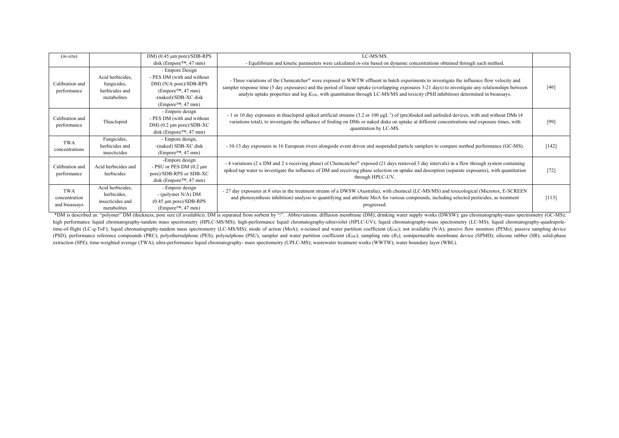| $(in-situ)$                                  |                                                                    | $DM$ ) (0.45 $\mu$ m pore)/SDB-RPS                                                                                                                                                | LC-MS/MS.                                                                                                                                                                                                                                                                                                                                                                                                                           |         |
|----------------------------------------------|--------------------------------------------------------------------|-----------------------------------------------------------------------------------------------------------------------------------------------------------------------------------|-------------------------------------------------------------------------------------------------------------------------------------------------------------------------------------------------------------------------------------------------------------------------------------------------------------------------------------------------------------------------------------------------------------------------------------|---------|
|                                              |                                                                    | disk (Empore <sup>TM</sup> , 47 mm)                                                                                                                                               | - Equilibrium and kinetic parameters were calculated <i>in-situ</i> based on dynamic concentrations obtained through each method.                                                                                                                                                                                                                                                                                                   |         |
| Calibration and<br>performance               | Acid herbicides,<br>fungicides,<br>herbicides and<br>metabolites   | - Empore Design<br>- PES DM (with and without<br>DM) (N/A pore)/SDB-RPS<br>$\text{(Empore}^{\text{TM}}, 47 \text{ mm})$<br>-(naked)/SDB-XC disk<br>(Empore <sup>TM</sup> , 47 mm) | - Three variations of the Chemcatcher® were exposed in WWTW effluent in batch experiments to investigate the influence flow velocity and<br>sampler response time (5 day exposures) and the period of linear uptake (overlapping exposures 3-21 days) to investigate any relationships between<br>analyte uptake properties and log Kow, with quantitation through LC-MS/MS and toxicity (PSII inhibition) determined in bioassays. | $[46]$  |
| Calibration and<br>performance               | Thiacloprid                                                        | - Empore design<br>- PES DM (with and without<br>DM) (0.2 µm pore)/SDB-XC<br>disk (Empore <sup>TM</sup> , 47 mm)                                                                  | - 1 or 10 day exposures in thiacloprid spiked artificial streams $(3.2 \text{ or } 100 \mu gL^{-1})$ of (pre)fouled and unfouled devices, with and without DMs (4<br>variations total), to investigate the influence of fouling on DMs or naked disks on uptake at different concentrations and exposure times, with<br>quantitation by LC-MS.                                                                                      | [99]    |
| <b>TWA</b><br>concentrations                 | Fungicides,<br>herbicides and<br>insecticides                      | - Empore design,<br>-(naked) SDB-XC disk<br>(Empore <sup>TM</sup> , 47 mm)                                                                                                        | - 10-13 day exposures in 16 European rivers alongside event driven and suspended particle samplers to compare method performance (GC-MS).                                                                                                                                                                                                                                                                                           | $[142]$ |
| Calibration and<br>performance               | Acid herbicides and<br>herbicides                                  | -Empore design<br>- PSU or PES DM $(0.2 \mu m)$<br>pore)/SDB-RPS or SDB-XC<br>disk (Empore <sup>TM</sup> , 47 mm)                                                                 | - 4 variations $(2 \times DM$ and $2 \times$ receiving phase) of Chemcatcher® exposed $(21$ days removed 3 day intervals) in a flow through system containing<br>spiked tap water to investigate the influence of DM and receiving phase selection on uptake and desorption (separate exposures), with quantitation<br>through HPLC-UV.                                                                                             | $[72]$  |
| <b>TWA</b><br>concentration<br>and bioassays | Acid herbicides,<br>herbicides,<br>insecticides and<br>metabolites | - Empore design<br>- (polymer N/A) DM<br>$(0.45 \mu m)$ pore)/SDB-RPS<br>(Empore <sup>TM</sup> , 47 mm)                                                                           | - 27 day exposures at 8 sites in the treatment stream of a DWSW (Australia), with chemical (LC-MS/MS) and toxicological (Microtox, E-SCREEN<br>and photosynthesis inhibition) analysis to quantifying and attribute MoA for various compounds, including selected pesticides, as treatment<br>progressed.                                                                                                                           | [113]   |

\*DM is described as: "polymer" DM (thickness, pore size (if available)). DM is separated from sorbent by "/". Abbreviations: diffusion membrane (DM); drinking water supply works (DWSW); gas chromatography-mass spectrometry high performance liquid chromatography-tandem mass spectrometry (HPLC-MS/MS); high-performance liquid chromatography-ultraviolet (HPLC-UV); liquid chromatography-mass spectrometry (LC-MS); liquid chromatography-quadrupoletime-of-flight (LC-q-ToF); liquid chromatography-tandem mass spectrometry (LC-MS/MS); mode of action (MoA); n-octanol and water partition coefficient (Kow); not available (N/A); passive flow monitors (PFMs); passive sampli (PSD); performance reference compounds (PRC); polyethersulphone (PES); polysulphone (PSU); sampler and water partition coefficient (Ksw); sampling rate (Rs); semipermeable membrane device (SPMD); silicone rubber (SR); soli extraction (SPE); time-weighted average (TWA); ultra-performance liquid chromatography- mass spectrometry (UPLC-MS); wastewater treatment works (WWTW); water boundary layer (WBL).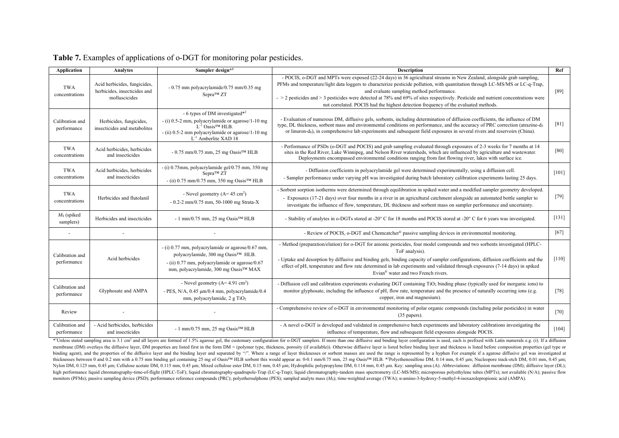| <b>Application</b>             | Analytes                                                                      | Sampler design*1                                                                                                                                                                                               | <b>Description</b>                                                                                                                                                                                                                                                                                                                                                                                                                                                                                                               | Ref     |
|--------------------------------|-------------------------------------------------------------------------------|----------------------------------------------------------------------------------------------------------------------------------------------------------------------------------------------------------------|----------------------------------------------------------------------------------------------------------------------------------------------------------------------------------------------------------------------------------------------------------------------------------------------------------------------------------------------------------------------------------------------------------------------------------------------------------------------------------------------------------------------------------|---------|
| <b>TWA</b><br>concentrations   | Acid herbicides, fungicides,<br>herbicides, insecticides and<br>molluscicides | $-0.75$ mm polyacrylamide/0.75 mm/0.35 mg<br>Sepra <sup>TM</sup> ZT                                                                                                                                            | - POCIS, o-DGT and MPTs were exposed (22-24 days) in 36 agricultural streams in New Zealand, alongside grab sampling,<br>PFMs and temperature/light data loggers to characterize pesticide pollution, with quantitation through LC-MS/MS or LC-q-Trap,<br>and evaluate sampling method performance.<br>- > 2 pesticides and > 3 pesticides were detected at 78% and 69% of sites respectively. Pesticide and nutrient concentrations were<br>not correlated. POCIS had the highest detection frequency of the evaluated methods. | $[89]$  |
| Calibration and<br>performance | Herbicides, fungicides,<br>insecticides and metabolites                       | - 6 types of DM investigated*2<br>$-$ (i) 0.5-2 mm, polyacrylamide or agarose/1-10 mg<br>$L^{-1}$ Oasis <sup>TM</sup> HLB.<br>$-$ (ii) 0.5-2 mm polyacrylamide or agarose/1-10 mg<br>$L^{-1}$ Amberlite XAD 18 | - Evaluation of numerous DM, diffusive gels, sorbents, including determination of diffusion coefficients, the influence of DM<br>type, DL thickness, sorbent mass and environmental conditions on performance, and the accuracy of PRC correction (atrazine-ds<br>or linuron-d <sub>6</sub> ), in comprehensive lab experiments and subsequent field exposures in several rivers and reservoirs (China).                                                                                                                         | $[81]$  |
| <b>TWA</b><br>concentrations   | Acid herbicides, herbicides<br>and insecticides                               | $-0.75$ mm/0.75 mm, 25 mg Oasis <sup>TM</sup> HLB                                                                                                                                                              | - Performance of PSDs (o-DGT and POCIS) and grab sampling evaluated through exposures of 2-3 weeks for 7 months at 14<br>sites in the Red River, Lake Winnipeg, and Nelson River watersheds, which are influenced by agriculture and wastewater.<br>Deployments encompassed environmental conditions ranging from fast flowing river, lakes with surface ice.                                                                                                                                                                    | $[80]$  |
| <b>TWA</b><br>concentrations   | Acid herbicides, herbicides<br>and insecticides                               | $-$ (i) 0.75mm, polyacrylamide gel/0.75 mm, 350 mg<br>Sepra <sup>TM</sup> ZT<br>$-$ (ii) 0.75 mm/0.75 mm, 350 mg Oasis <sup>TM</sup> HLB                                                                       | - Diffusion coefficients in polyacrylamide gel were determined experimentally, using a diffusion cell.<br>- Sampler performance under varying pH was investigated during batch laboratory calibration experiments lasting 25 days.                                                                                                                                                                                                                                                                                               | $[101]$ |
| <b>TWA</b><br>concentrations   | Herbicides and flutolanil                                                     | - Novel geometry $(A=45 \text{ cm}^2)$<br>$-0.2-2$ mm/0.75 mm, 50-1000 mg Strata-X                                                                                                                             | - Sorbent sorption isotherms were determined through equilibration in spiked water and a modified sampler geometry developed.<br>- Exposures (17-21 days) over four months in a river in an agricultural catchment alongside an automated bottle sampler to<br>investigate the influence of flow, temperature, DL thickness and sorbent mass on sampler performance and uncertainty.                                                                                                                                             | $[79]$  |
| $MS$ (spiked<br>samplers)      | Herbicides and insecticides                                                   | - 1 mm/0.75 mm, 25 mg Oasis <sup>TM</sup> HLB                                                                                                                                                                  | - Stability of analytes in o-DGTs stored at -20° C for 18 months and POCIS stored at -20° C for 6 years was investigated.                                                                                                                                                                                                                                                                                                                                                                                                        | $[131]$ |
|                                |                                                                               |                                                                                                                                                                                                                | - Review of POCIS, o-DGT and Chemcatcher® passive sampling devices in environmental monitoring.                                                                                                                                                                                                                                                                                                                                                                                                                                  | [67]    |
| Calibration and<br>performance | Acid herbicides                                                               | $-$ (i) 0.77 mm, polyacrylamide or agarose/0.67 mm,<br>polyacrylamide, 300 mg Oasis™ HLB.<br>$-$ (ii) 0.77 mm, polyacrylamide or agarose/0.67<br>mm, polyacrylamide, 300 mg Oasis™ MAX                         | - Method (preparation/elution) for o-DGT for anionic pesticides, four model compounds and two sorbents investigated (HPLC-<br>ToF analysis).<br>- Uptake and desorption by diffusive and binding gels, binding capacity of sampler configurations, diffusion coefficients and the<br>effect of pH, temperature and flow rate determined in lab experiments and validated through exposures (7-14 days) in spiked<br>Evian <sup>®</sup> water and two French rivers.                                                              | $[110]$ |
| Calibration and<br>performance | Glyphosate and AMPA                                                           | - Novel geometry $(A=4.91 \text{ cm}^2)$<br>- PES, N/A, 0.45 µm/0.4 mm, polyacrylamide/0.4<br>mm, polyacrylamide, 2 g TiO <sub>2</sub>                                                                         | - Diffusion cell and calibration experiments evaluating DGT containing TiO <sub>2</sub> binding phase (typically used for inorganic ions) to<br>monitor glyphosate, including the influence of pH, flow rate, temperature and the presence of naturally occurring ions (e.g.<br>copper, iron and magnesium).                                                                                                                                                                                                                     | $[78]$  |
| Review                         |                                                                               |                                                                                                                                                                                                                | - Comprehensive review of o-DGT in environmental monitoring of polar organic compounds (including polar pesticides) in water<br>$(35$ papers).                                                                                                                                                                                                                                                                                                                                                                                   | $[70]$  |
| Calibration and<br>performance | - Acid herbicides, herbicides<br>and insecticides                             | - 1 mm/0.75 mm, 25 mg Oasis $^{TM}$ HLB                                                                                                                                                                        | - A novel o-DGT is developed and validated in comprehensive batch experiments and laboratory calibrations investigating the<br>influence of temperature, flow and subsequent field exposures alongside POCIS.                                                                                                                                                                                                                                                                                                                    | $[104]$ |

#### **Table 7.** Examples of applications of o-DGT for monitoring polar pesticides.

\*Unless stated sampling area is 3.1 cm2 and all layers are formed of 1.5% agarose gel, the customary configuration for o-DGT samplers. If more than one diffusive and binding layer configuration is used, each is prefixed wi membrane (DM) overlays the diffusive layer, DM properties are listed first in the form DM = (polymer type, thickness, porosity (if available)). Otherwise diffusive layer is listed before binding layer and thickness is list binding agent), and the properties of the diffusive layer and the binding layer and separated by "/". Where a range of layer thicknesses or sorbent masses are used the range is represented by a hyphen For example if a agar thicknesses between 0 and 0.2 mm with a 0.75 mm binding gel containing 25 mg of Oasis™ HLB sorbent this would appear as: 0-0.1 mm/0.75 mm, 25 mg Oasis™ HLB. \*<sup>2</sup>Polyethenesulfone DM, 0.14 mm, 0.45 µm; Nucleopore track-etc Nylon DM, 0.125 mm, 0.45 µm; Cellulose acetate DM, 0.115 mm, 0.45 µm; Mixed cellulose ester DM, 0.15 mm, 0.45 µm; Hydrophilic polypropylene DM, 0.114 mm, 0.45 µm. Key: sampling area (A). Abbreviations: diffusion membrane ( high performance liquid chromatography-time-of-flight (HPLC-ToF); liquid chromatography-quadrupole-Trap (LC-q-Trap); liquid chromatography-tandem mass spectrometry (LC-MS/MS); microporous polyethylene tubes (MPTs); not ava monitors (PFMs); passive sampling device (PSD); performance reference compounds (PRC); polyethersulphone (PES); sampled analyte mass (Ms); time-weighted average (TWA); a-amino-3-hydroxy-5-methyl-4-isoxazolepropionic acid (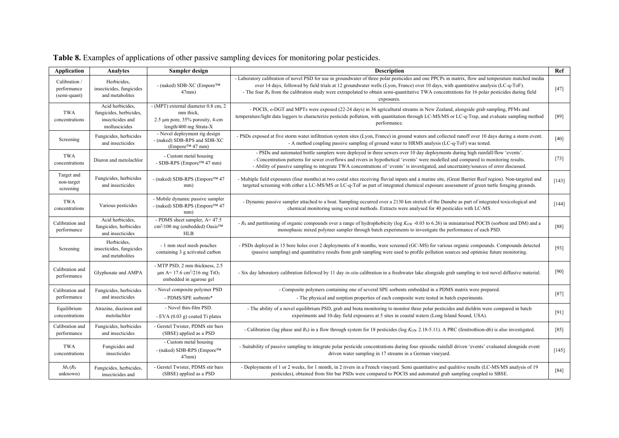| <b>Application</b>                           | <b>Analytes</b>                                                                  | Sampler design                                                                                                        | <b>Description</b>                                                                                                                                                                                                                                                                                                                                                                                                                                       | Ref     |
|----------------------------------------------|----------------------------------------------------------------------------------|-----------------------------------------------------------------------------------------------------------------------|----------------------------------------------------------------------------------------------------------------------------------------------------------------------------------------------------------------------------------------------------------------------------------------------------------------------------------------------------------------------------------------------------------------------------------------------------------|---------|
| Calibration /<br>performance<br>(semi-quant) | Herbicides,<br>insecticides, fungicides<br>and metabolites                       | - (naked) SDB-XC (Empore™<br>$47$ mm $)$                                                                              | - Laboratory calibration of novel PSD for use in groundwater of three polar pesticides and one PPCPs in matrix, flow and temperature matched media<br>over 14 days, followed by field trials at 12 groundwater wells (Lyon, France) over 10 days, with quantitative analysis (LC-q-ToF).<br>- The four Rs from the calibration study were extrapolated to obtain semi-quantitative TWA concentrations for 16 polar pesticides during field<br>exposures. | $[47]$  |
| <b>TWA</b><br>concentrations                 | Acid herbicides.<br>fungicides, herbicides,<br>insecticides and<br>molluscicides | - (MPT) external diameter 0.8 cm, 2<br>mm thick.<br>2.5 µm pore, 35% porosity, 4-cm<br>length/400 mg Strata-X         | - POCIS, o-DGT and MPTs were exposed (22-24 days) in 36 agricultural streams in New Zealand, alongside grab sampling, PFMs and<br>temperature/light data loggers to characterize pesticide pollution, with quantitation through LC-MS/MS or LC-q-Trap, and evaluate sampling method<br>performance.                                                                                                                                                      | $[89]$  |
| Screening                                    | Fungicides, herbicides<br>and insecticides                                       | - Novel deployment rig design<br>- (naked) SDB-RPS and SDB-XC<br>(Empore <sup>TM</sup> 47 mm)                         | - PSDs exposed at five storm water infiltration system sites (Lyon, France) in ground waters and collected runoff over 10 days during a storm event.<br>- A method coupling passive sampling of ground water to HRMS analysis (LC-q-ToF) was tested.                                                                                                                                                                                                     | $[40]$  |
| <b>TWA</b><br>concentrations                 | Diuron and metolachlor                                                           | - Custom metal housing<br>- SDB-RPS (Empore™ 47 mm)                                                                   | - PSDs and automated bottle samplers were deployed in three sewers over 10 day deployments during high rainfall/flow 'events'.<br>- Concentration patterns for sewer overflows and rivers in hypothetical 'events' were modelled and compared to monitoring results.<br>- Ability of passive sampling to integrate TWA concentrations of 'events' is investigated, and uncertainty/sources of error discussed.                                           | $[73]$  |
| Target and<br>non-target<br>screening        | Fungicides, herbicides<br>and insecticides                                       | - (naked) SDB-RPS (Empore™ 47<br>mm)                                                                                  | - Multiple field exposures (four months) at two costal sites receiving fluvial inputs and a marine site, (Great Barrier Reef region). Non-targeted and<br>targeted screening with either a LC-MS/MS or LC-q-ToF as part of integrated chemical exposure assessment of green turtle foraging grounds.                                                                                                                                                     | [143]   |
| TWA<br>concentrations                        | Various pesticides                                                               | - Mobile dynamic passive sampler<br>- (naked) SDB-RPS (Empore™ 47<br>mm)                                              | - Dynamic passive sampler attached to a boat. Sampling occurred over a 2130 km stretch of the Danube as part of integrated toxicological and<br>chemical monitoring using several methods. Extracts were analysed for 40 pesticides with LC-MS.                                                                                                                                                                                                          | $[144]$ |
| Calibration and<br>performance               | Acid herbicides,<br>fungicides, herbicides<br>and insecticides                   | - PDMS sheet sampler, A= 47.5<br>cm <sup>2</sup> /100 mg (embedded) Oasis <sup>TM</sup><br><b>HLB</b>                 | - Rs and partitioning of organic compounds over a range of hydrophobicity (log Kow -0.03 to 6.26) in miniaturised POCIS (sorbent and DM) and a<br>monophasic mixed polymer sampler through batch experiments to investigate the performance of each PSD.                                                                                                                                                                                                 | $[88]$  |
| Screening                                    | Herbicides,<br>insecticides, fungicides<br>and metabolites                       | - 1 mm steel mesh pouches<br>containing 3 g activated carbon                                                          | - PSDs deployed in 15 bore holes over 2 deployments of 6 months, were screened (GC-MS) for various organic compounds. Compounds detected<br>(passive sampling) and quantitative results from grab sampling were used to profile pollution sources and optimise future monitoring.                                                                                                                                                                        | $[93]$  |
| Calibration and<br>performance               | Glyphosate and AMPA                                                              | - MTP PSD, 2 mm thickness, 2.5<br>$\mu$ m A= 17.6 cm <sup>2</sup> /216 mg TiO <sub>2</sub><br>embedded in agarose gel | - Six day laboratory calibration followed by 11 day in-situ calibration in a freshwater lake alongside grab sampling to test novel diffusive material.                                                                                                                                                                                                                                                                                                   | $[90]$  |
| Calibration and<br>performance               | Fungicides, herbicides<br>and insecticides                                       | - Novel composite polymer PSD<br>- PDMS/SPE sorbents*                                                                 | - Composite polymers containing one of several SPE sorbents embedded in a PDMS matrix were prepared.<br>- The physical and sorption properties of each composite were tested in batch experiments.                                                                                                                                                                                                                                                       | $[87]$  |
| Equilibrium<br>concentrations                | Atrazine, diazinon and<br>metolachlor                                            | - Novel thin-film PSD.<br>- EVA $(0.03 g)$ coated Ti plates                                                           | - The ability of a novel equilibrium PSD, grab and biota monitoring to monitor three polar pesticides and dieldrin were compared in batch<br>experiments and 10-day field exposures at 5 sites in coastal waters (Long Island Sound, USA).                                                                                                                                                                                                               | $[91]$  |
| Calibration and<br>performance               | Fungicides, herbicides<br>and insecticides                                       | - Gerstel Twister, PDMS stir bars<br>(SBSE) applied as a PSD                                                          | - Calibration (lag phase and $R_S$ ) in a flow through system for 18 pesticides (log $K_{OW}$ 2.18-5.11). A PRC (fenitrothion-d6) is also investigated.                                                                                                                                                                                                                                                                                                  | $[85]$  |
| <b>TWA</b><br>concentrations                 | Fungicides and<br>insecticides                                                   | - Custom metal housing<br>- (naked) SDB-RPS (Empore™<br>$47$ mm $)$                                                   | - Suitability of passive sampling to integrate polar pesticide concentrations during four episodic rainfall driven 'events' evaluated alongside event<br>driven water sampling in 17 streams in a German vineyard.                                                                                                                                                                                                                                       | $[145]$ |
| $M_s(R_s)$<br>unknown)                       | Fungicides, herbicides,<br>insecticides and                                      | - Gerstel Twister, PDMS stir bars<br>(SBSE) applied as a PSD                                                          | - Deployments of 1 or 2 weeks, for 1 month, in 2 rivers in a French vineyard. Semi quantitative and qualitive results (LC-MS/MS analysis of 19<br>pesticides), obtained from Stir bar PSDs were compared to POCIS and automated grab sampling coupled to SBSE.                                                                                                                                                                                           | $[84]$  |

**Table 8.** Examples of applications of other passive sampling devices for monitoring polar pesticides.